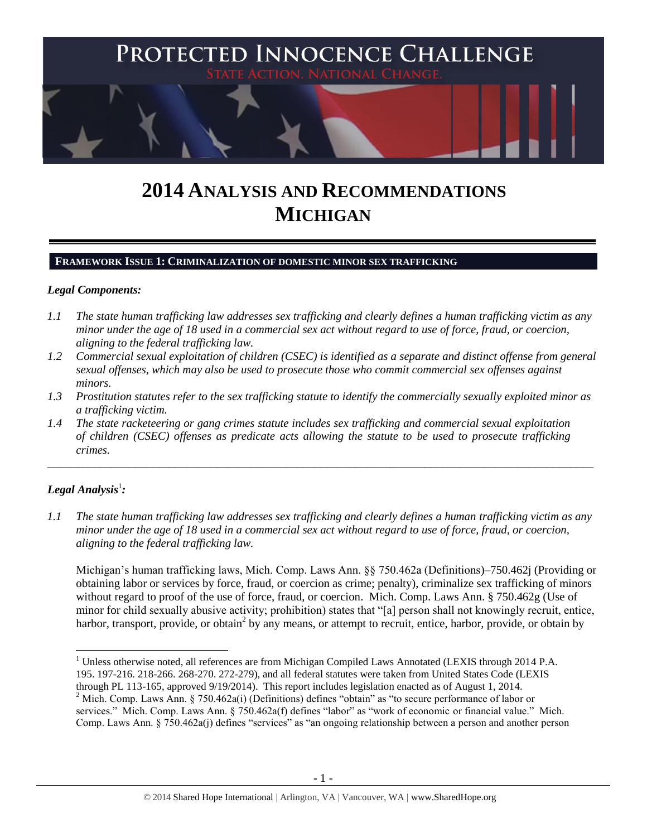

# **2014 ANALYSIS AND RECOMMENDATIONS MICHIGAN**

#### **FRAMEWORK ISSUE 1: CRIMINALIZATION OF DOMESTIC MINOR SEX TRAFFICKING**

#### *Legal Components:*

- *1.1 The state human trafficking law addresses sex trafficking and clearly defines a human trafficking victim as any minor under the age of 18 used in a commercial sex act without regard to use of force, fraud, or coercion, aligning to the federal trafficking law.*
- *1.2 Commercial sexual exploitation of children (CSEC) is identified as a separate and distinct offense from general sexual offenses, which may also be used to prosecute those who commit commercial sex offenses against minors.*
- *1.3 Prostitution statutes refer to the sex trafficking statute to identify the commercially sexually exploited minor as a trafficking victim.*

\_\_\_\_\_\_\_\_\_\_\_\_\_\_\_\_\_\_\_\_\_\_\_\_\_\_\_\_\_\_\_\_\_\_\_\_\_\_\_\_\_\_\_\_\_\_\_\_\_\_\_\_\_\_\_\_\_\_\_\_\_\_\_\_\_\_\_\_\_\_\_\_\_\_\_\_\_\_\_\_\_\_\_\_\_\_\_\_\_\_\_\_\_\_

*1.4 The state racketeering or gang crimes statute includes sex trafficking and commercial sexual exploitation of children (CSEC) offenses as predicate acts allowing the statute to be used to prosecute trafficking crimes.* 

# $\bm{L}$ egal Analysis $^1$ :

 $\overline{\phantom{a}}$ 

*1.1 The state human trafficking law addresses sex trafficking and clearly defines a human trafficking victim as any minor under the age of 18 used in a commercial sex act without regard to use of force, fraud, or coercion, aligning to the federal trafficking law.*

Michigan's human trafficking laws, Mich. Comp. Laws Ann. §§ 750.462a (Definitions)–750.462j (Providing or obtaining labor or services by force, fraud, or coercion as crime; penalty), criminalize sex trafficking of minors without regard to proof of the use of force, fraud, or coercion. Mich. Comp. Laws Ann. § 750.462g (Use of minor for child sexually abusive activity; prohibition) states that "[a] person shall not knowingly recruit, entice, harbor, transport, provide, or obtain<sup>2</sup> by any means, or attempt to recruit, entice, harbor, provide, or obtain by

<sup>&</sup>lt;sup>1</sup> Unless otherwise noted, all references are from Michigan Compiled Laws Annotated (LEXIS through 2014 P.A. 195. 197-216. 218-266. 268-270. 272-279), and all federal statutes were taken from United States Code (LEXIS through PL 113-165, approved 9/19/2014). This report includes legislation enacted as of August 1, 2014. <sup>2</sup> Mich. Comp. Laws Ann. § 750.462a(i) (Definitions) defines "obtain" as "to secure performance of labor or services." Mich. Comp. Laws Ann. § 750.462a(f) defines "labor" as "work of economic or financial value." Mich. Comp. Laws Ann. § 750.462a(j) defines "services" as "an ongoing relationship between a person and another person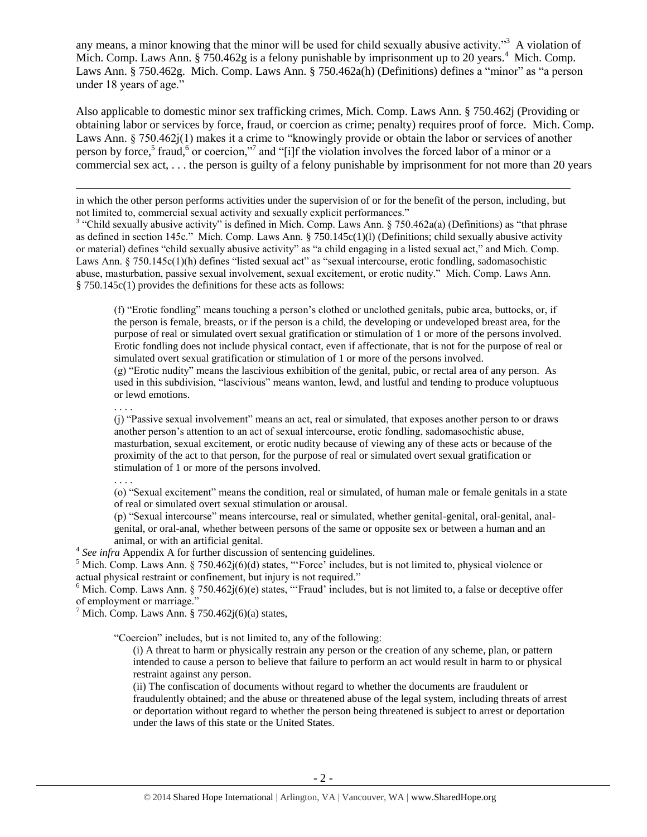<span id="page-1-0"></span>any means, a minor knowing that the minor will be used for child sexually abusive activity."<sup>3</sup> A violation of Mich. Comp. Laws Ann. § 750.462g is a felony punishable by imprisonment up to 20 years.<sup>4</sup> Mich. Comp. Laws Ann. § 750.462g. Mich. Comp. Laws Ann. § 750.462a(h) (Definitions) defines a "minor" as "a person under 18 years of age."

Also applicable to domestic minor sex trafficking crimes, Mich. Comp. Laws Ann. § 750.462j (Providing or obtaining labor or services by force, fraud, or coercion as crime; penalty) requires proof of force. Mich. Comp. Laws Ann. § 750.462j(1) makes it a crime to "knowingly provide or obtain the labor or services of another person by force,<sup>5</sup> fraud,<sup>6</sup> or coercion,"<sup>7</sup> and "[i]f the violation involves the forced labor of a minor or a commercial sex act, . . . the person is guilty of a felony punishable by imprisonment for not more than 20 years

in which the other person performs activities under the supervision of or for the benefit of the person, including, but not limited to, commercial sexual activity and sexually explicit performances."

<sup>3</sup> "Child sexually abusive activity" is defined in Mich. Comp. Laws Ann. § 750.462a(a) (Definitions) as "that phrase as defined in section 145c." Mich. Comp. Laws Ann. § 750.145c(1)(l) (Definitions; child sexually abusive activity or material) defines "child sexually abusive activity" as "a child engaging in a listed sexual act," and Mich. Comp. Laws Ann. § 750.145c(1)(h) defines "listed sexual act" as "sexual intercourse, erotic fondling, sadomasochistic abuse, masturbation, passive sexual involvement, sexual excitement, or erotic nudity." Mich. Comp. Laws Ann. § 750.145c(1) provides the definitions for these acts as follows:

(f) "Erotic fondling" means touching a person's clothed or unclothed genitals, pubic area, buttocks, or, if the person is female, breasts, or if the person is a child, the developing or undeveloped breast area, for the purpose of real or simulated overt sexual gratification or stimulation of 1 or more of the persons involved. Erotic fondling does not include physical contact, even if affectionate, that is not for the purpose of real or simulated overt sexual gratification or stimulation of 1 or more of the persons involved. (g) "Erotic nudity" means the lascivious exhibition of the genital, pubic, or rectal area of any person. As

used in this subdivision, "lascivious" means wanton, lewd, and lustful and tending to produce voluptuous or lewd emotions.

. . . .

l

(j) "Passive sexual involvement" means an act, real or simulated, that exposes another person to or draws another person's attention to an act of sexual intercourse, erotic fondling, sadomasochistic abuse, masturbation, sexual excitement, or erotic nudity because of viewing any of these acts or because of the proximity of the act to that person, for the purpose of real or simulated overt sexual gratification or stimulation of 1 or more of the persons involved.

. . . .

(o) "Sexual excitement" means the condition, real or simulated, of human male or female genitals in a state of real or simulated overt sexual stimulation or arousal.

(p) "Sexual intercourse" means intercourse, real or simulated, whether genital-genital, oral-genital, analgenital, or oral-anal, whether between persons of the same or opposite sex or between a human and an animal, or with an artificial genital.

<sup>4</sup> See infra Appendix A for further discussion of sentencing guidelines.

<sup>5</sup> Mich. Comp. Laws Ann. § 750.462j(6)(d) states, "Force' includes, but is not limited to, physical violence or actual physical restraint or confinement, but injury is not required."

<sup>6</sup> Mich. Comp. Laws Ann. § 750.462 $j(6)(e)$  states, "Fraud' includes, but is not limited to, a false or deceptive offer of employment or marriage."

<sup>7</sup> Mich. Comp. Laws Ann. § 750.462 $j(6)(a)$  states,

"Coercion" includes, but is not limited to, any of the following:

(i) A threat to harm or physically restrain any person or the creation of any scheme, plan, or pattern intended to cause a person to believe that failure to perform an act would result in harm to or physical restraint against any person.

(ii) The confiscation of documents without regard to whether the documents are fraudulent or fraudulently obtained; and the abuse or threatened abuse of the legal system, including threats of arrest or deportation without regard to whether the person being threatened is subject to arrest or deportation under the laws of this state or the United States.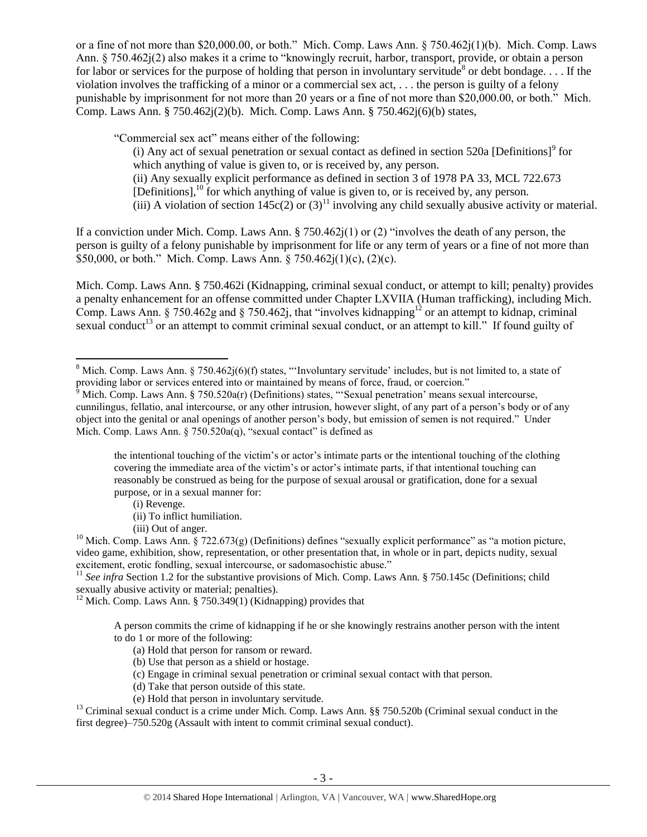or a fine of not more than \$20,000.00, or both." Mich. Comp. Laws Ann. § 750.462j(1)(b). Mich. Comp. Laws Ann. § 750.462j(2) also makes it a crime to "knowingly recruit, harbor, transport, provide, or obtain a person for labor or services for the purpose of holding that person in involuntary servitude<sup>8</sup> or debt bondage.... If the violation involves the trafficking of a minor or a commercial sex act, . . . the person is guilty of a felony punishable by imprisonment for not more than 20 years or a fine of not more than \$20,000.00, or both." Mich. Comp. Laws Ann. § 750.462j(2)(b). Mich. Comp. Laws Ann. § 750.462j(6)(b) states,

"Commercial sex act" means either of the following:

<span id="page-2-0"></span>(i) Any act of sexual penetration or sexual contact as defined in section  $520a$  [Definitions]<sup>9</sup> for which anything of value is given to, or is received by, any person. (ii) Any sexually explicit performance as defined in section 3 of 1978 PA 33, MCL 722.673 [Definitions],<sup>10</sup> for which anything of value is given to, or is received by, any person. (iii) A violation of section 145c(2) or (3)<sup>11</sup> involving any child sexually abusive activity or material.

If a conviction under Mich. Comp. Laws Ann. § 750.462j(1) or (2) "involves the death of any person, the person is guilty of a felony punishable by imprisonment for life or any term of years or a fine of not more than \$50,000, or both." Mich. Comp. Laws Ann. § 750.462j(1)(c), (2)(c).

Mich. Comp. Laws Ann. § 750.462i (Kidnapping, criminal sexual conduct, or attempt to kill; penalty) provides a penalty enhancement for an offense committed under Chapter LXVIIA (Human trafficking), including Mich. Comp. Laws Ann. § 750.462g and § 750.462j, that "involves kidnapping<sup>12</sup> or an attempt to kidnap, criminal sexual conduct<sup>13</sup> or an attempt to commit criminal sexual conduct, or an attempt to kill." If found guilty of

the intentional touching of the victim's or actor's intimate parts or the intentional touching of the clothing covering the immediate area of the victim's or actor's intimate parts, if that intentional touching can reasonably be construed as being for the purpose of sexual arousal or gratification, done for a sexual purpose, or in a sexual manner for:

(i) Revenge.

 $\overline{\phantom{a}}$ 

(iii) Out of anger.

<sup>11</sup> See infra Section 1.2 for the substantive provisions of Mich. Comp. Laws Ann. § 750.145c (Definitions; child sexually abusive activity or material; penalties).

 $12$  Mich. Comp. Laws Ann. § 750.349(1) (Kidnapping) provides that

A person commits the crime of kidnapping if he or she knowingly restrains another person with the intent to do 1 or more of the following:

- (a) Hold that person for ransom or reward.
- (b) Use that person as a shield or hostage.
- (c) Engage in criminal sexual penetration or criminal sexual contact with that person.
- (d) Take that person outside of this state.
- (e) Hold that person in involuntary servitude.

 $<sup>13</sup>$  Criminal sexual conduct is a crime under Mich. Comp. Laws Ann. §§ 750.520b (Criminal sexual conduct in the</sup> first degree)–750.520g (Assault with intent to commit criminal sexual conduct).

<sup>&</sup>lt;sup>8</sup> Mich. Comp. Laws Ann. § 750.462j(6)(f) states, "Involuntary servitude' includes, but is not limited to, a state of providing labor or services entered into or maintained by means of force, fraud, or coercion."

 $\delta$  Mich. Comp. Laws Ann. § 750.520a(r) (Definitions) states, "Sexual penetration' means sexual intercourse, cunnilingus, fellatio, anal intercourse, or any other intrusion, however slight, of any part of a person's body or of any object into the genital or anal openings of another person's body, but emission of semen is not required." Under Mich. Comp. Laws Ann. § 750.520a(q), "sexual contact" is defined as

<sup>(</sup>ii) To inflict humiliation.

<sup>&</sup>lt;sup>10</sup> Mich. Comp. Laws Ann. § 722.673(g) (Definitions) defines "sexually explicit performance" as "a motion picture, video game, exhibition, show, representation, or other presentation that, in whole or in part, depicts nudity, sexual excitement, erotic fondling, sexual intercourse, or sadomasochistic abuse."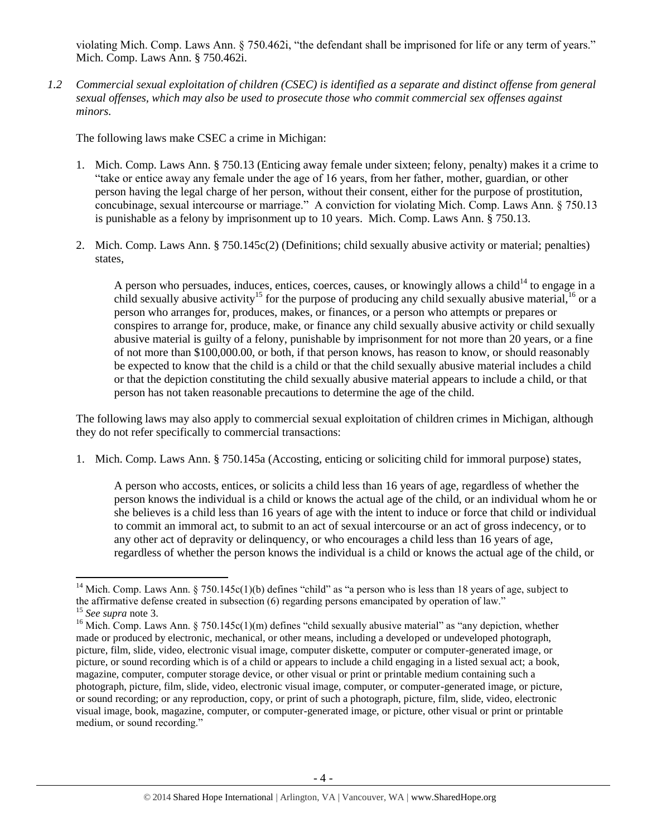violating Mich. Comp. Laws Ann. § 750.462i, "the defendant shall be imprisoned for life or any term of years." Mich. Comp. Laws Ann. § 750.462i.

*1.2 Commercial sexual exploitation of children (CSEC) is identified as a separate and distinct offense from general sexual offenses, which may also be used to prosecute those who commit commercial sex offenses against minors.*

The following laws make CSEC a crime in Michigan:

- 1. Mich. Comp. Laws Ann. § 750.13 (Enticing away female under sixteen; felony, penalty) makes it a crime to "take or entice away any female under the age of 16 years, from her father, mother, guardian, or other person having the legal charge of her person, without their consent, either for the purpose of prostitution, concubinage, sexual intercourse or marriage." A conviction for violating Mich. Comp. Laws Ann. § 750.13 is punishable as a felony by imprisonment up to 10 years. Mich. Comp. Laws Ann. § 750.13.
- 2. Mich. Comp. Laws Ann. § 750.145c(2) (Definitions; child sexually abusive activity or material; penalties) states,

A person who persuades, induces, entices, coerces, causes, or knowingly allows a child<sup>14</sup> to engage in a child sexually abusive activity<sup>15</sup> for the purpose of producing any child sexually abusive material,<sup>16</sup> or a person who arranges for, produces, makes, or finances, or a person who attempts or prepares or conspires to arrange for, produce, make, or finance any child sexually abusive activity or child sexually abusive material is guilty of a felony, punishable by imprisonment for not more than 20 years, or a fine of not more than \$100,000.00, or both, if that person knows, has reason to know, or should reasonably be expected to know that the child is a child or that the child sexually abusive material includes a child or that the depiction constituting the child sexually abusive material appears to include a child, or that person has not taken reasonable precautions to determine the age of the child.

The following laws may also apply to commercial sexual exploitation of children crimes in Michigan, although they do not refer specifically to commercial transactions:

1. Mich. Comp. Laws Ann. § 750.145a (Accosting, enticing or soliciting child for immoral purpose) states,

A person who accosts, entices, or solicits a child less than 16 years of age, regardless of whether the person knows the individual is a child or knows the actual age of the child, or an individual whom he or she believes is a child less than 16 years of age with the intent to induce or force that child or individual to commit an immoral act, to submit to an act of sexual intercourse or an act of gross indecency, or to any other act of depravity or delinquency, or who encourages a child less than 16 years of age, regardless of whether the person knows the individual is a child or knows the actual age of the child, or

 $\overline{\phantom{a}}$ 

<sup>&</sup>lt;sup>14</sup> Mich. Comp. Laws Ann. § 750.145c(1)(b) defines "child" as "a person who is less than 18 years of age, subject to the affirmative defense created in subsection (6) regarding persons emancipated by operation of law." <sup>15</sup> *See supra* note [3.](#page-1-0)

<sup>&</sup>lt;sup>16</sup> Mich. Comp. Laws Ann. § 750.145c(1)(m) defines "child sexually abusive material" as "any depiction, whether made or produced by electronic, mechanical, or other means, including a developed or undeveloped photograph, picture, film, slide, video, electronic visual image, computer diskette, computer or computer-generated image, or picture, or sound recording which is of a child or appears to include a child engaging in a listed sexual act; a book, magazine, computer, computer storage device, or other visual or print or printable medium containing such a photograph, picture, film, slide, video, electronic visual image, computer, or computer-generated image, or picture, or sound recording; or any reproduction, copy, or print of such a photograph, picture, film, slide, video, electronic visual image, book, magazine, computer, or computer-generated image, or picture, other visual or print or printable medium, or sound recording."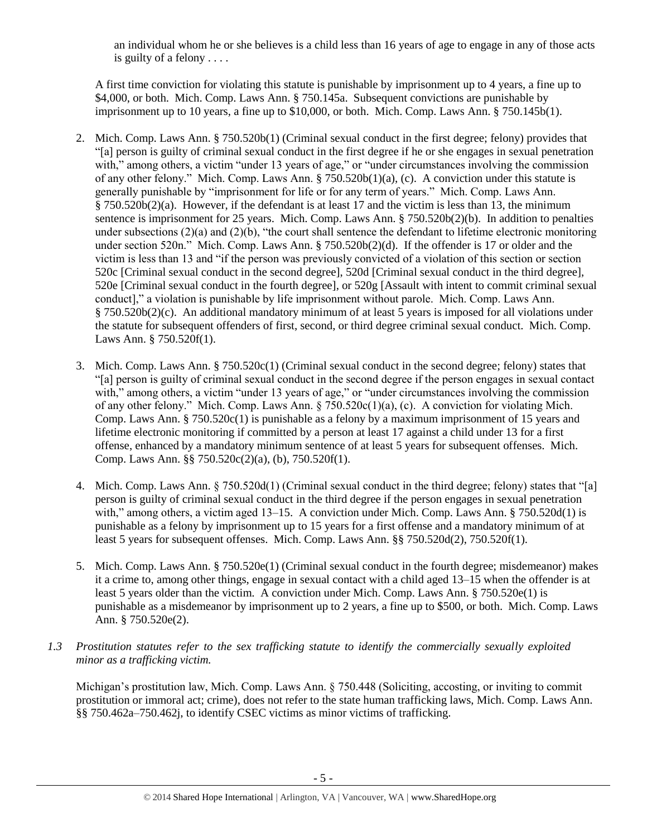an individual whom he or she believes is a child less than 16 years of age to engage in any of those acts is guilty of a felony . . . .

A first time conviction for violating this statute is punishable by imprisonment up to 4 years, a fine up to \$4,000, or both. Mich. Comp. Laws Ann. § 750.145a. Subsequent convictions are punishable by imprisonment up to 10 years, a fine up to \$10,000, or both. Mich. Comp. Laws Ann. § 750.145b(1).

- 2. Mich. Comp. Laws Ann. § 750.520b(1) (Criminal sexual conduct in the first degree; felony) provides that "[a] person is guilty of criminal sexual conduct in the first degree if he or she engages in sexual penetration with," among others, a victim "under 13 years of age," or "under circumstances involving the commission of any other felony." Mich. Comp. Laws Ann. § 750.520b(1)(a), (c). A conviction under this statute is generally punishable by "imprisonment for life or for any term of years." Mich. Comp. Laws Ann. § 750.520b(2)(a). However, if the defendant is at least 17 and the victim is less than 13, the minimum sentence is imprisonment for 25 years. Mich. Comp. Laws Ann. § 750.520b(2)(b). In addition to penalties under subsections  $(2)(a)$  and  $(2)(b)$ , "the court shall sentence the defendant to lifetime electronic monitoring under section 520n." Mich. Comp. Laws Ann. § 750.520b(2)(d). If the offender is 17 or older and the victim is less than 13 and "if the person was previously convicted of a violation of this section or section 520c [Criminal sexual conduct in the second degree], 520d [Criminal sexual conduct in the third degree], 520e [Criminal sexual conduct in the fourth degree], or 520g [Assault with intent to commit criminal sexual conduct]," a violation is punishable by life imprisonment without parole. Mich. Comp. Laws Ann. § 750.520b(2)(c). An additional mandatory minimum of at least 5 years is imposed for all violations under the statute for subsequent offenders of first, second, or third degree criminal sexual conduct. Mich. Comp. Laws Ann. § 750.520f(1).
- 3. Mich. Comp. Laws Ann. § 750.520c(1) (Criminal sexual conduct in the second degree; felony) states that "[a] person is guilty of criminal sexual conduct in the second degree if the person engages in sexual contact with," among others, a victim "under 13 years of age," or "under circumstances involving the commission of any other felony." Mich. Comp. Laws Ann.  $\S 750.520c(1)(a)$ , (c). A conviction for violating Mich. Comp. Laws Ann. § 750.520c(1) is punishable as a felony by a maximum imprisonment of 15 years and lifetime electronic monitoring if committed by a person at least 17 against a child under 13 for a first offense, enhanced by a mandatory minimum sentence of at least 5 years for subsequent offenses. Mich. Comp. Laws Ann. §§ 750.520c(2)(a), (b), 750.520f(1).
- 4. Mich. Comp. Laws Ann. § 750.520d(1) (Criminal sexual conduct in the third degree; felony) states that "[a] person is guilty of criminal sexual conduct in the third degree if the person engages in sexual penetration with," among others, a victim aged 13–15. A conviction under Mich. Comp. Laws Ann. § 750.520d(1) is punishable as a felony by imprisonment up to 15 years for a first offense and a mandatory minimum of at least 5 years for subsequent offenses. Mich. Comp. Laws Ann. §§ 750.520d(2), 750.520f(1).
- 5. Mich. Comp. Laws Ann. § 750.520e(1) (Criminal sexual conduct in the fourth degree; misdemeanor) makes it a crime to, among other things, engage in sexual contact with a child aged 13–15 when the offender is at least 5 years older than the victim. A conviction under Mich. Comp. Laws Ann. § 750.520e(1) is punishable as a misdemeanor by imprisonment up to 2 years, a fine up to \$500, or both. Mich. Comp. Laws Ann. § 750.520e(2).
- *1.3 Prostitution statutes refer to the sex trafficking statute to identify the commercially sexually exploited minor as a trafficking victim.*

Michigan's prostitution law, Mich. Comp. Laws Ann. § 750.448 (Soliciting, accosting, or inviting to commit prostitution or immoral act; crime), does not refer to the state human trafficking laws, Mich. Comp. Laws Ann. §§ 750.462a–750.462j, to identify CSEC victims as minor victims of trafficking.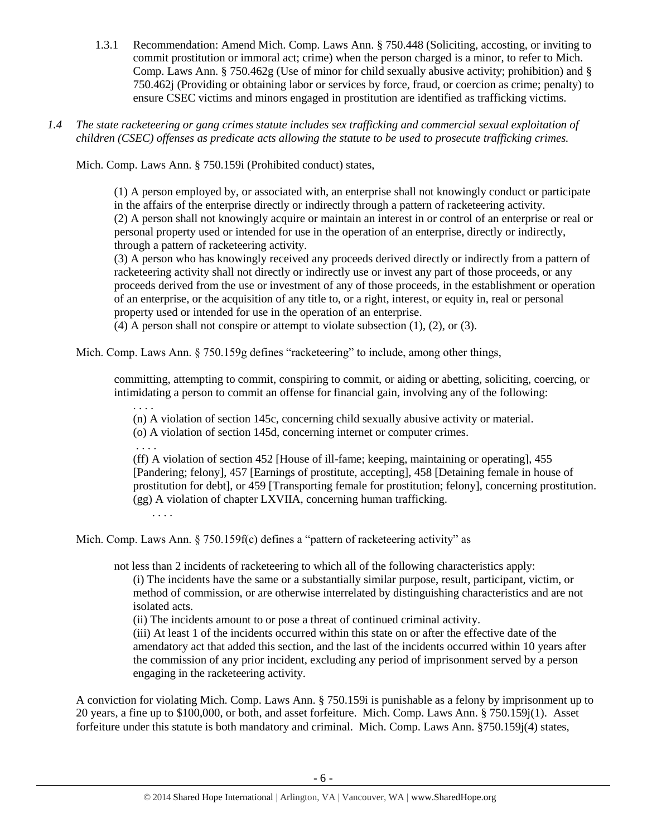- 1.3.1 Recommendation: Amend Mich. Comp. Laws Ann. § 750.448 (Soliciting, accosting, or inviting to commit prostitution or immoral act; crime) when the person charged is a minor, to refer to Mich. Comp. Laws Ann. § 750.462g (Use of minor for child sexually abusive activity; prohibition) and § 750.462j (Providing or obtaining labor or services by force, fraud, or coercion as crime; penalty) to ensure CSEC victims and minors engaged in prostitution are identified as trafficking victims.
- *1.4 The state racketeering or gang crimes statute includes sex trafficking and commercial sexual exploitation of children (CSEC) offenses as predicate acts allowing the statute to be used to prosecute trafficking crimes.*

Mich. Comp. Laws Ann. § 750.159i (Prohibited conduct) states,

(1) A person employed by, or associated with, an enterprise shall not knowingly conduct or participate in the affairs of the enterprise directly or indirectly through a pattern of racketeering activity. (2) A person shall not knowingly acquire or maintain an interest in or control of an enterprise or real or personal property used or intended for use in the operation of an enterprise, directly or indirectly, through a pattern of racketeering activity.

(3) A person who has knowingly received any proceeds derived directly or indirectly from a pattern of racketeering activity shall not directly or indirectly use or invest any part of those proceeds, or any proceeds derived from the use or investment of any of those proceeds, in the establishment or operation of an enterprise, or the acquisition of any title to, or a right, interest, or equity in, real or personal property used or intended for use in the operation of an enterprise.

(4) A person shall not conspire or attempt to violate subsection (1), (2), or (3).

Mich. Comp. Laws Ann.  $\S$  750.159g defines "racketeering" to include, among other things,

committing, attempting to commit, conspiring to commit, or aiding or abetting, soliciting, coercing, or intimidating a person to commit an offense for financial gain, involving any of the following:

(n) A violation of section 145c, concerning child sexually abusive activity or material.

(o) A violation of section 145d, concerning internet or computer crimes.

. . . .

. . . .

(ff) A violation of section 452 [House of ill-fame; keeping, maintaining or operating], 455 [Pandering; felony], 457 [Earnings of prostitute, accepting], 458 [Detaining female in house of prostitution for debt], or 459 [Transporting female for prostitution; felony], concerning prostitution. (gg) A violation of chapter LXVIIA, concerning human trafficking.

. . . .

Mich. Comp. Laws Ann. § 750.159f(c) defines a "pattern of racketeering activity" as

not less than 2 incidents of racketeering to which all of the following characteristics apply:

(i) The incidents have the same or a substantially similar purpose, result, participant, victim, or method of commission, or are otherwise interrelated by distinguishing characteristics and are not isolated acts.

(ii) The incidents amount to or pose a threat of continued criminal activity.

(iii) At least 1 of the incidents occurred within this state on or after the effective date of the amendatory act that added this section, and the last of the incidents occurred within 10 years after the commission of any prior incident, excluding any period of imprisonment served by a person engaging in the racketeering activity.

A conviction for violating Mich. Comp. Laws Ann. § 750.159i is punishable as a felony by imprisonment up to 20 years, a fine up to \$100,000, or both, and asset forfeiture. Mich. Comp. Laws Ann. § 750.159j(1). Asset forfeiture under this statute is both mandatory and criminal. Mich. Comp. Laws Ann. §750.159j(4) states,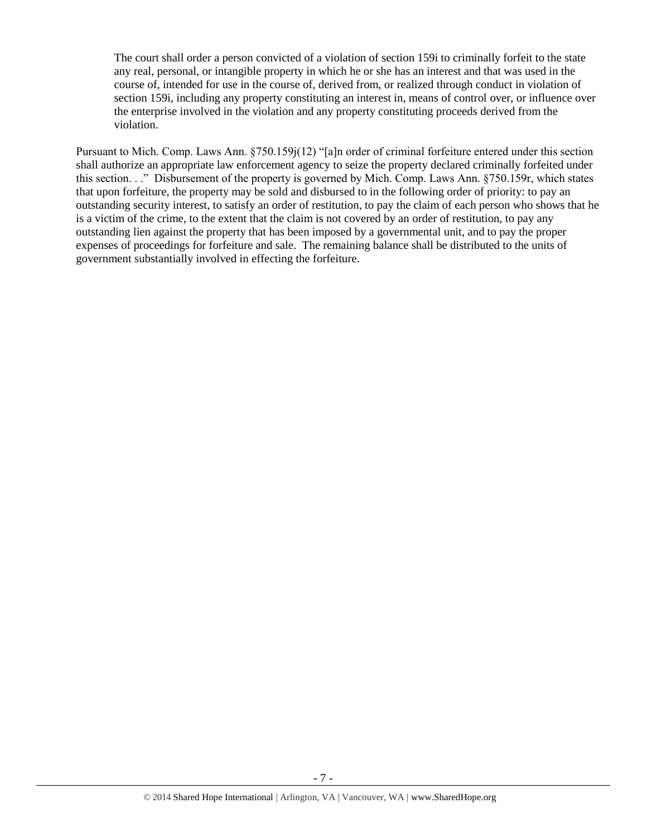The court shall order a person convicted of a violation of section 159i to criminally forfeit to the state any real, personal, or intangible property in which he or she has an interest and that was used in the course of, intended for use in the course of, derived from, or realized through conduct in violation of section 159i, including any property constituting an interest in, means of control over, or influence over the enterprise involved in the violation and any property constituting proceeds derived from the violation.

Pursuant to Mich. Comp. Laws Ann. §750.159j(12) "[a]n order of criminal forfeiture entered under this section shall authorize an appropriate law enforcement agency to seize the property declared criminally forfeited under this section. . ." Disbursement of the property is governed by Mich. Comp. Laws Ann. §750.159r, which states that upon forfeiture, the property may be sold and disbursed to in the following order of priority: to pay an outstanding security interest, to satisfy an order of restitution, to pay the claim of each person who shows that he is a victim of the crime, to the extent that the claim is not covered by an order of restitution, to pay any outstanding lien against the property that has been imposed by a governmental unit, and to pay the proper expenses of proceedings for forfeiture and sale. The remaining balance shall be distributed to the units of government substantially involved in effecting the forfeiture.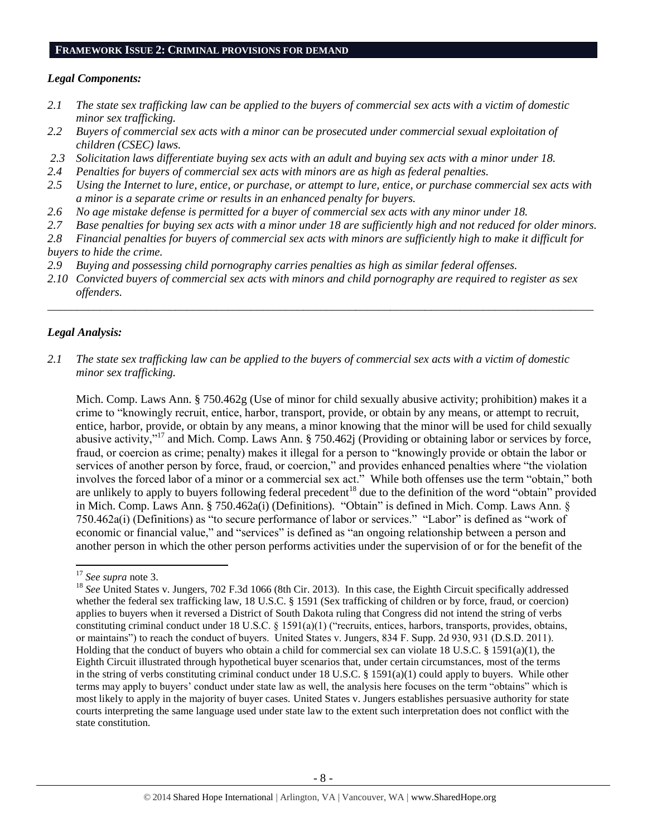#### **FRAMEWORK ISSUE 2: CRIMINAL PROVISIONS FOR DEMAND**

#### *Legal Components:*

- *2.1 The state sex trafficking law can be applied to the buyers of commercial sex acts with a victim of domestic minor sex trafficking.*
- *2.2 Buyers of commercial sex acts with a minor can be prosecuted under commercial sexual exploitation of children (CSEC) laws.*
- *2.3 Solicitation laws differentiate buying sex acts with an adult and buying sex acts with a minor under 18.*
- *2.4 Penalties for buyers of commercial sex acts with minors are as high as federal penalties.*
- *2.5 Using the Internet to lure, entice, or purchase, or attempt to lure, entice, or purchase commercial sex acts with a minor is a separate crime or results in an enhanced penalty for buyers.*
- *2.6 No age mistake defense is permitted for a buyer of commercial sex acts with any minor under 18.*
- *2.7 Base penalties for buying sex acts with a minor under 18 are sufficiently high and not reduced for older minors.*
- *2.8 Financial penalties for buyers of commercial sex acts with minors are sufficiently high to make it difficult for buyers to hide the crime.*
- *2.9 Buying and possessing child pornography carries penalties as high as similar federal offenses.*
- *2.10 Convicted buyers of commercial sex acts with minors and child pornography are required to register as sex offenders.*

\_\_\_\_\_\_\_\_\_\_\_\_\_\_\_\_\_\_\_\_\_\_\_\_\_\_\_\_\_\_\_\_\_\_\_\_\_\_\_\_\_\_\_\_\_\_\_\_\_\_\_\_\_\_\_\_\_\_\_\_\_\_\_\_\_\_\_\_\_\_\_\_\_\_\_\_\_\_\_\_\_\_\_\_\_\_\_\_\_\_\_\_\_\_

## *Legal Analysis:*

*2.1 The state sex trafficking law can be applied to the buyers of commercial sex acts with a victim of domestic minor sex trafficking.*

Mich. Comp. Laws Ann. § 750.462g (Use of minor for child sexually abusive activity; prohibition) makes it a crime to "knowingly recruit, entice, harbor, transport, provide, or obtain by any means, or attempt to recruit, entice, harbor, provide, or obtain by any means, a minor knowing that the minor will be used for child sexually abusive activity,"<sup>17</sup> and Mich. Comp. Laws Ann. § 750.462j (Providing or obtaining labor or services by force, fraud, or coercion as crime; penalty) makes it illegal for a person to "knowingly provide or obtain the labor or services of another person by force, fraud, or coercion," and provides enhanced penalties where "the violation involves the forced labor of a minor or a commercial sex act." While both offenses use the term "obtain," both are unlikely to apply to buyers following federal precedent<sup>18</sup> due to the definition of the word "obtain" provided in Mich. Comp. Laws Ann. § 750.462a(i) (Definitions). "Obtain" is defined in Mich. Comp. Laws Ann. § 750.462a(i) (Definitions) as "to secure performance of labor or services." "Labor" is defined as "work of economic or financial value," and "services" is defined as "an ongoing relationship between a person and another person in which the other person performs activities under the supervision of or for the benefit of the

 $\overline{a}$ 

<sup>17</sup> *See supra* note [3.](#page-1-0)

<sup>&</sup>lt;sup>18</sup> See United States v. Jungers, 702 F.3d 1066 (8th Cir. 2013). In this case, the Eighth Circuit specifically addressed whether the federal sex trafficking law, 18 U.S.C. § 1591 (Sex trafficking of children or by force, fraud, or coercion) applies to buyers when it reversed a District of South Dakota ruling that Congress did not intend the string of verbs constituting criminal conduct under 18 U.S.C. § 1591(a)(1) ("recruits, entices, harbors, transports, provides, obtains, or maintains") to reach the conduct of buyers. United States v. Jungers, 834 F. Supp. 2d 930, 931 (D.S.D. 2011). Holding that the conduct of buyers who obtain a child for commercial sex can violate 18 U.S.C. § 1591(a)(1), the Eighth Circuit illustrated through hypothetical buyer scenarios that, under certain circumstances, most of the terms in the string of verbs constituting criminal conduct under 18 U.S.C. § 1591(a)(1) could apply to buyers. While other terms may apply to buyers' conduct under state law as well, the analysis here focuses on the term "obtains" which is most likely to apply in the majority of buyer cases. United States v. Jungers establishes persuasive authority for state courts interpreting the same language used under state law to the extent such interpretation does not conflict with the state constitution.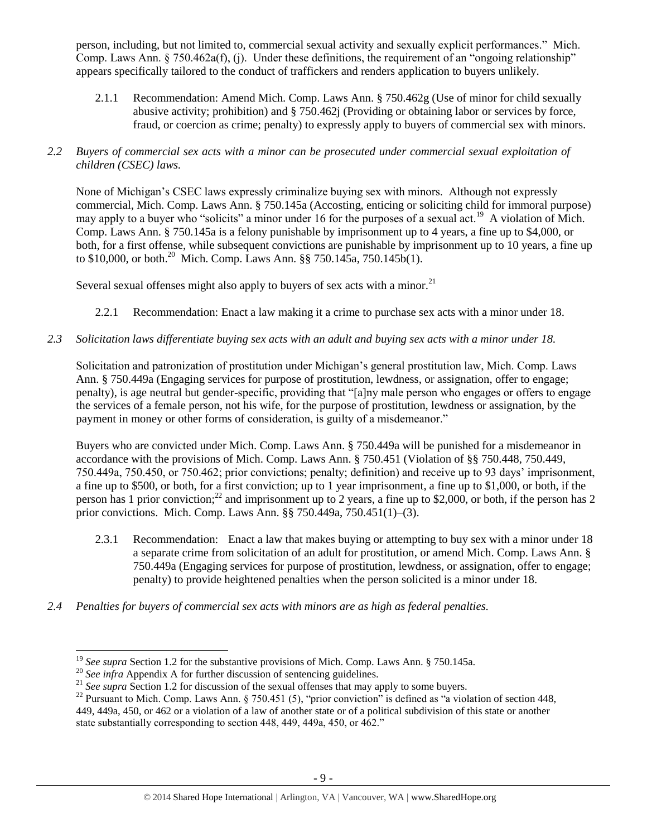person, including, but not limited to, commercial sexual activity and sexually explicit performances." Mich. Comp. Laws Ann. § 750.462a(f), (j). Under these definitions, the requirement of an "ongoing relationship" appears specifically tailored to the conduct of traffickers and renders application to buyers unlikely.

- 2.1.1 Recommendation: Amend Mich. Comp. Laws Ann. § 750.462g (Use of minor for child sexually abusive activity; prohibition) and § 750.462j (Providing or obtaining labor or services by force, fraud, or coercion as crime; penalty) to expressly apply to buyers of commercial sex with minors.
- *2.2 Buyers of commercial sex acts with a minor can be prosecuted under commercial sexual exploitation of children (CSEC) laws.*

None of Michigan's CSEC laws expressly criminalize buying sex with minors. Although not expressly commercial, Mich. Comp. Laws Ann. § 750.145a (Accosting, enticing or soliciting child for immoral purpose) may apply to a buyer who "solicits" a minor under 16 for the purposes of a sexual act.<sup>19</sup> A violation of Mich. Comp. Laws Ann. § 750.145a is a felony punishable by imprisonment up to 4 years, a fine up to \$4,000, or both, for a first offense, while subsequent convictions are punishable by imprisonment up to 10 years, a fine up to \$10,000, or both.<sup>20</sup> Mich. Comp. Laws Ann. §§ 750.145a, 750.145b(1).

Several sexual offenses might also apply to buyers of sex acts with a minor.<sup>21</sup>

- 2.2.1 Recommendation: Enact a law making it a crime to purchase sex acts with a minor under 18.
- *2.3 Solicitation laws differentiate buying sex acts with an adult and buying sex acts with a minor under 18.*

Solicitation and patronization of prostitution under Michigan's general prostitution law, Mich. Comp. Laws Ann. § 750.449a (Engaging services for purpose of prostitution, lewdness, or assignation, offer to engage; penalty), is age neutral but gender-specific, providing that "[a]ny male person who engages or offers to engage the services of a female person, not his wife, for the purpose of prostitution, lewdness or assignation, by the payment in money or other forms of consideration, is guilty of a misdemeanor."

Buyers who are convicted under Mich. Comp. Laws Ann. § 750.449a will be punished for a misdemeanor in accordance with the provisions of Mich. Comp. Laws Ann. § 750.451 (Violation of §§ 750.448, 750.449, 750.449a, 750.450, or 750.462; prior convictions; penalty; definition) and receive up to 93 days' imprisonment, a fine up to \$500, or both, for a first conviction; up to 1 year imprisonment, a fine up to \$1,000, or both, if the person has 1 prior conviction;<sup>22</sup> and imprisonment up to 2 years, a fine up to \$2,000, or both, if the person has 2 prior convictions. Mich. Comp. Laws Ann. §§ 750.449a, 750.451(1)–(3).

- 2.3.1 Recommendation: Enact a law that makes buying or attempting to buy sex with a minor under 18 a separate crime from solicitation of an adult for prostitution, or amend Mich. Comp. Laws Ann. § 750.449a (Engaging services for purpose of prostitution, lewdness, or assignation, offer to engage; penalty) to provide heightened penalties when the person solicited is a minor under 18.
- *2.4 Penalties for buyers of commercial sex acts with minors are as high as federal penalties.*

 $\overline{\phantom{a}}$ 

<sup>&</sup>lt;sup>19</sup> *See supra* Section 1.2 for the substantive provisions of Mich. Comp. Laws Ann. § 750.145a.

<sup>&</sup>lt;sup>20</sup> See infra Appendix A for further discussion of sentencing guidelines.

<sup>&</sup>lt;sup>21</sup> See supra Section 1.2 for discussion of the sexual offenses that may apply to some buyers.

<sup>&</sup>lt;sup>22</sup> Pursuant to Mich. Comp. Laws Ann. § 750.451 (5), "prior conviction" is defined as "a violation of section 448, 449, 449a, 450, or 462 or a violation of a law of another state or of a political subdivision of this state or another state substantially corresponding to section 448, 449, 449a, 450, or 462."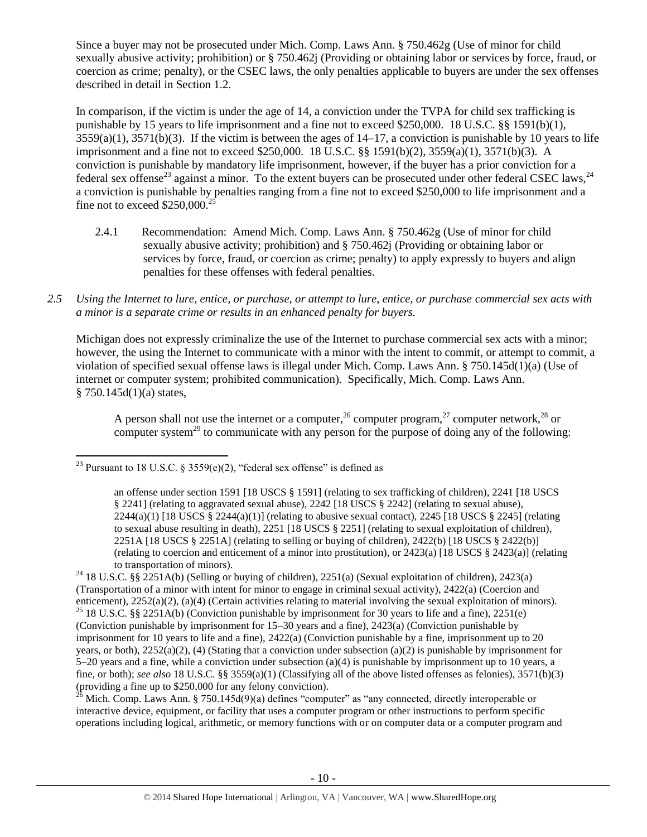Since a buyer may not be prosecuted under Mich. Comp. Laws Ann. § 750.462g (Use of minor for child sexually abusive activity; prohibition) or § 750.462j (Providing or obtaining labor or services by force, fraud, or coercion as crime; penalty), or the CSEC laws, the only penalties applicable to buyers are under the sex offenses described in detail in Section 1.2.

In comparison, if the victim is under the age of 14, a conviction under the TVPA for child sex trafficking is punishable by 15 years to life imprisonment and a fine not to exceed \$250,000. 18 U.S.C. §§ 1591(b)(1),  $3559(a)(1)$ ,  $3571(b)(3)$ . If the victim is between the ages of  $14-17$ , a conviction is punishable by 10 years to life imprisonment and a fine not to exceed \$250,000. 18 U.S.C. §§ 1591(b)(2), 3559(a)(1), 3571(b)(3). A conviction is punishable by mandatory life imprisonment, however, if the buyer has a prior conviction for a federal sex offense<sup>23</sup> against a minor. To the extent buyers can be prosecuted under other federal CSEC laws,  $^{24}$ a conviction is punishable by penalties ranging from a fine not to exceed \$250,000 to life imprisonment and a fine not to exceed  $$250,000.<sup>2</sup>$ 

- <span id="page-9-0"></span>2.4.1 Recommendation: Amend Mich. Comp. Laws Ann. § 750.462g (Use of minor for child sexually abusive activity; prohibition) and § 750.462j (Providing or obtaining labor or services by force, fraud, or coercion as crime; penalty) to apply expressly to buyers and align penalties for these offenses with federal penalties.
- *2.5 Using the Internet to lure, entice, or purchase, or attempt to lure, entice, or purchase commercial sex acts with a minor is a separate crime or results in an enhanced penalty for buyers.*

Michigan does not expressly criminalize the use of the Internet to purchase commercial sex acts with a minor; however, the using the Internet to communicate with a minor with the intent to commit, or attempt to commit, a violation of specified sexual offense laws is illegal under Mich. Comp. Laws Ann. § 750.145d(1)(a) (Use of internet or computer system; prohibited communication). Specifically, Mich. Comp. Laws Ann.  $§ 750.145d(1)(a) states,$ 

<span id="page-9-4"></span><span id="page-9-3"></span><span id="page-9-2"></span><span id="page-9-1"></span>A person shall not use the internet or a computer,<sup>26</sup> computer program,<sup>27</sup> computer network,<sup>28</sup> or computer system<sup>29</sup> to communicate with any person for the purpose of doing any of the following:

Mich. Comp. Laws Ann. § 750.145d(9)(a) defines "computer" as "any connected, directly interoperable or interactive device, equipment, or facility that uses a computer program or other instructions to perform specific operations including logical, arithmetic, or memory functions with or on computer data or a computer program and

 $\overline{a}$ <sup>23</sup> Pursuant to 18 U.S.C. § 3559 $(e)(2)$ , "federal sex offense" is defined as

an offense under section 1591 [18 USCS § 1591] (relating to sex trafficking of children), 2241 [18 USCS § 2241] (relating to aggravated sexual abuse), 2242 [18 USCS § 2242] (relating to sexual abuse),  $2244(a)(1)$  [18 USCS §  $2244(a)(1)$ ] (relating to abusive sexual contact),  $2245$  [18 USCS § 2245] (relating to sexual abuse resulting in death), 2251 [18 USCS § 2251] (relating to sexual exploitation of children), 2251A [18 USCS § 2251A] (relating to selling or buying of children), 2422(b) [18 USCS § 2422(b)] (relating to coercion and enticement of a minor into prostitution), or 2423(a) [18 USCS § 2423(a)] (relating to transportation of minors).

<sup>24</sup> 18 U.S.C. §§ 2251A(b) (Selling or buying of children), 2251(a) (Sexual exploitation of children), 2423(a) (Transportation of a minor with intent for minor to engage in criminal sexual activity), 2422(a) (Coercion and enticement), 2252(a)(2), (a)(4) (Certain activities relating to material involving the sexual exploitation of minors). <sup>25</sup> 18 U.S.C. §§ 2251A(b) (Conviction punishable by imprisonment for 30 years to life and a fine), 2251(e) (Conviction punishable by imprisonment for 15–30 years and a fine), 2423(a) (Conviction punishable by imprisonment for 10 years to life and a fine), 2422(a) (Conviction punishable by a fine, imprisonment up to 20 years, or both),  $2252(a)(2)$ , (4) (Stating that a conviction under subsection (a)(2) is punishable by imprisonment for 5–20 years and a fine, while a conviction under subsection (a)(4) is punishable by imprisonment up to 10 years, a fine, or both); *see also* 18 U.S.C. §§ 3559(a)(1) (Classifying all of the above listed offenses as felonies), 3571(b)(3) (providing a fine up to \$250,000 for any felony conviction).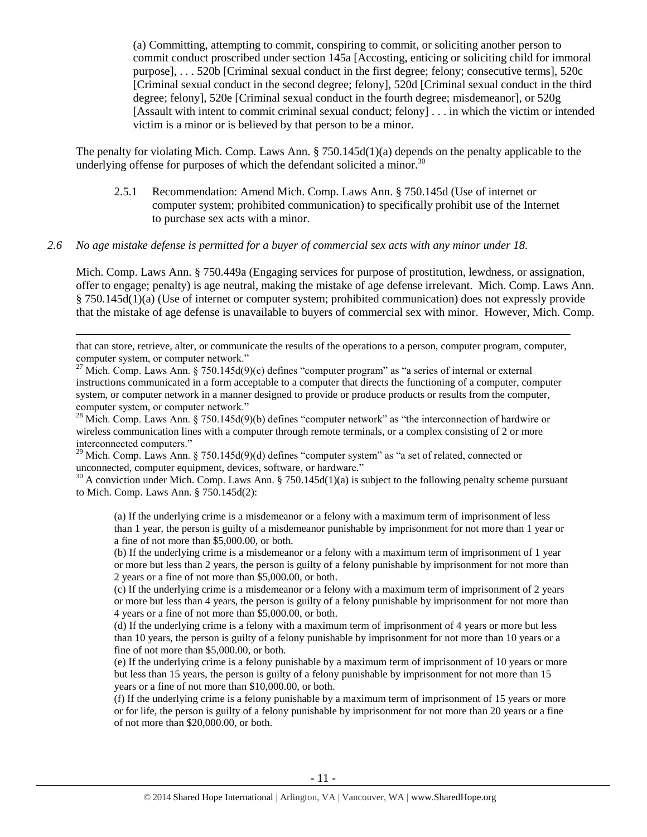(a) Committing, attempting to commit, conspiring to commit, or soliciting another person to commit conduct proscribed under section 145a [Accosting, enticing or soliciting child for immoral purpose], . . . 520b [Criminal sexual conduct in the first degree; felony; consecutive terms], 520c [Criminal sexual conduct in the second degree; felony], 520d [Criminal sexual conduct in the third degree; felony], 520e [Criminal sexual conduct in the fourth degree; misdemeanor], or 520g [Assault with intent to commit criminal sexual conduct; felony] . . . in which the victim or intended victim is a minor or is believed by that person to be a minor.

The penalty for violating Mich. Comp. Laws Ann. § 750.145d(1)(a) depends on the penalty applicable to the underlying offense for purposes of which the defendant solicited a minor.<sup>30</sup>

<span id="page-10-0"></span>2.5.1 Recommendation: Amend Mich. Comp. Laws Ann. § 750.145d (Use of internet or computer system; prohibited communication) to specifically prohibit use of the Internet to purchase sex acts with a minor.

#### *2.6 No age mistake defense is permitted for a buyer of commercial sex acts with any minor under 18.*

l

Mich. Comp. Laws Ann. § 750.449a (Engaging services for purpose of prostitution, lewdness, or assignation, offer to engage; penalty) is age neutral, making the mistake of age defense irrelevant. Mich. Comp. Laws Ann. § 750.145d(1)(a) (Use of internet or computer system; prohibited communication) does not expressly provide that the mistake of age defense is unavailable to buyers of commercial sex with minor. However, Mich. Comp.

that can store, retrieve, alter, or communicate the results of the operations to a person, computer program, computer, computer system, or computer network."

<sup>27</sup> Mich. Comp. Laws Ann. § 750.145d(9)(c) defines "computer program" as "a series of internal or external instructions communicated in a form acceptable to a computer that directs the functioning of a computer, computer system, or computer network in a manner designed to provide or produce products or results from the computer, computer system, or computer network."

 $^{28}$  Mich. Comp. Laws Ann. § 750.145d(9)(b) defines "computer network" as "the interconnection of hardwire or wireless communication lines with a computer through remote terminals, or a complex consisting of 2 or more interconnected computers."

<sup>29</sup> Mich. Comp. Laws Ann. § 750.145d(9)(d) defines "computer system" as "a set of related, connected or unconnected, computer equipment, devices, software, or hardware."

 $30$  A conviction under Mich. Comp. Laws Ann. § 750.145d(1)(a) is subject to the following penalty scheme pursuant to Mich. Comp. Laws Ann. § 750.145d(2):

(a) If the underlying crime is a misdemeanor or a felony with a maximum term of imprisonment of less than 1 year, the person is guilty of a misdemeanor punishable by imprisonment for not more than 1 year or a fine of not more than \$5,000.00, or both.

(b) If the underlying crime is a misdemeanor or a felony with a maximum term of imprisonment of 1 year or more but less than 2 years, the person is guilty of a felony punishable by imprisonment for not more than 2 years or a fine of not more than \$5,000.00, or both.

(c) If the underlying crime is a misdemeanor or a felony with a maximum term of imprisonment of 2 years or more but less than 4 years, the person is guilty of a felony punishable by imprisonment for not more than 4 years or a fine of not more than \$5,000.00, or both.

(d) If the underlying crime is a felony with a maximum term of imprisonment of 4 years or more but less than 10 years, the person is guilty of a felony punishable by imprisonment for not more than 10 years or a fine of not more than \$5,000.00, or both.

(e) If the underlying crime is a felony punishable by a maximum term of imprisonment of 10 years or more but less than 15 years, the person is guilty of a felony punishable by imprisonment for not more than 15 years or a fine of not more than \$10,000.00, or both.

(f) If the underlying crime is a felony punishable by a maximum term of imprisonment of 15 years or more or for life, the person is guilty of a felony punishable by imprisonment for not more than 20 years or a fine of not more than \$20,000.00, or both.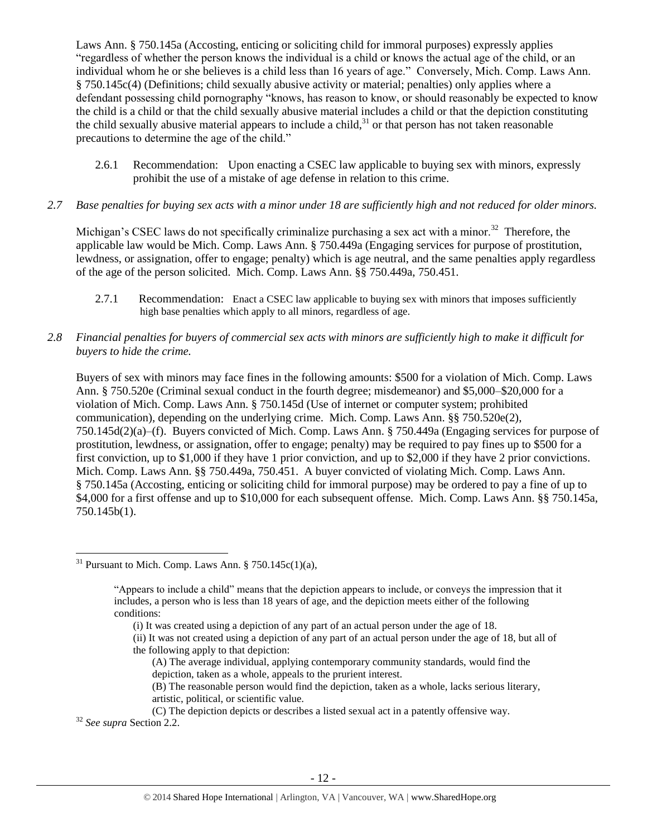Laws Ann. § 750.145a (Accosting, enticing or soliciting child for immoral purposes) expressly applies "regardless of whether the person knows the individual is a child or knows the actual age of the child, or an individual whom he or she believes is a child less than 16 years of age." Conversely, Mich. Comp. Laws Ann. § 750.145c(4) (Definitions; child sexually abusive activity or material; penalties) only applies where a defendant possessing child pornography "knows, has reason to know, or should reasonably be expected to know the child is a child or that the child sexually abusive material includes a child or that the depiction constituting the child sexually abusive material appears to include a child, $3<sup>1</sup>$  or that person has not taken reasonable precautions to determine the age of the child."

- 2.6.1 Recommendation: Upon enacting a CSEC law applicable to buying sex with minors, expressly prohibit the use of a mistake of age defense in relation to this crime.
- *2.7 Base penalties for buying sex acts with a minor under 18 are sufficiently high and not reduced for older minors.*

Michigan's CSEC laws do not specifically criminalize purchasing a sex act with a minor.<sup>32</sup> Therefore, the applicable law would be Mich. Comp. Laws Ann. § 750.449a (Engaging services for purpose of prostitution, lewdness, or assignation, offer to engage; penalty) which is age neutral, and the same penalties apply regardless of the age of the person solicited. Mich. Comp. Laws Ann. §§ 750.449a, 750.451.

- 2.7.1 Recommendation: Enact a CSEC law applicable to buying sex with minors that imposes sufficiently high base penalties which apply to all minors, regardless of age.
- *2.8 Financial penalties for buyers of commercial sex acts with minors are sufficiently high to make it difficult for buyers to hide the crime.*

Buyers of sex with minors may face fines in the following amounts: \$500 for a violation of Mich. Comp. Laws Ann. § 750.520e (Criminal sexual conduct in the fourth degree; misdemeanor) and \$5,000–\$20,000 for a violation of Mich. Comp. Laws Ann. § 750.145d (Use of internet or computer system; prohibited communication), depending on the underlying crime. Mich. Comp. Laws Ann.  $\S$ § 750.520e(2), 750.145d(2)(a)–(f). Buyers convicted of Mich. Comp. Laws Ann. § 750.449a (Engaging services for purpose of prostitution, lewdness, or assignation, offer to engage; penalty) may be required to pay fines up to \$500 for a first conviction, up to \$1,000 if they have 1 prior conviction, and up to \$2,000 if they have 2 prior convictions. Mich. Comp. Laws Ann. §§ 750.449a, 750.451. A buyer convicted of violating Mich. Comp. Laws Ann. § 750.145a (Accosting, enticing or soliciting child for immoral purpose) may be ordered to pay a fine of up to \$4,000 for a first offense and up to \$10,000 for each subsequent offense. Mich. Comp. Laws Ann. §§ 750.145a, 750.145b(1).

- (ii) It was not created using a depiction of any part of an actual person under the age of 18, but all of the following apply to that depiction:
	- (A) The average individual, applying contemporary community standards, would find the depiction, taken as a whole, appeals to the prurient interest.
	- (B) The reasonable person would find the depiction, taken as a whole, lacks serious literary, artistic, political, or scientific value.

<sup>32</sup> *See supra* Section 2.2.

 $\overline{\phantom{a}}$ 

<sup>&</sup>lt;sup>31</sup> Pursuant to Mich. Comp. Laws Ann. § 750.145 $c(1)(a)$ ,

<sup>&</sup>quot;Appears to include a child" means that the depiction appears to include, or conveys the impression that it includes, a person who is less than 18 years of age, and the depiction meets either of the following conditions:

<sup>(</sup>i) It was created using a depiction of any part of an actual person under the age of 18.

<sup>(</sup>C) The depiction depicts or describes a listed sexual act in a patently offensive way.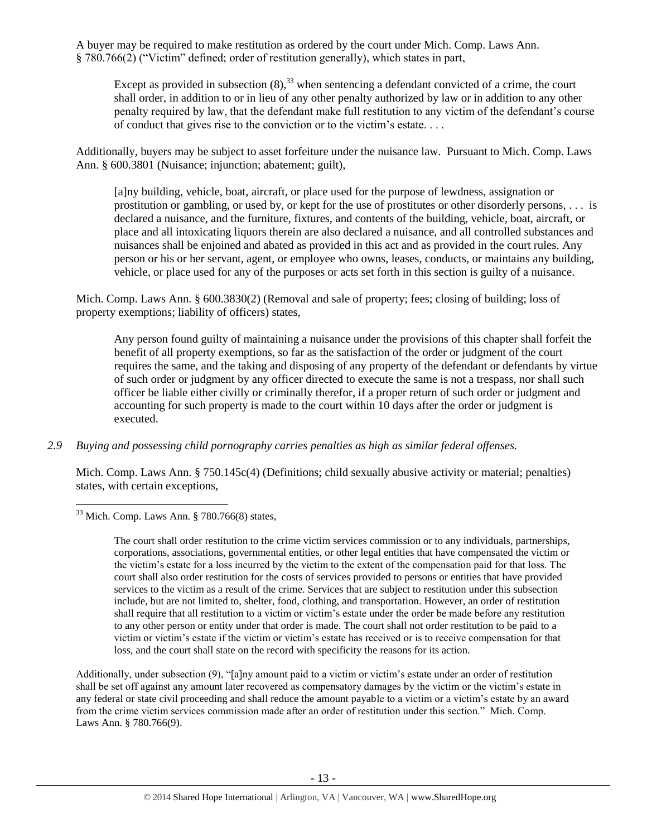A buyer may be required to make restitution as ordered by the court under Mich. Comp. Laws Ann. § 780.766(2) ("Victim" defined; order of restitution generally), which states in part,

<span id="page-12-0"></span>Except as provided in subsection  $(8)$ ,<sup>33</sup> when sentencing a defendant convicted of a crime, the court shall order, in addition to or in lieu of any other penalty authorized by law or in addition to any other penalty required by law, that the defendant make full restitution to any victim of the defendant's course of conduct that gives rise to the conviction or to the victim's estate. . . .

Additionally, buyers may be subject to asset forfeiture under the nuisance law. Pursuant to Mich. Comp. Laws Ann. § 600.3801 (Nuisance: injunction; abatement; guilt).

[a]ny building, vehicle, boat, aircraft, or place used for the purpose of lewdness, assignation or prostitution or gambling, or used by, or kept for the use of prostitutes or other disorderly persons, . . . is declared a nuisance, and the furniture, fixtures, and contents of the building, vehicle, boat, aircraft, or place and all intoxicating liquors therein are also declared a nuisance, and all controlled substances and nuisances shall be enjoined and abated as provided in this act and as provided in the court rules. Any person or his or her servant, agent, or employee who owns, leases, conducts, or maintains any building, vehicle, or place used for any of the purposes or acts set forth in this section is guilty of a nuisance.

Mich. Comp. Laws Ann. § 600.3830(2) (Removal and sale of property; fees; closing of building; loss of property exemptions; liability of officers) states,

Any person found guilty of maintaining a nuisance under the provisions of this chapter shall forfeit the benefit of all property exemptions, so far as the satisfaction of the order or judgment of the court requires the same, and the taking and disposing of any property of the defendant or defendants by virtue of such order or judgment by any officer directed to execute the same is not a trespass, nor shall such officer be liable either civilly or criminally therefor, if a proper return of such order or judgment and accounting for such property is made to the court within 10 days after the order or judgment is executed.

*2.9 Buying and possessing child pornography carries penalties as high as similar federal offenses.*

Mich. Comp. Laws Ann. § 750.145c(4) (Definitions; child sexually abusive activity or material; penalties) states, with certain exceptions,

Additionally, under subsection (9), "[a]ny amount paid to a victim or victim's estate under an order of restitution shall be set off against any amount later recovered as compensatory damages by the victim or the victim's estate in any federal or state civil proceeding and shall reduce the amount payable to a victim or a victim's estate by an award from the crime victim services commission made after an order of restitution under this section." Mich. Comp. Laws Ann. § 780.766(9).

 $\overline{\phantom{a}}$  $33$  Mich. Comp. Laws Ann. § 780.766(8) states,

The court shall order restitution to the crime victim services commission or to any individuals, partnerships, corporations, associations, governmental entities, or other legal entities that have compensated the victim or the victim's estate for a loss incurred by the victim to the extent of the compensation paid for that loss. The court shall also order restitution for the costs of services provided to persons or entities that have provided services to the victim as a result of the crime. Services that are subject to restitution under this subsection include, but are not limited to, shelter, food, clothing, and transportation. However, an order of restitution shall require that all restitution to a victim or victim's estate under the order be made before any restitution to any other person or entity under that order is made. The court shall not order restitution to be paid to a victim or victim's estate if the victim or victim's estate has received or is to receive compensation for that loss, and the court shall state on the record with specificity the reasons for its action.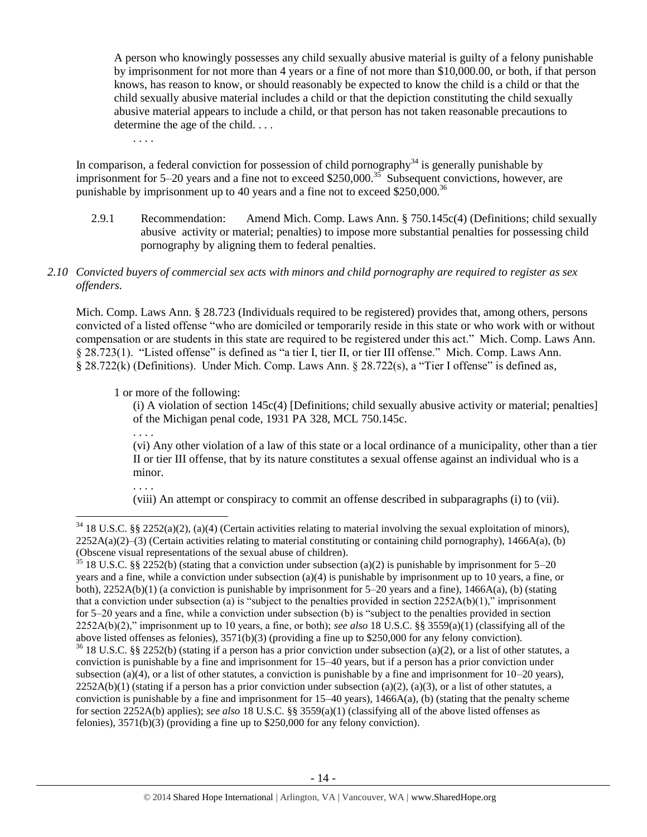A person who knowingly possesses any child sexually abusive material is guilty of a felony punishable by imprisonment for not more than 4 years or a fine of not more than \$10,000.00, or both, if that person knows, has reason to know, or should reasonably be expected to know the child is a child or that the child sexually abusive material includes a child or that the depiction constituting the child sexually abusive material appears to include a child, or that person has not taken reasonable precautions to determine the age of the child. . . .

. . . .

In comparison, a federal conviction for possession of child pornography<sup>34</sup> is generally punishable by imprisonment for 5–20 years and a fine not to exceed \$250,000.<sup>35</sup> Subsequent convictions, however, are punishable by imprisonment up to 40 years and a fine not to exceed \$250,000.<sup>36</sup>

2.9.1 Recommendation: Amend Mich. Comp. Laws Ann. § 750.145c(4) (Definitions; child sexually abusive activity or material; penalties) to impose more substantial penalties for possessing child pornography by aligning them to federal penalties.

## *2.10 Convicted buyers of commercial sex acts with minors and child pornography are required to register as sex offenders.*

Mich. Comp. Laws Ann. § 28.723 (Individuals required to be registered) provides that, among others, persons convicted of a listed offense "who are domiciled or temporarily reside in this state or who work with or without compensation or are students in this state are required to be registered under this act." Mich. Comp. Laws Ann. § 28.723(1). "Listed offense" is defined as "a tier I, tier II, or tier III offense." Mich. Comp. Laws Ann. § 28.722(k) (Definitions). Under Mich. Comp. Laws Ann. § 28.722(s), a "Tier I offense" is defined as,

1 or more of the following:

(i) A violation of section 145c(4) [Definitions; child sexually abusive activity or material; penalties] of the Michigan penal code, 1931 PA 328, MCL 750.145c.

(vi) Any other violation of a law of this state or a local ordinance of a municipality, other than a tier II or tier III offense, that by its nature constitutes a sexual offense against an individual who is a minor.

. . . .

l

. . . .

(viii) An attempt or conspiracy to commit an offense described in subparagraphs (i) to (vii).

 $34\,18$  U.S.C. §§ 2252(a)(2), (a)(4) (Certain activities relating to material involving the sexual exploitation of minors),  $2252A(a)(2)$ –(3) (Certain activities relating to material constituting or containing child pornography), 1466A(a), (b) (Obscene visual representations of the sexual abuse of children).

<sup>&</sup>lt;sup>35</sup> 18 U.S.C. §§ 2252(b) (stating that a conviction under subsection (a)(2) is punishable by imprisonment for 5–20 years and a fine, while a conviction under subsection (a)(4) is punishable by imprisonment up to 10 years, a fine, or both),  $2252A(b)(1)$  (a conviction is punishable by imprisonment for 5–20 years and a fine),  $1466A(a)$ , (b) (stating that a conviction under subsection (a) is "subject to the penalties provided in section  $2252A(b)(1)$ ," imprisonment for 5–20 years and a fine, while a conviction under subsection (b) is "subject to the penalties provided in section 2252A(b)(2)," imprisonment up to 10 years, a fine, or both); *see also* 18 U.S.C. §§ 3559(a)(1) (classifying all of the above listed offenses as felonies), 3571(b)(3) (providing a fine up to \$250,000 for any felony conviction).  $36$  18 U.S.C. §§ 2252(b) (stating if a person has a prior conviction under subsection (a)(2), or a list of other statutes, a conviction is punishable by a fine and imprisonment for 15–40 years, but if a person has a prior conviction under subsection (a)(4), or a list of other statutes, a conviction is punishable by a fine and imprisonment for  $10-20$  years),  $2252A(b)(1)$  (stating if a person has a prior conviction under subsection (a)(2), (a)(3), or a list of other statutes, a conviction is punishable by a fine and imprisonment for  $15-40$  years),  $1466A(a)$ , (b) (stating that the penalty scheme for section 2252A(b) applies); *see also* 18 U.S.C. §§ 3559(a)(1) (classifying all of the above listed offenses as felonies), 3571(b)(3) (providing a fine up to \$250,000 for any felony conviction).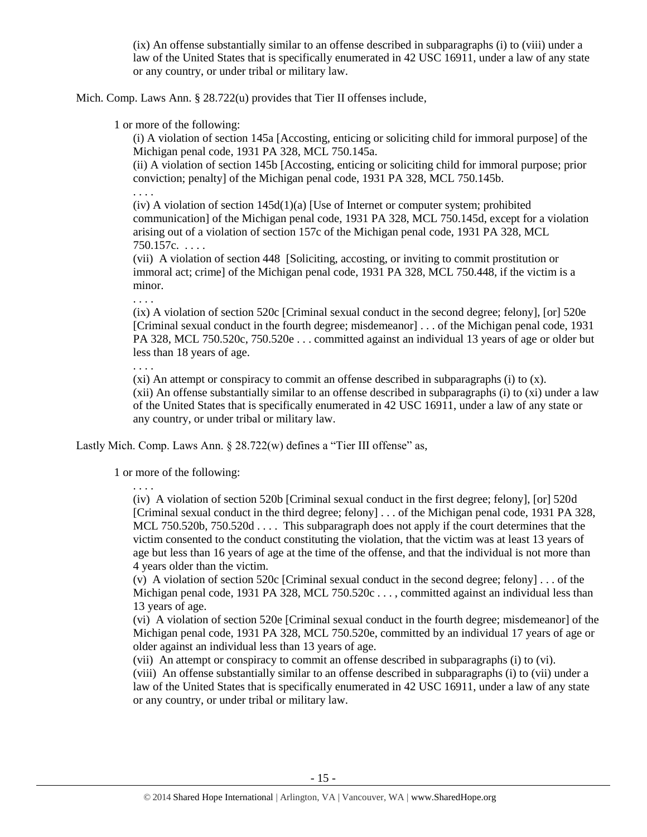(ix) An offense substantially similar to an offense described in subparagraphs (i) to (viii) under a law of the United States that is specifically enumerated in 42 USC 16911, under a law of any state or any country, or under tribal or military law.

Mich. Comp. Laws Ann. § 28.722(u) provides that Tier II offenses include,

1 or more of the following:

(i) A violation of section 145a [Accosting, enticing or soliciting child for immoral purpose] of the Michigan penal code, 1931 PA 328, MCL 750.145a.

(ii) A violation of section 145b [Accosting, enticing or soliciting child for immoral purpose; prior conviction; penalty] of the Michigan penal code, 1931 PA 328, MCL 750.145b.

. . . .

 $(iv)$  A violation of section 145d $(1)(a)$  [Use of Internet or computer system; prohibited communication] of the Michigan penal code, 1931 PA 328, MCL 750.145d, except for a violation arising out of a violation of section 157c of the Michigan penal code, 1931 PA 328, MCL 750.157c. . . . .

(vii) A violation of section 448 [Soliciting, accosting, or inviting to commit prostitution or immoral act; crime] of the Michigan penal code, 1931 PA 328, MCL 750.448, if the victim is a minor.

. . . .

(ix) A violation of section 520c [Criminal sexual conduct in the second degree; felony], [or] 520e [Criminal sexual conduct in the fourth degree; misdemeanor] . . . of the Michigan penal code, 1931 PA 328, MCL 750.520c, 750.520e . . . committed against an individual 13 years of age or older but less than 18 years of age.

. . . .

 $(xi)$  An attempt or conspiracy to commit an offense described in subparagraphs (i) to  $(x)$ .

(xii) An offense substantially similar to an offense described in subparagraphs (i) to (xi) under a law of the United States that is specifically enumerated in 42 USC 16911, under a law of any state or any country, or under tribal or military law.

Lastly Mich. Comp. Laws Ann. § 28.722(w) defines a "Tier III offense" as,

1 or more of the following:

. . . .

(iv) A violation of section 520b [Criminal sexual conduct in the first degree; felony], [or] 520d [Criminal sexual conduct in the third degree; felony] . . . of the Michigan penal code, 1931 PA 328, MCL 750.520b, 750.520d . . . . This subparagraph does not apply if the court determines that the victim consented to the conduct constituting the violation, that the victim was at least 13 years of age but less than 16 years of age at the time of the offense, and that the individual is not more than 4 years older than the victim.

(v) A violation of section 520c [Criminal sexual conduct in the second degree; felony] . . . of the Michigan penal code, 1931 PA 328, MCL 750.520c . . . , committed against an individual less than 13 years of age.

(vi) A violation of section 520e [Criminal sexual conduct in the fourth degree; misdemeanor] of the Michigan penal code, 1931 PA 328, MCL 750.520e, committed by an individual 17 years of age or older against an individual less than 13 years of age.

(vii) An attempt or conspiracy to commit an offense described in subparagraphs (i) to (vi).

(viii) An offense substantially similar to an offense described in subparagraphs (i) to (vii) under a law of the United States that is specifically enumerated in 42 USC 16911, under a law of any state or any country, or under tribal or military law.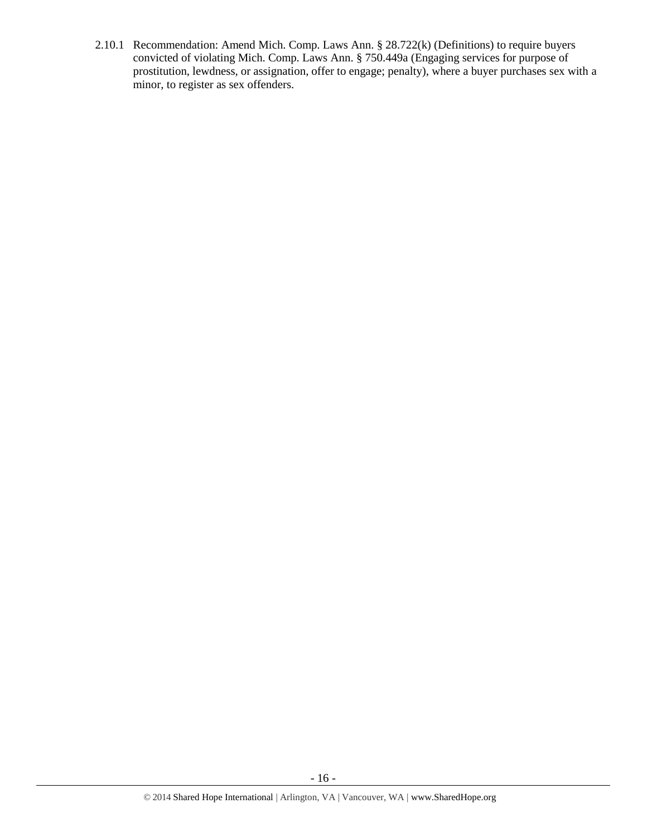2.10.1 Recommendation: Amend Mich. Comp. Laws Ann. § 28.722(k) (Definitions) to require buyers convicted of violating Mich. Comp. Laws Ann. § 750.449a (Engaging services for purpose of prostitution, lewdness, or assignation, offer to engage; penalty), where a buyer purchases sex with a minor, to register as sex offenders.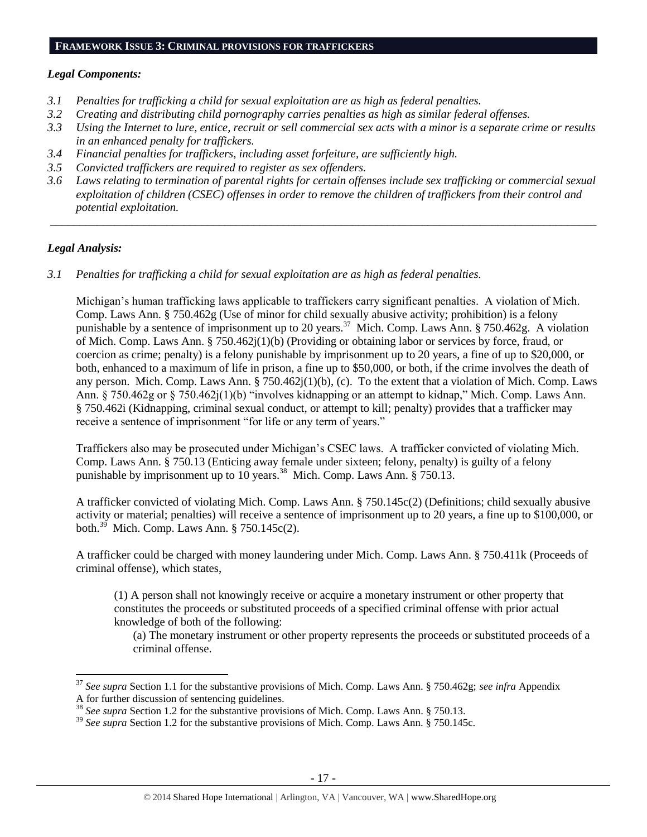#### **FRAMEWORK ISSUE 3: CRIMINAL PROVISIONS FOR TRAFFICKERS**

#### *Legal Components:*

- *3.1 Penalties for trafficking a child for sexual exploitation are as high as federal penalties.*
- *3.2 Creating and distributing child pornography carries penalties as high as similar federal offenses.*
- *3.3 Using the Internet to lure, entice, recruit or sell commercial sex acts with a minor is a separate crime or results in an enhanced penalty for traffickers.*
- *3.4 Financial penalties for traffickers, including asset forfeiture, are sufficiently high.*
- *3.5 Convicted traffickers are required to register as sex offenders.*
- *3.6 Laws relating to termination of parental rights for certain offenses include sex trafficking or commercial sexual exploitation of children (CSEC) offenses in order to remove the children of traffickers from their control and potential exploitation.*

*\_\_\_\_\_\_\_\_\_\_\_\_\_\_\_\_\_\_\_\_\_\_\_\_\_\_\_\_\_\_\_\_\_\_\_\_\_\_\_\_\_\_\_\_\_\_\_\_\_\_\_\_\_\_\_\_\_\_\_\_\_\_\_\_\_\_\_\_\_\_\_\_\_\_\_\_\_\_\_\_\_\_\_\_\_\_\_\_\_\_\_\_\_\_*

#### *Legal Analysis:*

 $\overline{a}$ 

*3.1 Penalties for trafficking a child for sexual exploitation are as high as federal penalties.* 

Michigan's human trafficking laws applicable to traffickers carry significant penalties. A violation of Mich. Comp. Laws Ann. § 750.462g (Use of minor for child sexually abusive activity; prohibition) is a felony punishable by a sentence of imprisonment up to 20 years.<sup>37</sup> Mich. Comp. Laws Ann. § 750.462g. A violation of Mich. Comp. Laws Ann. § 750.462j(1)(b) (Providing or obtaining labor or services by force, fraud, or coercion as crime; penalty) is a felony punishable by imprisonment up to 20 years, a fine of up to \$20,000, or both, enhanced to a maximum of life in prison, a fine up to \$50,000, or both, if the crime involves the death of any person. Mich. Comp. Laws Ann. § 750.462j(1)(b), (c). To the extent that a violation of Mich. Comp. Laws Ann. § 750.462g or § 750.462j(1)(b) "involves kidnapping or an attempt to kidnap," Mich. Comp. Laws Ann. § 750.462i (Kidnapping, criminal sexual conduct, or attempt to kill; penalty) provides that a trafficker may receive a sentence of imprisonment "for life or any term of years."

Traffickers also may be prosecuted under Michigan's CSEC laws. A trafficker convicted of violating Mich. Comp. Laws Ann. § 750.13 (Enticing away female under sixteen; felony, penalty) is guilty of a felony punishable by imprisonment up to 10 years.<sup>38</sup> Mich. Comp. Laws Ann. § 750.13.

A trafficker convicted of violating Mich. Comp. Laws Ann. § 750.145c(2) (Definitions; child sexually abusive activity or material; penalties) will receive a sentence of imprisonment up to 20 years, a fine up to \$100,000, or both. $^{39}$  Mich. Comp. Laws Ann. § 750.145c(2).

A trafficker could be charged with money laundering under Mich. Comp. Laws Ann. § 750.411k (Proceeds of criminal offense), which states,

(1) A person shall not knowingly receive or acquire a monetary instrument or other property that constitutes the proceeds or substituted proceeds of a specified criminal offense with prior actual knowledge of both of the following:

(a) The monetary instrument or other property represents the proceeds or substituted proceeds of a criminal offense.

<sup>37</sup> *See supra* Section 1.1 for the substantive provisions of Mich. Comp. Laws Ann. § 750.462g; *see infra* Appendix A for further discussion of sentencing guidelines.

<sup>38</sup> *See supra* Section 1.2 for the substantive provisions of Mich. Comp. Laws Ann. § 750.13.

<sup>&</sup>lt;sup>39</sup> See supra Section 1.2 for the substantive provisions of Mich. Comp. Laws Ann. § 750.145c.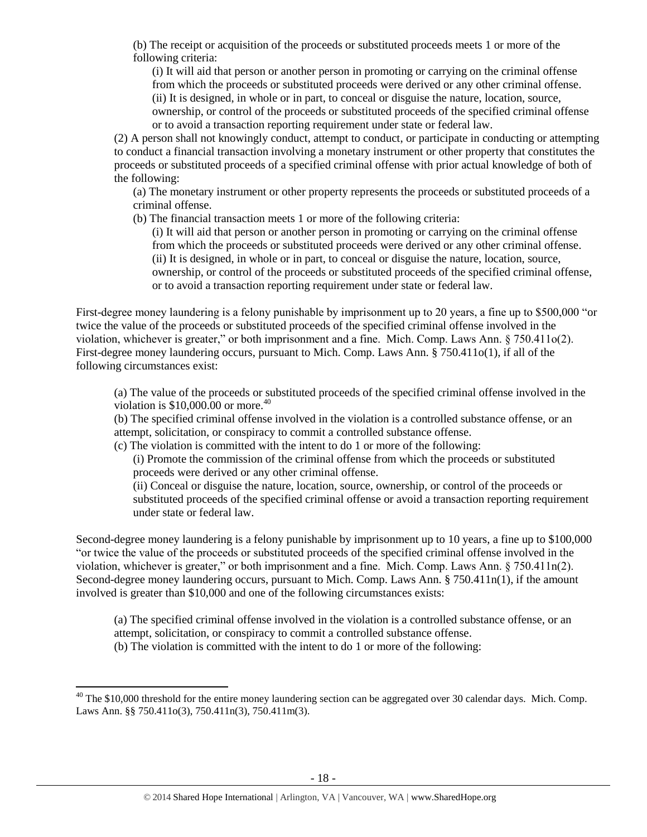(b) The receipt or acquisition of the proceeds or substituted proceeds meets 1 or more of the following criteria:

(i) It will aid that person or another person in promoting or carrying on the criminal offense from which the proceeds or substituted proceeds were derived or any other criminal offense. (ii) It is designed, in whole or in part, to conceal or disguise the nature, location, source, ownership, or control of the proceeds or substituted proceeds of the specified criminal offense or to avoid a transaction reporting requirement under state or federal law.

(2) A person shall not knowingly conduct, attempt to conduct, or participate in conducting or attempting to conduct a financial transaction involving a monetary instrument or other property that constitutes the proceeds or substituted proceeds of a specified criminal offense with prior actual knowledge of both of the following:

(a) The monetary instrument or other property represents the proceeds or substituted proceeds of a criminal offense.

(b) The financial transaction meets 1 or more of the following criteria:

(i) It will aid that person or another person in promoting or carrying on the criminal offense from which the proceeds or substituted proceeds were derived or any other criminal offense. (ii) It is designed, in whole or in part, to conceal or disguise the nature, location, source, ownership, or control of the proceeds or substituted proceeds of the specified criminal offense, or to avoid a transaction reporting requirement under state or federal law.

First-degree money laundering is a felony punishable by imprisonment up to 20 years, a fine up to \$500,000 "or twice the value of the proceeds or substituted proceeds of the specified criminal offense involved in the violation, whichever is greater," or both imprisonment and a fine. Mich. Comp. Laws Ann. § 750.411o(2). First-degree money laundering occurs, pursuant to Mich. Comp. Laws Ann. § 750.411o(1), if all of the following circumstances exist:

(a) The value of the proceeds or substituted proceeds of the specified criminal offense involved in the violation is  $$10,000.00$  or more.<sup>40</sup>

(b) The specified criminal offense involved in the violation is a controlled substance offense, or an attempt, solicitation, or conspiracy to commit a controlled substance offense.

(c) The violation is committed with the intent to do 1 or more of the following:

(i) Promote the commission of the criminal offense from which the proceeds or substituted proceeds were derived or any other criminal offense.

(ii) Conceal or disguise the nature, location, source, ownership, or control of the proceeds or substituted proceeds of the specified criminal offense or avoid a transaction reporting requirement under state or federal law.

Second-degree money laundering is a felony punishable by imprisonment up to 10 years, a fine up to \$100,000 "or twice the value of the proceeds or substituted proceeds of the specified criminal offense involved in the violation, whichever is greater," or both imprisonment and a fine. Mich. Comp. Laws Ann. § 750.411n(2). Second-degree money laundering occurs, pursuant to Mich. Comp. Laws Ann. § 750.411n(1), if the amount involved is greater than \$10,000 and one of the following circumstances exists:

(a) The specified criminal offense involved in the violation is a controlled substance offense, or an attempt, solicitation, or conspiracy to commit a controlled substance offense. (b) The violation is committed with the intent to do 1 or more of the following:

 $\overline{\phantom{a}}$ 

 $40$  The \$10,000 threshold for the entire money laundering section can be aggregated over 30 calendar days. Mich. Comp. Laws Ann. §§ 750.411o(3), 750.411n(3), 750.411m(3).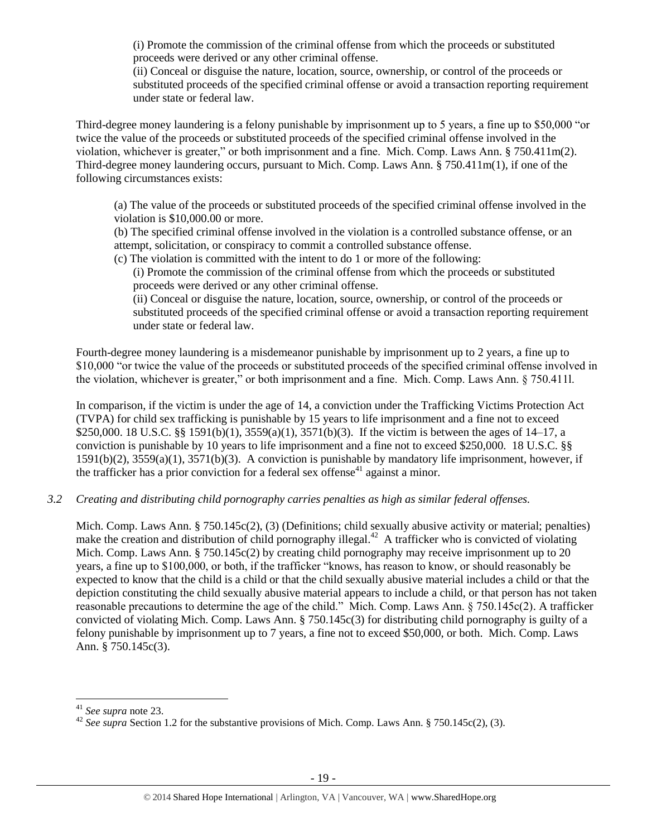(i) Promote the commission of the criminal offense from which the proceeds or substituted proceeds were derived or any other criminal offense.

(ii) Conceal or disguise the nature, location, source, ownership, or control of the proceeds or substituted proceeds of the specified criminal offense or avoid a transaction reporting requirement under state or federal law.

Third-degree money laundering is a felony punishable by imprisonment up to 5 years, a fine up to \$50,000 "or twice the value of the proceeds or substituted proceeds of the specified criminal offense involved in the violation, whichever is greater," or both imprisonment and a fine. Mich. Comp. Laws Ann. § 750.411m(2). Third-degree money laundering occurs, pursuant to Mich. Comp. Laws Ann. § 750.411m(1), if one of the following circumstances exists:

(a) The value of the proceeds or substituted proceeds of the specified criminal offense involved in the violation is \$10,000.00 or more.

(b) The specified criminal offense involved in the violation is a controlled substance offense, or an attempt, solicitation, or conspiracy to commit a controlled substance offense.

(c) The violation is committed with the intent to do 1 or more of the following:

(i) Promote the commission of the criminal offense from which the proceeds or substituted proceeds were derived or any other criminal offense.

(ii) Conceal or disguise the nature, location, source, ownership, or control of the proceeds or substituted proceeds of the specified criminal offense or avoid a transaction reporting requirement under state or federal law.

Fourth-degree money laundering is a misdemeanor punishable by imprisonment up to 2 years, a fine up to \$10,000 "or twice the value of the proceeds or substituted proceeds of the specified criminal offense involved in the violation, whichever is greater," or both imprisonment and a fine. Mich. Comp. Laws Ann. § 750.411l.

In comparison, if the victim is under the age of 14, a conviction under the Trafficking Victims Protection Act (TVPA) for child sex trafficking is punishable by 15 years to life imprisonment and a fine not to exceed \$250,000. 18 U.S.C. §§ 1591(b)(1), 3559(a)(1), 3571(b)(3). If the victim is between the ages of 14–17, a conviction is punishable by 10 years to life imprisonment and a fine not to exceed \$250,000. 18 U.S.C. §§ 1591(b)(2), 3559(a)(1), 3571(b)(3). A conviction is punishable by mandatory life imprisonment, however, if the trafficker has a prior conviction for a federal sex offense<sup>41</sup> against a minor.

*3.2 Creating and distributing child pornography carries penalties as high as similar federal offenses.*

Mich. Comp. Laws Ann. § 750.145c(2), (3) (Definitions; child sexually abusive activity or material; penalties) make the creation and distribution of child pornography illegal. $42$  A trafficker who is convicted of violating Mich. Comp. Laws Ann. § 750.145c(2) by creating child pornography may receive imprisonment up to 20 years, a fine up to \$100,000, or both, if the trafficker "knows, has reason to know, or should reasonably be expected to know that the child is a child or that the child sexually abusive material includes a child or that the depiction constituting the child sexually abusive material appears to include a child, or that person has not taken reasonable precautions to determine the age of the child." Mich. Comp. Laws Ann. § 750.145c(2). A trafficker convicted of violating Mich. Comp. Laws Ann. § 750.145c(3) for distributing child pornography is guilty of a felony punishable by imprisonment up to 7 years, a fine not to exceed \$50,000, or both. Mich. Comp. Laws Ann. § 750.145c(3).

 $\overline{\phantom{a}}$ 

<sup>41</sup> *See supra* note [23.](#page-9-0) 

<sup>&</sup>lt;sup>42</sup> *See supra* Section 1.2 for the substantive provisions of Mich. Comp. Laws Ann. § 750.145c(2), (3).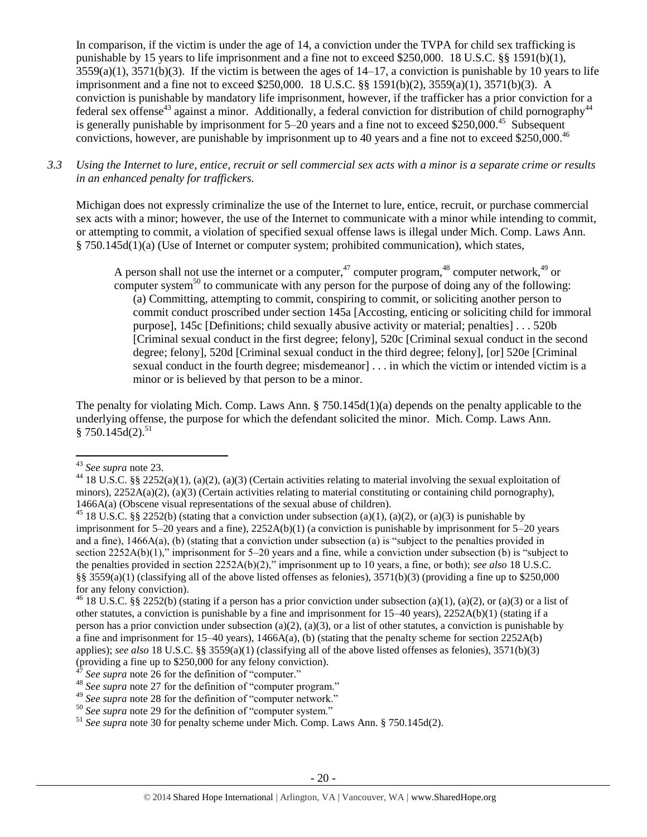In comparison, if the victim is under the age of 14, a conviction under the TVPA for child sex trafficking is punishable by 15 years to life imprisonment and a fine not to exceed \$250,000. 18 U.S.C. §§ 1591(b)(1),  $3559(a)(1)$ ,  $3571(b)(3)$ . If the victim is between the ages of  $14-17$ , a conviction is punishable by 10 years to life imprisonment and a fine not to exceed \$250,000. 18 U.S.C. §§ 1591(b)(2), 3559(a)(1), 3571(b)(3). A conviction is punishable by mandatory life imprisonment, however, if the trafficker has a prior conviction for a federal sex offense<sup>43</sup> against a minor. Additionally, a federal conviction for distribution of child pornography<sup>44</sup> is generally punishable by imprisonment for  $5-20$  years and a fine not to exceed \$250,000.<sup>45</sup> Subsequent convictions, however, are punishable by imprisonment up to 40 years and a fine not to exceed \$250,000.<sup>46</sup>

*3.3 Using the Internet to lure, entice, recruit or sell commercial sex acts with a minor is a separate crime or results in an enhanced penalty for traffickers.*

Michigan does not expressly criminalize the use of the Internet to lure, entice, recruit, or purchase commercial sex acts with a minor; however, the use of the Internet to communicate with a minor while intending to commit, or attempting to commit, a violation of specified sexual offense laws is illegal under Mich. Comp. Laws Ann. § 750.145d(1)(a) (Use of Internet or computer system; prohibited communication), which states,

A person shall not use the internet or a computer,<sup>47</sup> computer program,<sup>48</sup> computer network,<sup>49</sup> or computer system<sup>50</sup> to communicate with any person for the purpose of doing any of the following: (a) Committing, attempting to commit, conspiring to commit, or soliciting another person to commit conduct proscribed under section 145a [Accosting, enticing or soliciting child for immoral purpose], 145c [Definitions; child sexually abusive activity or material; penalties] . . . 520b [Criminal sexual conduct in the first degree; felony], 520c [Criminal sexual conduct in the second degree; felony], 520d [Criminal sexual conduct in the third degree; felony], [or] 520e [Criminal sexual conduct in the fourth degree; misdemeanor] . . . in which the victim or intended victim is a minor or is believed by that person to be a minor.

The penalty for violating Mich. Comp. Laws Ann. § 750.145d(1)(a) depends on the penalty applicable to the underlying offense, the purpose for which the defendant solicited the minor. Mich. Comp. Laws Ann.  $§ 750.145d(2).^{51}$ 

 $\overline{a}$ 

<sup>43</sup> *See supra* note [23.](#page-9-0) 

<sup>&</sup>lt;sup>44</sup> 18 U.S.C. §§ 2252(a)(1), (a)(2), (a)(3) (Certain activities relating to material involving the sexual exploitation of minors),  $2252A(a)(2)$ , (a)(3) (Certain activities relating to material constituting or containing child pornography), 1466A(a) (Obscene visual representations of the sexual abuse of children).

<sup>&</sup>lt;sup>45</sup> 18 U.S.C. §§ 2252(b) (stating that a conviction under subsection (a)(1), (a)(2), or (a)(3) is punishable by imprisonment for 5–20 years and a fine), 2252A(b)(1) (a conviction is punishable by imprisonment for 5–20 years and a fine), 1466A(a), (b) (stating that a conviction under subsection (a) is "subject to the penalties provided in section 2252A(b)(1)," imprisonment for 5–20 years and a fine, while a conviction under subsection (b) is "subject to the penalties provided in section 2252A(b)(2)," imprisonment up to 10 years, a fine, or both); *see also* 18 U.S.C. §§ 3559(a)(1) (classifying all of the above listed offenses as felonies),  $3571(b)(3)$  (providing a fine up to \$250,000 for any felony conviction).

<sup>&</sup>lt;sup>46</sup> 18 U.S.C. §§ 2252(b) (stating if a person has a prior conviction under subsection (a)(1), (a)(2), or (a)(3) or a list of other statutes, a conviction is punishable by a fine and imprisonment for 15–40 years), 2252A(b)(1) (stating if a person has a prior conviction under subsection (a)(2), (a)(3), or a list of other statutes, a conviction is punishable by a fine and imprisonment for 15–40 years), 1466A(a), (b) (stating that the penalty scheme for section 2252A(b) applies); *see also* 18 U.S.C. §§ 3559(a)(1) (classifying all of the above listed offenses as felonies), 3571(b)(3) (providing a fine up to \$250,000 for any felony conviction).

See supra note [26](#page-9-1) for the definition of "computer."

<sup>&</sup>lt;sup>48</sup> *See supra* note [27](#page-9-2) for the definition of "computer program."

<sup>49</sup> *See supra* note [28](#page-9-3) for the definition of "computer network."

<sup>&</sup>lt;sup>50</sup> See supra note [29](#page-9-4) for the definition of "computer system."

<sup>51</sup> *See supra* note [30](#page-10-0) for penalty scheme under Mich. Comp. Laws Ann. § 750.145d(2).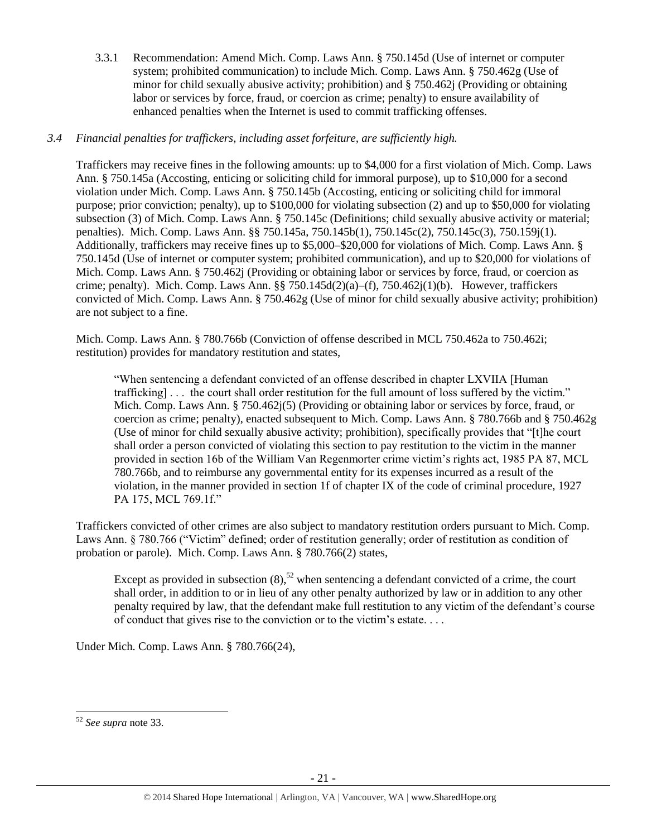3.3.1 Recommendation: Amend Mich. Comp. Laws Ann. § 750.145d (Use of internet or computer system; prohibited communication) to include Mich. Comp. Laws Ann. § 750.462g (Use of minor for child sexually abusive activity; prohibition) and § 750.462j (Providing or obtaining labor or services by force, fraud, or coercion as crime; penalty) to ensure availability of enhanced penalties when the Internet is used to commit trafficking offenses.

# *3.4 Financial penalties for traffickers, including asset forfeiture, are sufficiently high.*

Traffickers may receive fines in the following amounts: up to \$4,000 for a first violation of Mich. Comp. Laws Ann. § 750.145a (Accosting, enticing or soliciting child for immoral purpose), up to \$10,000 for a second violation under Mich. Comp. Laws Ann. § 750.145b (Accosting, enticing or soliciting child for immoral purpose; prior conviction; penalty), up to \$100,000 for violating subsection (2) and up to \$50,000 for violating subsection (3) of Mich. Comp. Laws Ann. § 750.145c (Definitions; child sexually abusive activity or material; penalties). Mich. Comp. Laws Ann. §§ 750.145a, 750.145b(1), 750.145c(2), 750.145c(3), 750.159j(1). Additionally, traffickers may receive fines up to \$5,000–\$20,000 for violations of Mich. Comp. Laws Ann. § 750.145d (Use of internet or computer system; prohibited communication), and up to \$20,000 for violations of Mich. Comp. Laws Ann. § 750.462j (Providing or obtaining labor or services by force, fraud, or coercion as crime; penalty). Mich. Comp. Laws Ann. §§ 750.145d(2)(a)–(f), 750.462 $i(1)(b)$ . However, traffickers convicted of Mich. Comp. Laws Ann. § 750.462g (Use of minor for child sexually abusive activity; prohibition) are not subject to a fine.

Mich. Comp. Laws Ann. § 780.766b (Conviction of offense described in MCL 750.462a to 750.462i; restitution) provides for mandatory restitution and states,

"When sentencing a defendant convicted of an offense described in chapter LXVIIA [Human trafficking] . . . the court shall order restitution for the full amount of loss suffered by the victim." Mich. Comp. Laws Ann. § 750.462j(5) (Providing or obtaining labor or services by force, fraud, or coercion as crime; penalty), enacted subsequent to Mich. Comp. Laws Ann. § 780.766b and § 750.462g (Use of minor for child sexually abusive activity; prohibition), specifically provides that "[t]he court shall order a person convicted of violating this section to pay restitution to the victim in the manner provided in section 16b of the William Van Regenmorter crime victim's rights act, 1985 PA 87, MCL 780.766b, and to reimburse any governmental entity for its expenses incurred as a result of the violation, in the manner provided in section 1f of chapter IX of the code of criminal procedure, 1927 PA 175, MCL 769.1f."

Traffickers convicted of other crimes are also subject to mandatory restitution orders pursuant to Mich. Comp. Laws Ann. § 780.766 ("Victim" defined; order of restitution generally; order of restitution as condition of probation or parole). Mich. Comp. Laws Ann. § 780.766(2) states,

Except as provided in subsection  $(8)$ ,<sup>52</sup> when sentencing a defendant convicted of a crime, the court shall order, in addition to or in lieu of any other penalty authorized by law or in addition to any other penalty required by law, that the defendant make full restitution to any victim of the defendant's course of conduct that gives rise to the conviction or to the victim's estate. . . .

Under Mich. Comp. Laws Ann. § 780.766(24),

l <sup>52</sup> *See supra* note [33.](#page-12-0)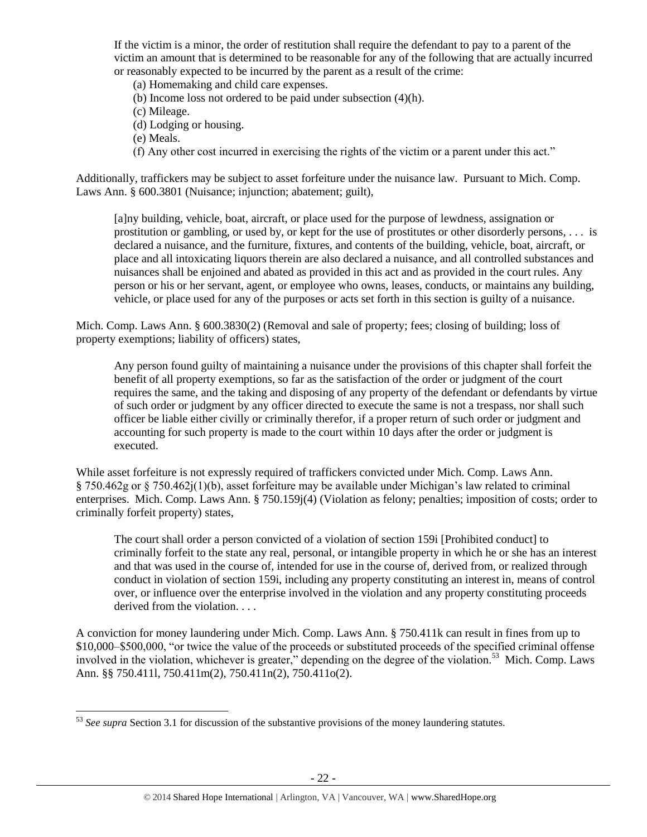If the victim is a minor, the order of restitution shall require the defendant to pay to a parent of the victim an amount that is determined to be reasonable for any of the following that are actually incurred or reasonably expected to be incurred by the parent as a result of the crime:

(a) Homemaking and child care expenses.

(b) Income loss not ordered to be paid under subsection (4)(h).

(c) Mileage.

- (d) Lodging or housing.
- (e) Meals.
- (f) Any other cost incurred in exercising the rights of the victim or a parent under this act."

Additionally, traffickers may be subject to asset forfeiture under the nuisance law. Pursuant to Mich. Comp. Laws Ann. § 600.3801 (Nuisance; injunction; abatement; guilt),

[a]ny building, vehicle, boat, aircraft, or place used for the purpose of lewdness, assignation or prostitution or gambling, or used by, or kept for the use of prostitutes or other disorderly persons, . . . is declared a nuisance, and the furniture, fixtures, and contents of the building, vehicle, boat, aircraft, or place and all intoxicating liquors therein are also declared a nuisance, and all controlled substances and nuisances shall be enjoined and abated as provided in this act and as provided in the court rules. Any person or his or her servant, agent, or employee who owns, leases, conducts, or maintains any building, vehicle, or place used for any of the purposes or acts set forth in this section is guilty of a nuisance.

Mich. Comp. Laws Ann. § 600.3830(2) (Removal and sale of property; fees; closing of building; loss of property exemptions; liability of officers) states,

Any person found guilty of maintaining a nuisance under the provisions of this chapter shall forfeit the benefit of all property exemptions, so far as the satisfaction of the order or judgment of the court requires the same, and the taking and disposing of any property of the defendant or defendants by virtue of such order or judgment by any officer directed to execute the same is not a trespass, nor shall such officer be liable either civilly or criminally therefor, if a proper return of such order or judgment and accounting for such property is made to the court within 10 days after the order or judgment is executed.

While asset forfeiture is not expressly required of traffickers convicted under Mich. Comp. Laws Ann. § 750.462g or § 750.462j(1)(b), asset forfeiture may be available under Michigan's law related to criminal enterprises. Mich. Comp. Laws Ann. § 750.159j(4) (Violation as felony; penalties; imposition of costs; order to criminally forfeit property) states,

The court shall order a person convicted of a violation of section 159i [Prohibited conduct] to criminally forfeit to the state any real, personal, or intangible property in which he or she has an interest and that was used in the course of, intended for use in the course of, derived from, or realized through conduct in violation of section 159i, including any property constituting an interest in, means of control over, or influence over the enterprise involved in the violation and any property constituting proceeds derived from the violation. . . .

A conviction for money laundering under Mich. Comp. Laws Ann. § 750.411k can result in fines from up to \$10,000–\$500,000, "or twice the value of the proceeds or substituted proceeds of the specified criminal offense involved in the violation, whichever is greater," depending on the degree of the violation.<sup>53</sup> Mich. Comp. Laws Ann. §§ 750.411l, 750.411m(2), 750.411n(2), 750.411o(2).

l <sup>53</sup> *See supra* Section 3.1 for discussion of the substantive provisions of the money laundering statutes.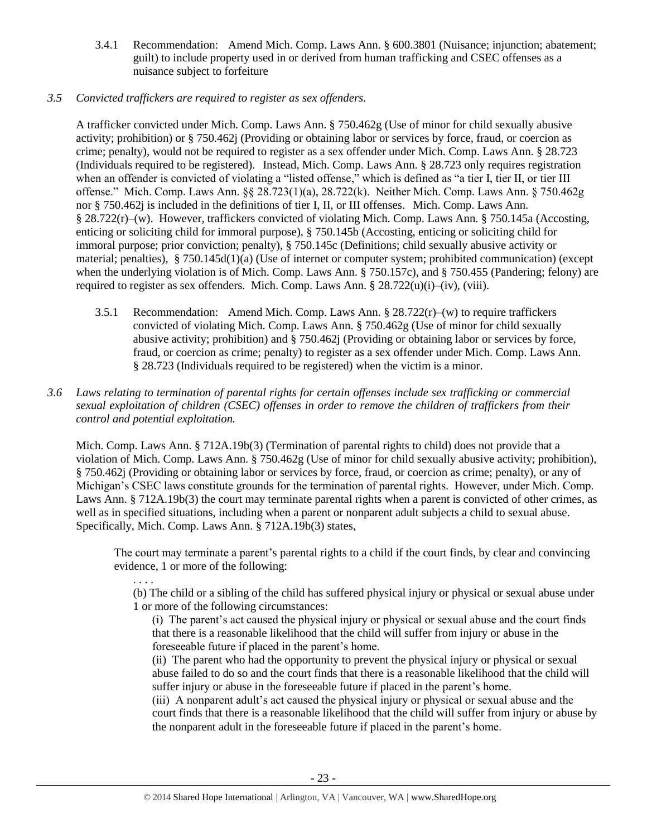- 3.4.1 Recommendation: Amend Mich. Comp. Laws Ann. § 600.3801 (Nuisance; injunction; abatement; guilt) to include property used in or derived from human trafficking and CSEC offenses as a nuisance subject to forfeiture
- *3.5 Convicted traffickers are required to register as sex offenders.*

A trafficker convicted under Mich. Comp. Laws Ann. § 750.462g (Use of minor for child sexually abusive activity; prohibition) or § 750.462j (Providing or obtaining labor or services by force, fraud, or coercion as crime; penalty), would not be required to register as a sex offender under Mich. Comp. Laws Ann. § 28.723 (Individuals required to be registered). Instead, Mich. Comp. Laws Ann. § 28.723 only requires registration when an offender is convicted of violating a "listed offense," which is defined as "a tier I, tier II, or tier III offense." Mich. Comp. Laws Ann. §§ 28.723(1)(a), 28.722(k). Neither Mich. Comp. Laws Ann. § 750.462g nor § 750.462j is included in the definitions of tier I, II, or III offenses. Mich. Comp. Laws Ann. § 28.722(r)–(w). However, traffickers convicted of violating Mich. Comp. Laws Ann. § 750.145a (Accosting, enticing or soliciting child for immoral purpose), § 750.145b (Accosting, enticing or soliciting child for immoral purpose; prior conviction; penalty), § 750.145c (Definitions; child sexually abusive activity or material; penalties), § 750.145d(1)(a) (Use of internet or computer system; prohibited communication) (except when the underlying violation is of Mich. Comp. Laws Ann. § 750.157c), and § 750.455 (Pandering; felony) are required to register as sex offenders. Mich. Comp. Laws Ann.  $\S 28.722(u)(i)–(iv), (viii)$ .

- 3.5.1 Recommendation: Amend Mich. Comp. Laws Ann.  $\S 28.722(r)$ –(w) to require traffickers convicted of violating Mich. Comp. Laws Ann. § 750.462g (Use of minor for child sexually abusive activity; prohibition) and § 750.462j (Providing or obtaining labor or services by force, fraud, or coercion as crime; penalty) to register as a sex offender under Mich. Comp. Laws Ann. § 28.723 (Individuals required to be registered) when the victim is a minor.
- *3.6 Laws relating to termination of parental rights for certain offenses include sex trafficking or commercial sexual exploitation of children (CSEC) offenses in order to remove the children of traffickers from their control and potential exploitation.*

Mich. Comp. Laws Ann. § 712A.19b(3) (Termination of parental rights to child) does not provide that a violation of Mich. Comp. Laws Ann. § 750.462g (Use of minor for child sexually abusive activity; prohibition), § 750.462j (Providing or obtaining labor or services by force, fraud, or coercion as crime; penalty), or any of Michigan's CSEC laws constitute grounds for the termination of parental rights. However, under Mich. Comp. Laws Ann. § 712A.19b(3) the court may terminate parental rights when a parent is convicted of other crimes, as well as in specified situations, including when a parent or nonparent adult subjects a child to sexual abuse. Specifically, Mich. Comp. Laws Ann. § 712A.19b(3) states,

The court may terminate a parent's parental rights to a child if the court finds, by clear and convincing evidence, 1 or more of the following:

. . . . (b) The child or a sibling of the child has suffered physical injury or physical or sexual abuse under 1 or more of the following circumstances:

(i) The parent's act caused the physical injury or physical or sexual abuse and the court finds that there is a reasonable likelihood that the child will suffer from injury or abuse in the foreseeable future if placed in the parent's home.

(ii) The parent who had the opportunity to prevent the physical injury or physical or sexual abuse failed to do so and the court finds that there is a reasonable likelihood that the child will suffer injury or abuse in the foreseeable future if placed in the parent's home.

(iii) A nonparent adult's act caused the physical injury or physical or sexual abuse and the court finds that there is a reasonable likelihood that the child will suffer from injury or abuse by the nonparent adult in the foreseeable future if placed in the parent's home.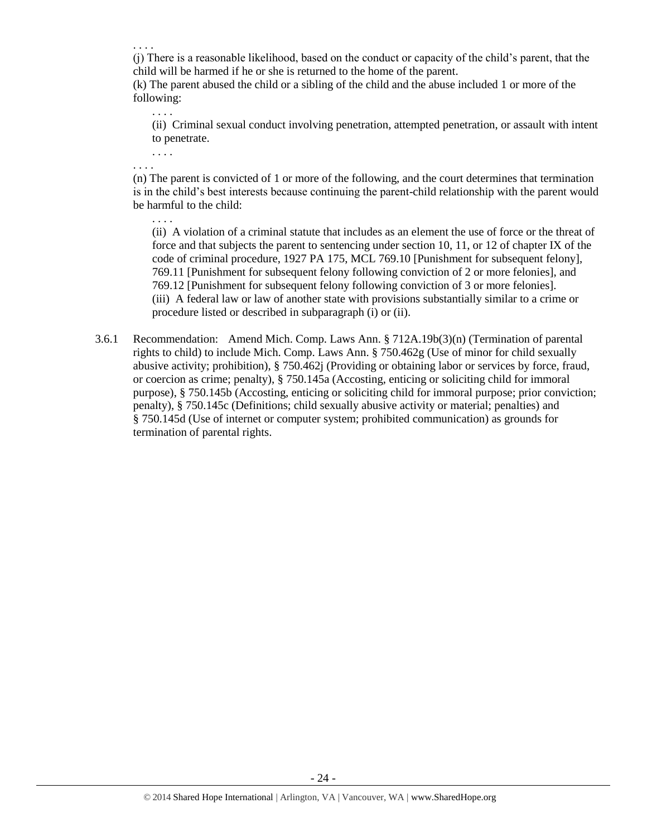. . . .

(j) There is a reasonable likelihood, based on the conduct or capacity of the child's parent, that the child will be harmed if he or she is returned to the home of the parent.

(k) The parent abused the child or a sibling of the child and the abuse included 1 or more of the following:

(ii) Criminal sexual conduct involving penetration, attempted penetration, or assault with intent to penetrate.

. . . . . . . .

. . . .

(n) The parent is convicted of 1 or more of the following, and the court determines that termination is in the child's best interests because continuing the parent-child relationship with the parent would be harmful to the child:

- . . . . (ii) A violation of a criminal statute that includes as an element the use of force or the threat of force and that subjects the parent to sentencing under section 10, 11, or 12 of chapter IX of the code of criminal procedure, 1927 PA 175, MCL 769.10 [Punishment for subsequent felony], 769.11 [Punishment for subsequent felony following conviction of 2 or more felonies], and 769.12 [Punishment for subsequent felony following conviction of 3 or more felonies]. (iii) A federal law or law of another state with provisions substantially similar to a crime or procedure listed or described in subparagraph (i) or (ii).
- 3.6.1 Recommendation: Amend Mich. Comp. Laws Ann. § 712A.19b(3)(n) (Termination of parental rights to child) to include Mich. Comp. Laws Ann. § 750.462g (Use of minor for child sexually abusive activity; prohibition), § 750.462j (Providing or obtaining labor or services by force, fraud, or coercion as crime; penalty), § 750.145a (Accosting, enticing or soliciting child for immoral purpose), § 750.145b (Accosting, enticing or soliciting child for immoral purpose; prior conviction; penalty), § 750.145c (Definitions; child sexually abusive activity or material; penalties) and § 750.145d (Use of internet or computer system; prohibited communication) as grounds for termination of parental rights.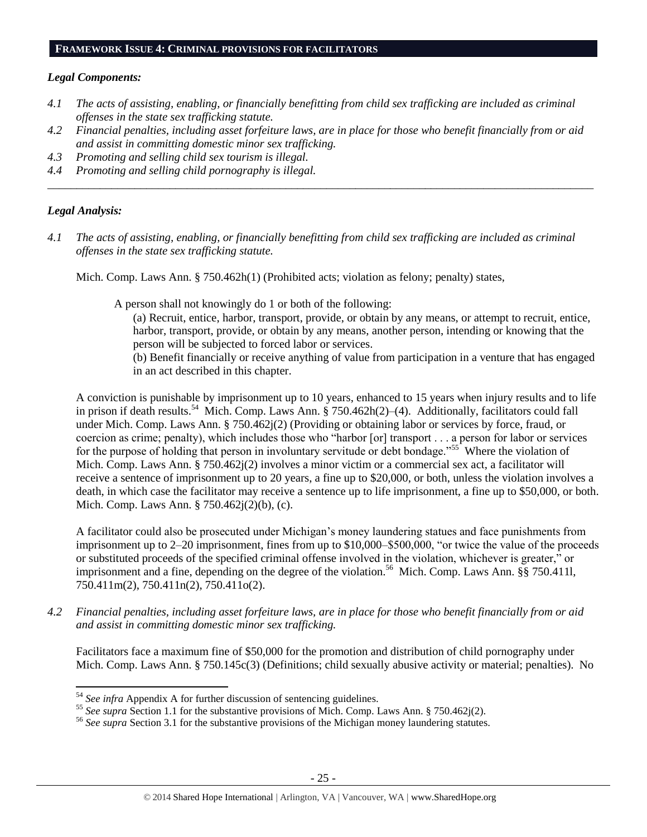#### **FRAMEWORK ISSUE 4: CRIMINAL PROVISIONS FOR FACILITATORS**

#### *Legal Components:*

- *4.1 The acts of assisting, enabling, or financially benefitting from child sex trafficking are included as criminal offenses in the state sex trafficking statute.*
- *4.2 Financial penalties, including asset forfeiture laws, are in place for those who benefit financially from or aid and assist in committing domestic minor sex trafficking.*

*\_\_\_\_\_\_\_\_\_\_\_\_\_\_\_\_\_\_\_\_\_\_\_\_\_\_\_\_\_\_\_\_\_\_\_\_\_\_\_\_\_\_\_\_\_\_\_\_\_\_\_\_\_\_\_\_\_\_\_\_\_\_\_\_\_\_\_\_\_\_\_\_\_\_\_\_\_\_\_\_\_\_\_\_\_\_\_\_\_\_\_\_\_\_*

- *4.3 Promoting and selling child sex tourism is illegal.*
- *4.4 Promoting and selling child pornography is illegal.*

#### *Legal Analysis:*

 $\overline{\phantom{a}}$ 

*4.1 The acts of assisting, enabling, or financially benefitting from child sex trafficking are included as criminal offenses in the state sex trafficking statute.*

Mich. Comp. Laws Ann. § 750.462h(1) (Prohibited acts; violation as felony; penalty) states,

A person shall not knowingly do 1 or both of the following:

- (a) Recruit, entice, harbor, transport, provide, or obtain by any means, or attempt to recruit, entice, harbor, transport, provide, or obtain by any means, another person, intending or knowing that the person will be subjected to forced labor or services.
- (b) Benefit financially or receive anything of value from participation in a venture that has engaged in an act described in this chapter.

A conviction is punishable by imprisonment up to 10 years, enhanced to 15 years when injury results and to life in prison if death results.<sup>54</sup> Mich. Comp. Laws Ann. § 750.462h(2)–(4). Additionally, facilitators could fall under Mich. Comp. Laws Ann. § 750.462j(2) (Providing or obtaining labor or services by force, fraud, or coercion as crime; penalty), which includes those who "harbor [or] transport . . . a person for labor or services for the purpose of holding that person in involuntary servitude or debt bondage."<sup>55</sup> Where the violation of Mich. Comp. Laws Ann. § 750.462j(2) involves a minor victim or a commercial sex act, a facilitator will receive a sentence of imprisonment up to 20 years, a fine up to \$20,000, or both, unless the violation involves a death, in which case the facilitator may receive a sentence up to life imprisonment, a fine up to \$50,000, or both. Mich. Comp. Laws Ann. § 750.462j(2)(b), (c).

A facilitator could also be prosecuted under Michigan's money laundering statues and face punishments from imprisonment up to 2–20 imprisonment, fines from up to \$10,000–\$500,000, "or twice the value of the proceeds or substituted proceeds of the specified criminal offense involved in the violation, whichever is greater," or imprisonment and a fine, depending on the degree of the violation.<sup>56</sup> Mich. Comp. Laws Ann. §§ 750.4111, 750.411m(2), 750.411n(2), 750.411o(2).

*4.2 Financial penalties, including asset forfeiture laws, are in place for those who benefit financially from or aid and assist in committing domestic minor sex trafficking.*

Facilitators face a maximum fine of \$50,000 for the promotion and distribution of child pornography under Mich. Comp. Laws Ann. § 750.145c(3) (Definitions; child sexually abusive activity or material; penalties). No

<sup>54</sup> *See infra* Appendix A for further discussion of sentencing guidelines.

<sup>&</sup>lt;sup>55</sup> See supra Section 1.1 for the substantive provisions of Mich. Comp. Laws Ann. § 750.462j(2).

<sup>56</sup> *See supra* Section 3.1 for the substantive provisions of the Michigan money laundering statutes.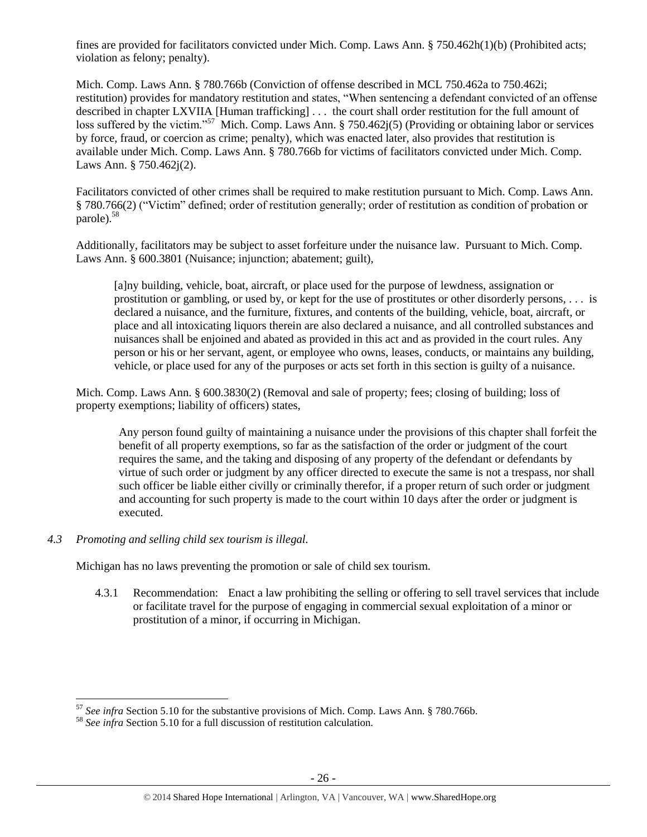fines are provided for facilitators convicted under Mich. Comp. Laws Ann. § 750.462h(1)(b) (Prohibited acts; violation as felony; penalty).

Mich. Comp. Laws Ann. § 780.766b (Conviction of offense described in MCL 750.462a to 750.462i; restitution) provides for mandatory restitution and states, "When sentencing a defendant convicted of an offense described in chapter LXVIIA [Human trafficking] . . . the court shall order restitution for the full amount of loss suffered by the victim."<sup>57</sup> Mich. Comp. Laws Ann. § 750.462 $j(5)$  (Providing or obtaining labor or services by force, fraud, or coercion as crime; penalty), which was enacted later, also provides that restitution is available under Mich. Comp. Laws Ann. § 780.766b for victims of facilitators convicted under Mich. Comp. Laws Ann. § 750.462j(2).

Facilitators convicted of other crimes shall be required to make restitution pursuant to Mich. Comp. Laws Ann. § 780.766(2) ("Victim" defined; order of restitution generally; order of restitution as condition of probation or parole).<sup>58</sup>

Additionally, facilitators may be subject to asset forfeiture under the nuisance law. Pursuant to Mich. Comp. Laws Ann. § 600.3801 (Nuisance; injunction; abatement; guilt),

[a]ny building, vehicle, boat, aircraft, or place used for the purpose of lewdness, assignation or prostitution or gambling, or used by, or kept for the use of prostitutes or other disorderly persons, . . . is declared a nuisance, and the furniture, fixtures, and contents of the building, vehicle, boat, aircraft, or place and all intoxicating liquors therein are also declared a nuisance, and all controlled substances and nuisances shall be enjoined and abated as provided in this act and as provided in the court rules. Any person or his or her servant, agent, or employee who owns, leases, conducts, or maintains any building, vehicle, or place used for any of the purposes or acts set forth in this section is guilty of a nuisance.

Mich. Comp. Laws Ann. § 600.3830(2) (Removal and sale of property; fees; closing of building; loss of property exemptions; liability of officers) states,

Any person found guilty of maintaining a nuisance under the provisions of this chapter shall forfeit the benefit of all property exemptions, so far as the satisfaction of the order or judgment of the court requires the same, and the taking and disposing of any property of the defendant or defendants by virtue of such order or judgment by any officer directed to execute the same is not a trespass, nor shall such officer be liable either civilly or criminally therefor, if a proper return of such order or judgment and accounting for such property is made to the court within 10 days after the order or judgment is executed.

#### *4.3 Promoting and selling child sex tourism is illegal.*

 $\overline{\phantom{a}}$ 

Michigan has no laws preventing the promotion or sale of child sex tourism.

4.3.1 Recommendation: Enact a law prohibiting the selling or offering to sell travel services that include or facilitate travel for the purpose of engaging in commercial sexual exploitation of a minor or prostitution of a minor, if occurring in Michigan.

<sup>57</sup> *See infra* Section 5.10 for the substantive provisions of Mich. Comp. Laws Ann. § 780.766b.

<sup>58</sup> *See infra* Section 5.10 for a full discussion of restitution calculation.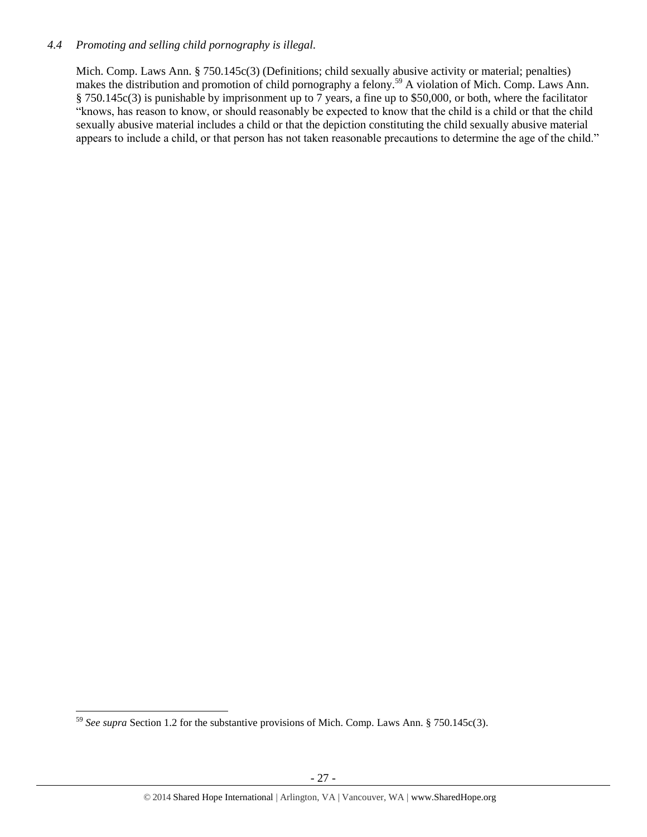#### *4.4 Promoting and selling child pornography is illegal.*

Mich. Comp. Laws Ann. § 750.145c(3) (Definitions; child sexually abusive activity or material; penalties) makes the distribution and promotion of child pornography a felony.<sup>59</sup> A violation of Mich. Comp. Laws Ann. § 750.145c(3) is punishable by imprisonment up to 7 years, a fine up to \$50,000, or both, where the facilitator "knows, has reason to know, or should reasonably be expected to know that the child is a child or that the child sexually abusive material includes a child or that the depiction constituting the child sexually abusive material appears to include a child, or that person has not taken reasonable precautions to determine the age of the child."

l <sup>59</sup> *See supra* Section 1.2 for the substantive provisions of Mich. Comp. Laws Ann. § 750.145c(3).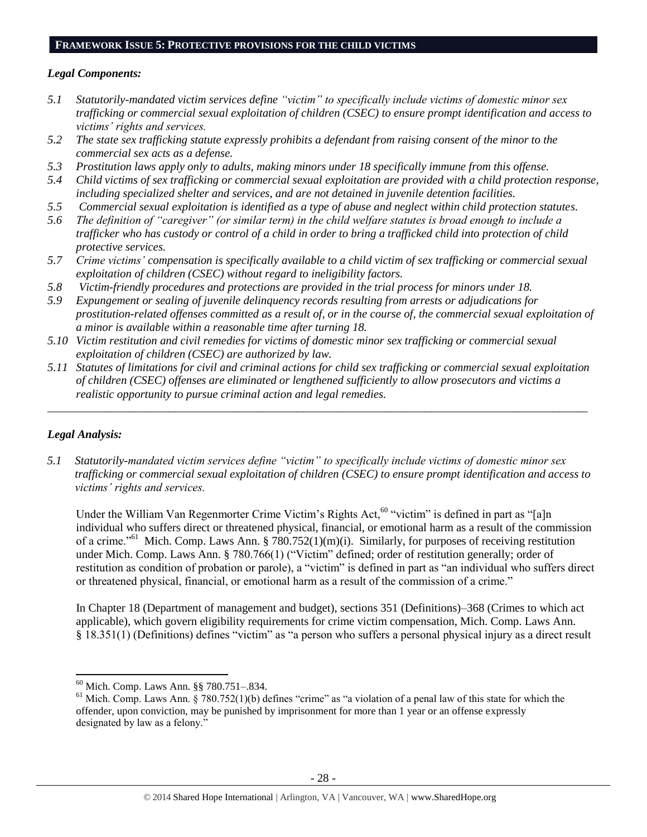#### **FRAMEWORK ISSUE 5: PROTECTIVE PROVISIONS FOR THE CHILD VICTIMS**

#### *Legal Components:*

- *5.1 Statutorily-mandated victim services define "victim" to specifically include victims of domestic minor sex trafficking or commercial sexual exploitation of children (CSEC) to ensure prompt identification and access to victims' rights and services.*
- *5.2 The state sex trafficking statute expressly prohibits a defendant from raising consent of the minor to the commercial sex acts as a defense.*
- *5.3 Prostitution laws apply only to adults, making minors under 18 specifically immune from this offense.*
- *5.4 Child victims of sex trafficking or commercial sexual exploitation are provided with a child protection response, including specialized shelter and services, and are not detained in juvenile detention facilities.*
- *5.5 Commercial sexual exploitation is identified as a type of abuse and neglect within child protection statutes.*
- *5.6 The definition of "caregiver" (or similar term) in the child welfare statutes is broad enough to include a trafficker who has custody or control of a child in order to bring a trafficked child into protection of child protective services.*
- *5.7 Crime victims' compensation is specifically available to a child victim of sex trafficking or commercial sexual exploitation of children (CSEC) without regard to ineligibility factors.*
- *5.8 Victim-friendly procedures and protections are provided in the trial process for minors under 18.*
- *5.9 Expungement or sealing of juvenile delinquency records resulting from arrests or adjudications for prostitution-related offenses committed as a result of, or in the course of, the commercial sexual exploitation of a minor is available within a reasonable time after turning 18.*
- *5.10 Victim restitution and civil remedies for victims of domestic minor sex trafficking or commercial sexual exploitation of children (CSEC) are authorized by law.*
- *5.11 Statutes of limitations for civil and criminal actions for child sex trafficking or commercial sexual exploitation of children (CSEC) offenses are eliminated or lengthened sufficiently to allow prosecutors and victims a realistic opportunity to pursue criminal action and legal remedies.*

*\_\_\_\_\_\_\_\_\_\_\_\_\_\_\_\_\_\_\_\_\_\_\_\_\_\_\_\_\_\_\_\_\_\_\_\_\_\_\_\_\_\_\_\_\_\_\_\_\_\_\_\_\_\_\_\_\_\_\_\_\_\_\_\_\_\_\_\_\_\_\_\_\_\_\_\_\_\_\_\_\_\_\_\_\_\_\_\_\_\_\_\_\_*

# *Legal Analysis:*

 $\overline{a}$ 

*5.1 Statutorily-mandated victim services define "victim" to specifically include victims of domestic minor sex trafficking or commercial sexual exploitation of children (CSEC) to ensure prompt identification and access to victims' rights and services.*

Under the William Van Regenmorter Crime Victim's Rights Act,<sup>60</sup> "victim" is defined in part as "[a]n individual who suffers direct or threatened physical, financial, or emotional harm as a result of the commission of a crime."<sup>61</sup> Mich. Comp. Laws Ann. §  $\frac{780.752(1)(m)(i)}{i}$ . Similarly, for purposes of receiving restitution under Mich. Comp. Laws Ann. § 780.766(1) ("Victim" defined; order of restitution generally; order of restitution as condition of probation or parole), a "victim" is defined in part as "an individual who suffers direct or threatened physical, financial, or emotional harm as a result of the commission of a crime."

In Chapter 18 (Department of management and budget), sections 351 (Definitions)–368 (Crimes to which act applicable), which govern eligibility requirements for crime victim compensation, Mich. Comp. Laws Ann. § 18.351(1) (Definitions) defines "victim" as "a person who suffers a personal physical injury as a direct result

<sup>60</sup> Mich. Comp. Laws Ann. §§ 780.751–.834.

 $61$  Mich. Comp. Laws Ann. § 780.752(1)(b) defines "crime" as "a violation of a penal law of this state for which the offender, upon conviction, may be punished by imprisonment for more than 1 year or an offense expressly designated by law as a felony."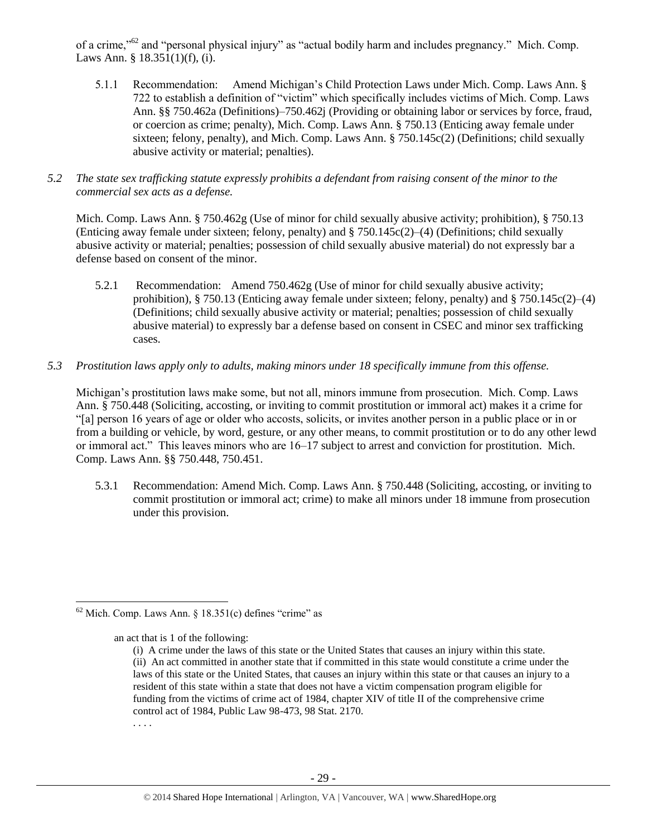of a crime,"<sup>62</sup> and "personal physical injury" as "actual bodily harm and includes pregnancy." Mich. Comp. Laws Ann. § 18.351(1)(f), (i).

- 5.1.1 Recommendation: Amend Michigan's Child Protection Laws under Mich. Comp. Laws Ann. § 722 to establish a definition of "victim" which specifically includes victims of Mich. Comp. Laws Ann. §§ 750.462a (Definitions)–750.462j (Providing or obtaining labor or services by force, fraud, or coercion as crime; penalty), Mich. Comp. Laws Ann. § 750.13 (Enticing away female under sixteen; felony, penalty), and Mich. Comp. Laws Ann. § 750.145c(2) (Definitions; child sexually abusive activity or material; penalties).
- *5.2 The state sex trafficking statute expressly prohibits a defendant from raising consent of the minor to the commercial sex acts as a defense.*

Mich. Comp. Laws Ann. § 750.462g (Use of minor for child sexually abusive activity; prohibition), § 750.13 (Enticing away female under sixteen; felony, penalty) and § 750.145c(2)–(4) (Definitions; child sexually abusive activity or material; penalties; possession of child sexually abusive material) do not expressly bar a defense based on consent of the minor.

- 5.2.1 Recommendation: Amend 750.462g (Use of minor for child sexually abusive activity; prohibition), § 750.13 (Enticing away female under sixteen; felony, penalty) and § 750.145c(2)–(4) (Definitions; child sexually abusive activity or material; penalties; possession of child sexually abusive material) to expressly bar a defense based on consent in CSEC and minor sex trafficking cases.
- *5.3 Prostitution laws apply only to adults, making minors under 18 specifically immune from this offense.*

Michigan's prostitution laws make some, but not all, minors immune from prosecution. Mich. Comp. Laws Ann. § 750.448 (Soliciting, accosting, or inviting to commit prostitution or immoral act) makes it a crime for "[a] person 16 years of age or older who accosts, solicits, or invites another person in a public place or in or from a building or vehicle, by word, gesture, or any other means, to commit prostitution or to do any other lewd or immoral act." This leaves minors who are 16–17 subject to arrest and conviction for prostitution. Mich. Comp. Laws Ann. §§ 750.448, 750.451.

5.3.1 Recommendation: Amend Mich. Comp. Laws Ann. § 750.448 (Soliciting, accosting, or inviting to commit prostitution or immoral act; crime) to make all minors under 18 immune from prosecution under this provision.

an act that is 1 of the following:

 $\overline{a}$  $62$  Mich. Comp. Laws Ann. § 18.351(c) defines "crime" as

<sup>(</sup>i) A crime under the laws of this state or the United States that causes an injury within this state. (ii) An act committed in another state that if committed in this state would constitute a crime under the laws of this state or the United States, that causes an injury within this state or that causes an injury to a resident of this state within a state that does not have a victim compensation program eligible for funding from the victims of crime act of 1984, chapter XIV of title II of the comprehensive crime control act of 1984, Public Law 98-473, 98 Stat. 2170. . . . .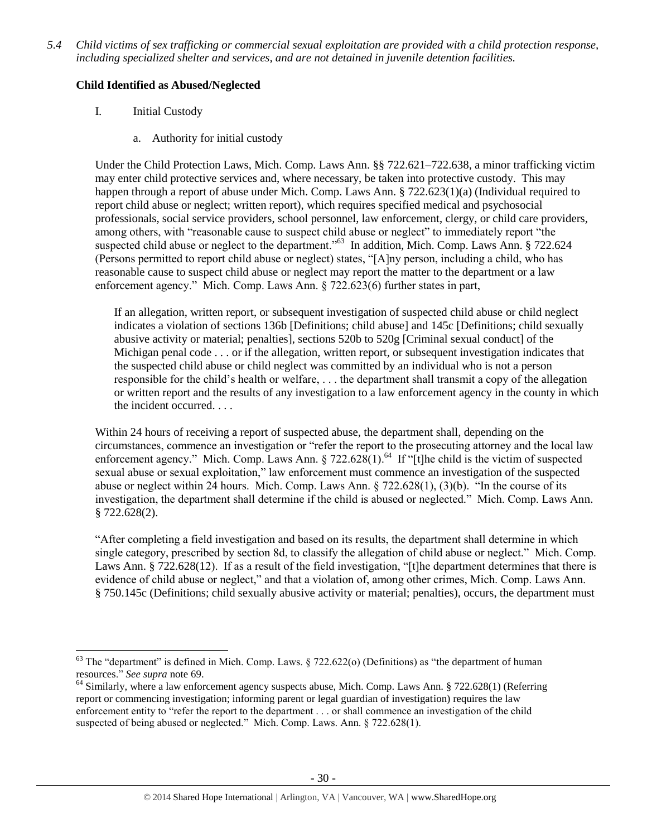*5.4 Child victims of sex trafficking or commercial sexual exploitation are provided with a child protection response, including specialized shelter and services, and are not detained in juvenile detention facilities.*

# **Child Identified as Abused/Neglected**

I. Initial Custody

 $\overline{\phantom{a}}$ 

a. Authority for initial custody

Under the Child Protection Laws, Mich. Comp. Laws Ann. §§ 722.621–722.638, a minor trafficking victim may enter child protective services and, where necessary, be taken into protective custody. This may happen through a report of abuse under Mich. Comp. Laws Ann. § 722.623(1)(a) (Individual required to report child abuse or neglect; written report), which requires specified medical and psychosocial professionals, social service providers, school personnel, law enforcement, clergy, or child care providers, among others, with "reasonable cause to suspect child abuse or neglect" to immediately report "the suspected child abuse or neglect to the department."<sup>63</sup> In addition, Mich. Comp. Laws Ann. § 722.624 (Persons permitted to report child abuse or neglect) states, "[A]ny person, including a child, who has reasonable cause to suspect child abuse or neglect may report the matter to the department or a law enforcement agency." Mich. Comp. Laws Ann. § 722.623(6) further states in part,

If an allegation, written report, or subsequent investigation of suspected child abuse or child neglect indicates a violation of sections 136b [Definitions; child abuse] and 145c [Definitions; child sexually abusive activity or material; penalties], sections 520b to 520g [Criminal sexual conduct] of the Michigan penal code . . . or if the allegation, written report, or subsequent investigation indicates that the suspected child abuse or child neglect was committed by an individual who is not a person responsible for the child's health or welfare, . . . the department shall transmit a copy of the allegation or written report and the results of any investigation to a law enforcement agency in the county in which the incident occurred. . . .

Within 24 hours of receiving a report of suspected abuse, the department shall, depending on the circumstances, commence an investigation or "refer the report to the prosecuting attorney and the local law enforcement agency." Mich. Comp. Laws Ann. § 722.628(1).<sup>64</sup> If "[t]he child is the victim of suspected sexual abuse or sexual exploitation," law enforcement must commence an investigation of the suspected abuse or neglect within 24 hours. Mich. Comp. Laws Ann. § 722.628(1), (3)(b). "In the course of its investigation, the department shall determine if the child is abused or neglected." Mich. Comp. Laws Ann. § 722.628(2).

"After completing a field investigation and based on its results, the department shall determine in which single category, prescribed by section 8d, to classify the allegation of child abuse or neglect." Mich. Comp. Laws Ann. § 722.628(12). If as a result of the field investigation, "[t]he department determines that there is evidence of child abuse or neglect," and that a violation of, among other crimes, Mich. Comp. Laws Ann. § 750.145c (Definitions; child sexually abusive activity or material; penalties), occurs, the department must

<sup>&</sup>lt;sup>63</sup> The "department" is defined in Mich. Comp. Laws.  $\S 722.622$ (o) (Definitions) as "the department of human resources." *See supra* not[e 69.](#page-34-0)

<sup>&</sup>lt;sup>64</sup> Similarly, where a law enforcement agency suspects abuse, Mich. Comp. Laws Ann. § 722.628(1) (Referring report or commencing investigation; informing parent or legal guardian of investigation) requires the law enforcement entity to "refer the report to the department . . . or shall commence an investigation of the child suspected of being abused or neglected." Mich. Comp. Laws. Ann. § 722.628(1).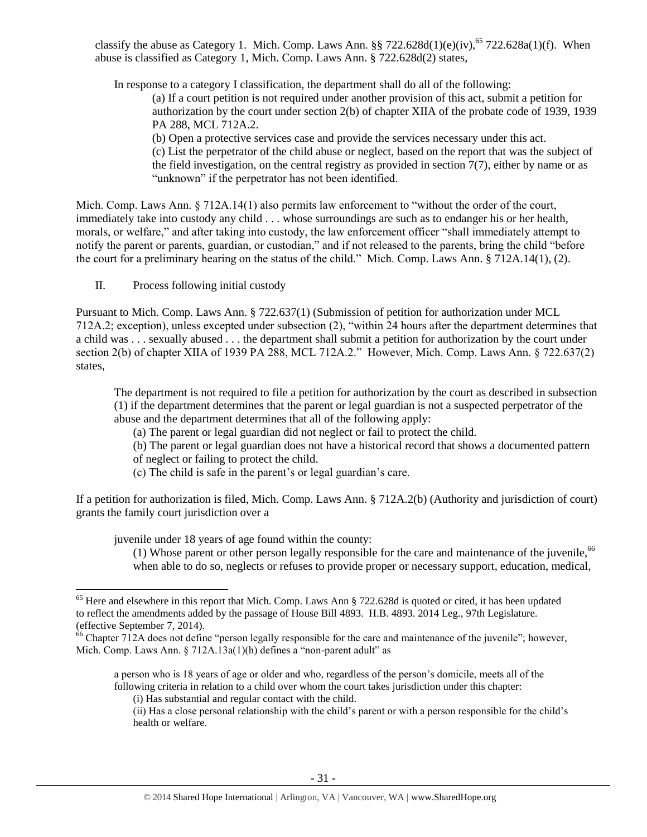classify the abuse as Category 1. Mich. Comp. Laws Ann. §§ 722.628d(1)(e)(iv), $^{65}$  722.628a(1)(f). When abuse is classified as Category 1, Mich. Comp. Laws Ann. § 722.628d(2) states,

In response to a category I classification, the department shall do all of the following:

(a) If a court petition is not required under another provision of this act, submit a petition for authorization by the court under section 2(b) of chapter XIIA of the probate code of 1939, 1939 PA 288, MCL 712A.2.

(b) Open a protective services case and provide the services necessary under this act. (c) List the perpetrator of the child abuse or neglect, based on the report that was the subject of the field investigation, on the central registry as provided in section  $7(7)$ , either by name or as "unknown" if the perpetrator has not been identified.

Mich. Comp. Laws Ann. § 712A.14(1) also permits law enforcement to "without the order of the court, immediately take into custody any child . . . whose surroundings are such as to endanger his or her health, morals, or welfare," and after taking into custody, the law enforcement officer "shall immediately attempt to notify the parent or parents, guardian, or custodian," and if not released to the parents, bring the child "before the court for a preliminary hearing on the status of the child." Mich. Comp. Laws Ann. § 712A.14(1), (2).

II. Process following initial custody

l

Pursuant to Mich. Comp. Laws Ann. § 722.637(1) (Submission of petition for authorization under MCL 712A.2; exception), unless excepted under subsection (2), "within 24 hours after the department determines that a child was . . . sexually abused . . . the department shall submit a petition for authorization by the court under section 2(b) of chapter XIIA of 1939 PA 288, MCL 712A.2." However, Mich. Comp. Laws Ann. § 722.637(2) states,

The department is not required to file a petition for authorization by the court as described in subsection (1) if the department determines that the parent or legal guardian is not a suspected perpetrator of the abuse and the department determines that all of the following apply:

(a) The parent or legal guardian did not neglect or fail to protect the child.

- (b) The parent or legal guardian does not have a historical record that shows a documented pattern
- of neglect or failing to protect the child.
- (c) The child is safe in the parent's or legal guardian's care.

If a petition for authorization is filed, Mich. Comp. Laws Ann. § 712A.2(b) (Authority and jurisdiction of court) grants the family court jurisdiction over a

juvenile under 18 years of age found within the county:

(1) Whose parent or other person legally responsible for the care and maintenance of the juvenile,  $66$ when able to do so, neglects or refuses to provide proper or necessary support, education, medical,

a person who is 18 years of age or older and who, regardless of the person's domicile, meets all of the following criteria in relation to a child over whom the court takes jurisdiction under this chapter:

(i) Has substantial and regular contact with the child.

<sup>&</sup>lt;sup>65</sup> Here and elsewhere in this report that Mich. Comp. Laws Ann § 722.628d is quoted or cited, it has been updated to reflect the amendments added by the passage of House Bill 4893. H.B. 4893. 2014 Leg., 97th Legislature. (effective September 7, 2014).

 $66$  Chapter 712A does not define "person legally responsible for the care and maintenance of the juvenile"; however, Mich. Comp. Laws Ann. § 712A.13a(1)(h) defines a "non-parent adult" as

<sup>(</sup>ii) Has a close personal relationship with the child's parent or with a person responsible for the child's health or welfare.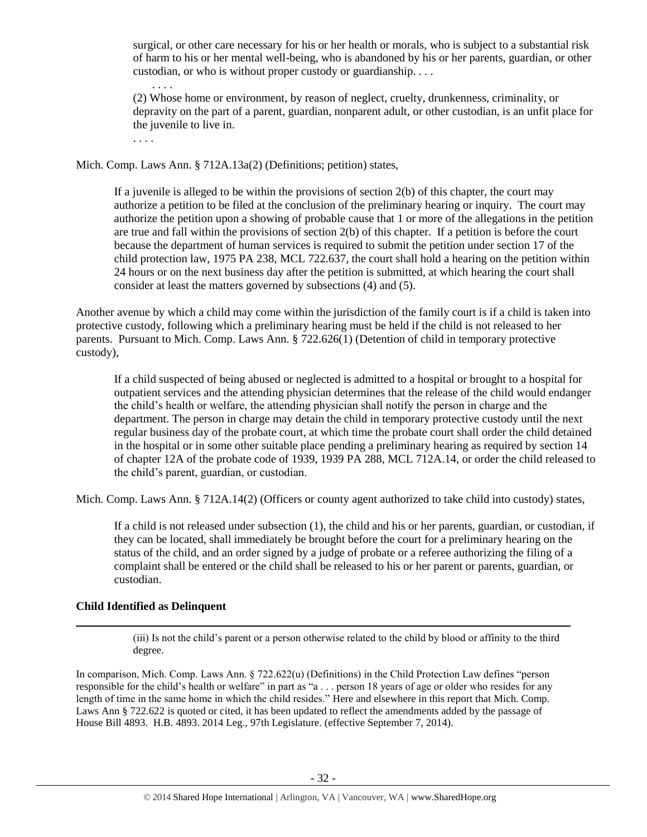surgical, or other care necessary for his or her health or morals, who is subject to a substantial risk of harm to his or her mental well-being, who is abandoned by his or her parents, guardian, or other custodian, or who is without proper custody or guardianship. . . .

. . . . (2) Whose home or environment, by reason of neglect, cruelty, drunkenness, criminality, or depravity on the part of a parent, guardian, nonparent adult, or other custodian, is an unfit place for the juvenile to live in.

. . . .

Mich. Comp. Laws Ann. § 712A.13a(2) (Definitions; petition) states,

If a juvenile is alleged to be within the provisions of section 2(b) of this chapter, the court may authorize a petition to be filed at the conclusion of the preliminary hearing or inquiry. The court may authorize the petition upon a showing of probable cause that 1 or more of the allegations in the petition are true and fall within the provisions of section 2(b) of this chapter. If a petition is before the court because the department of human services is required to submit the petition under section 17 of the child protection law, 1975 PA 238, MCL 722.637, the court shall hold a hearing on the petition within 24 hours or on the next business day after the petition is submitted, at which hearing the court shall consider at least the matters governed by subsections (4) and (5).

Another avenue by which a child may come within the jurisdiction of the family court is if a child is taken into protective custody, following which a preliminary hearing must be held if the child is not released to her parents. Pursuant to Mich. Comp. Laws Ann. § 722.626(1) (Detention of child in temporary protective custody),

If a child suspected of being abused or neglected is admitted to a hospital or brought to a hospital for outpatient services and the attending physician determines that the release of the child would endanger the child's health or welfare, the attending physician shall notify the person in charge and the department. The person in charge may detain the child in temporary protective custody until the next regular business day of the probate court, at which time the probate court shall order the child detained in the hospital or in some other suitable place pending a preliminary hearing as required by section 14 of chapter 12A of the probate code of 1939, 1939 PA 288, MCL 712A.14, or order the child released to the child's parent, guardian, or custodian.

Mich. Comp. Laws Ann. § 712A.14(2) (Officers or county agent authorized to take child into custody) states,

If a child is not released under subsection (1), the child and his or her parents, guardian, or custodian, if they can be located, shall immediately be brought before the court for a preliminary hearing on the status of the child, and an order signed by a judge of probate or a referee authorizing the filing of a complaint shall be entered or the child shall be released to his or her parent or parents, guardian, or custodian.

#### **Child Identified as Delinquent**

 $\overline{\phantom{a}}$ 

(iii) Is not the child's parent or a person otherwise related to the child by blood or affinity to the third degree.

In comparison, Mich. Comp. Laws Ann. § 722.622(u) (Definitions) in the Child Protection Law defines "person responsible for the child's health or welfare" in part as "a . . . person 18 years of age or older who resides for any length of time in the same home in which the child resides." Here and elsewhere in this report that Mich. Comp. Laws Ann § 722.622 is quoted or cited, it has been updated to reflect the amendments added by the passage of House Bill 4893. H.B. 4893. 2014 Leg., 97th Legislature. (effective September 7, 2014).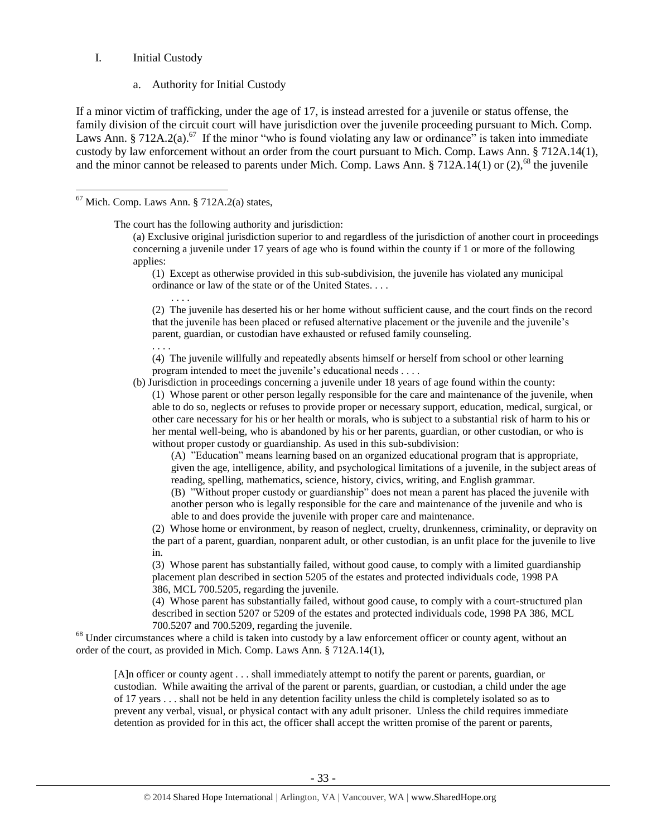#### I. Initial Custody

 $\overline{\phantom{a}}$ 

<span id="page-32-0"></span>a. Authority for Initial Custody

If a minor victim of trafficking, under the age of 17, is instead arrested for a juvenile or status offense, the family division of the circuit court will have jurisdiction over the juvenile proceeding pursuant to Mich. Comp. Laws Ann. § 712A.2(a).<sup>67</sup> If the minor "who is found violating any law or ordinance" is taken into immediate custody by law enforcement without an order from the court pursuant to Mich. Comp. Laws Ann. § 712A.14(1), and the minor cannot be released to parents under Mich. Comp. Laws Ann.  $\S 712A.14(1)$  or (2),<sup>68</sup> the juvenile

The court has the following authority and jurisdiction:

(a) Exclusive original jurisdiction superior to and regardless of the jurisdiction of another court in proceedings concerning a juvenile under 17 years of age who is found within the county if 1 or more of the following applies:

(1) Except as otherwise provided in this sub-subdivision, the juvenile has violated any municipal ordinance or law of the state or of the United States. . . .

. . . . (2) The juvenile has deserted his or her home without sufficient cause, and the court finds on the record that the juvenile has been placed or refused alternative placement or the juvenile and the juvenile's parent, guardian, or custodian have exhausted or refused family counseling.

. . . . (4) The juvenile willfully and repeatedly absents himself or herself from school or other learning program intended to meet the juvenile's educational needs . . . .

(b) Jurisdiction in proceedings concerning a juvenile under 18 years of age found within the county:

(1) Whose parent or other person legally responsible for the care and maintenance of the juvenile, when able to do so, neglects or refuses to provide proper or necessary support, education, medical, surgical, or other care necessary for his or her health or morals, who is subject to a substantial risk of harm to his or her mental well-being, who is abandoned by his or her parents, guardian, or other custodian, or who is without proper custody or guardianship. As used in this sub-subdivision:

(A) "Education" means learning based on an organized educational program that is appropriate, given the age, intelligence, ability, and psychological limitations of a juvenile, in the subject areas of reading, spelling, mathematics, science, history, civics, writing, and English grammar.

(B) "Without proper custody or guardianship" does not mean a parent has placed the juvenile with another person who is legally responsible for the care and maintenance of the juvenile and who is able to and does provide the juvenile with proper care and maintenance.

(2) Whose home or environment, by reason of neglect, cruelty, drunkenness, criminality, or depravity on the part of a parent, guardian, nonparent adult, or other custodian, is an unfit place for the juvenile to live in.

(3) Whose parent has substantially failed, without good cause, to comply with a limited guardianship placement plan described in section 5205 of the estates and protected individuals code, 1998 PA 386, MCL 700.5205, regarding the juvenile.

(4) Whose parent has substantially failed, without good cause, to comply with a court-structured plan described in section 5207 or 5209 of the estates and protected individuals code, 1998 PA 386, MCL 700.5207 and 700.5209, regarding the juvenile.

<sup>68</sup> Under circumstances where a child is taken into custody by a law enforcement officer or county agent, without an order of the court, as provided in Mich. Comp. Laws Ann. § 712A.14(1),

[A]n officer or county agent . . . shall immediately attempt to notify the parent or parents, guardian, or custodian. While awaiting the arrival of the parent or parents, guardian, or custodian, a child under the age of 17 years . . . shall not be held in any detention facility unless the child is completely isolated so as to prevent any verbal, visual, or physical contact with any adult prisoner. Unless the child requires immediate detention as provided for in this act, the officer shall accept the written promise of the parent or parents,

 $67$  Mich. Comp. Laws Ann. § 712A.2(a) states,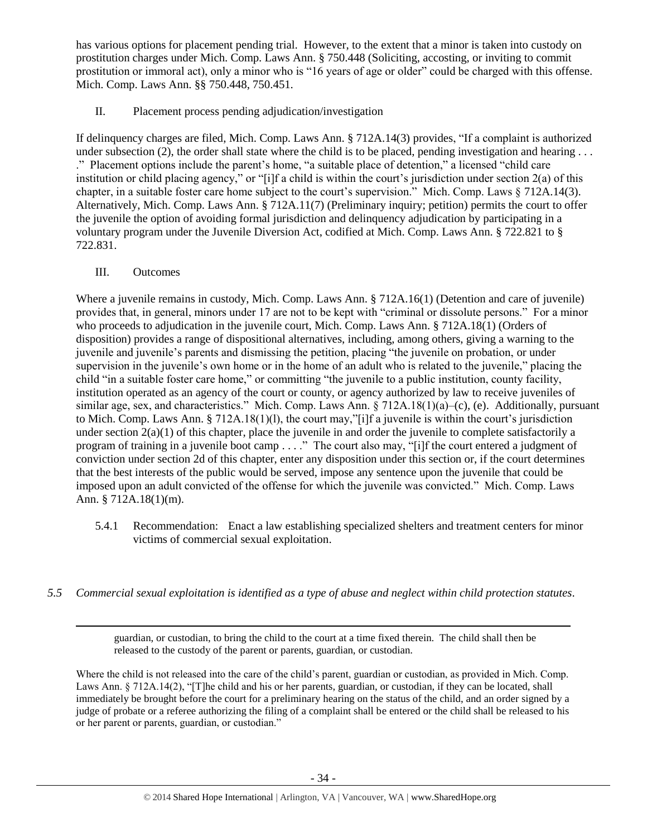has various options for placement pending trial. However, to the extent that a minor is taken into custody on prostitution charges under Mich. Comp. Laws Ann. § 750.448 (Soliciting, accosting, or inviting to commit prostitution or immoral act), only a minor who is "16 years of age or older" could be charged with this offense. Mich. Comp. Laws Ann. §§ 750.448, 750.451.

II. Placement process pending adjudication/investigation

If delinquency charges are filed, Mich. Comp. Laws Ann. § 712A.14(3) provides, "If a complaint is authorized under subsection (2), the order shall state where the child is to be placed, pending investigation and hearing ... ." Placement options include the parent's home, "a suitable place of detention," a licensed "child care institution or child placing agency," or "[i]f a child is within the court's jurisdiction under section 2(a) of this chapter, in a suitable foster care home subject to the court's supervision." Mich. Comp. Laws § 712A.14(3). Alternatively, Mich. Comp. Laws Ann. § 712A.11(7) (Preliminary inquiry; petition) permits the court to offer the juvenile the option of avoiding formal jurisdiction and delinquency adjudication by participating in a voluntary program under the Juvenile Diversion Act, codified at Mich. Comp. Laws Ann. § 722.821 to § 722.831.

III. Outcomes

 $\overline{\phantom{a}}$ 

Where a juvenile remains in custody, Mich. Comp. Laws Ann. § 712A.16(1) (Detention and care of juvenile) provides that, in general, minors under 17 are not to be kept with "criminal or dissolute persons." For a minor who proceeds to adjudication in the juvenile court, Mich. Comp. Laws Ann. § 712A.18(1) (Orders of disposition) provides a range of dispositional alternatives, including, among others, giving a warning to the juvenile and juvenile's parents and dismissing the petition, placing "the juvenile on probation, or under supervision in the juvenile's own home or in the home of an adult who is related to the juvenile," placing the child "in a suitable foster care home," or committing "the juvenile to a public institution, county facility, institution operated as an agency of the court or county, or agency authorized by law to receive juveniles of similar age, sex, and characteristics." Mich. Comp. Laws Ann. § 712A.18(1)(a)–(c), (e). Additionally, pursuant to Mich. Comp. Laws Ann. § 712A.18(1)(l), the court may,"[i]f a juvenile is within the court's jurisdiction under section  $2(a)(1)$  of this chapter, place the juvenile in and order the juvenile to complete satisfactorily a program of training in a juvenile boot camp . . . ." The court also may, "[i]f the court entered a judgment of conviction under section 2d of this chapter, enter any disposition under this section or, if the court determines that the best interests of the public would be served, impose any sentence upon the juvenile that could be imposed upon an adult convicted of the offense for which the juvenile was convicted." Mich. Comp. Laws Ann. § 712A.18(1)(m).

- 5.4.1 Recommendation: Enact a law establishing specialized shelters and treatment centers for minor victims of commercial sexual exploitation.
- *5.5 Commercial sexual exploitation is identified as a type of abuse and neglect within child protection statutes.*

guardian, or custodian, to bring the child to the court at a time fixed therein. The child shall then be released to the custody of the parent or parents, guardian, or custodian.

Where the child is not released into the care of the child's parent, guardian or custodian, as provided in Mich. Comp. Laws Ann. § 712A.14(2), "[T]he child and his or her parents, guardian, or custodian, if they can be located, shall immediately be brought before the court for a preliminary hearing on the status of the child, and an order signed by a judge of probate or a referee authorizing the filing of a complaint shall be entered or the child shall be released to his or her parent or parents, guardian, or custodian."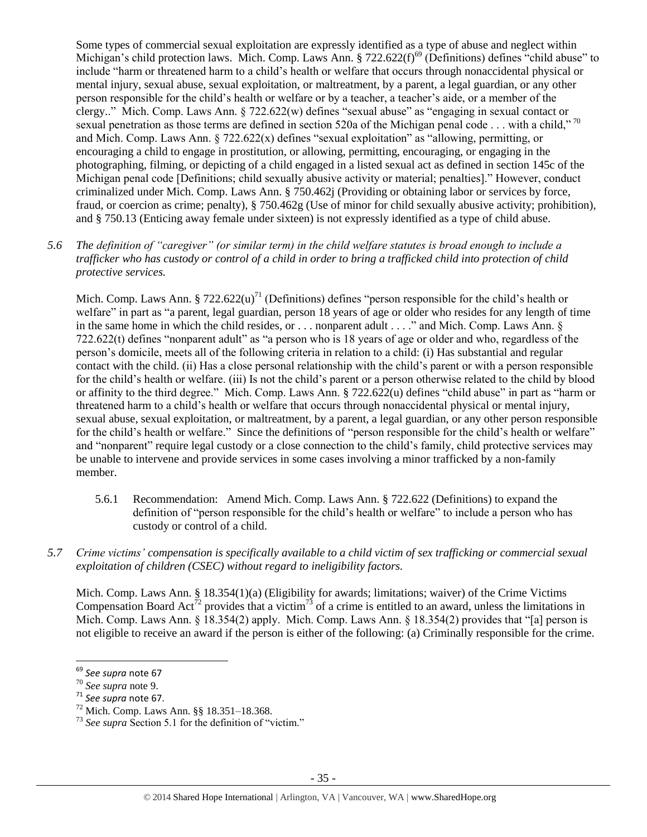<span id="page-34-0"></span>Some types of commercial sexual exploitation are expressly identified as a type of abuse and neglect within Michigan's child protection laws. Mich. Comp. Laws Ann.  $\S 722.622(f)^{69}$  (Definitions) defines "child abuse" to include "harm or threatened harm to a child's health or welfare that occurs through nonaccidental physical or mental injury, sexual abuse, sexual exploitation, or maltreatment, by a parent, a legal guardian, or any other person responsible for the child's health or welfare or by a teacher, a teacher's aide, or a member of the clergy.." Mich. Comp. Laws Ann. § 722.622(w) defines "sexual abuse" as "engaging in sexual contact or sexual penetration as those terms are defined in section 520a of the Michigan penal code ... with a child,"<sup>70</sup> and Mich. Comp. Laws Ann.  $\S$  722.622(x) defines "sexual exploitation" as "allowing, permitting, or encouraging a child to engage in prostitution, or allowing, permitting, encouraging, or engaging in the photographing, filming, or depicting of a child engaged in a listed sexual act as defined in section 145c of the Michigan penal code [Definitions; child sexually abusive activity or material; penalties]." However, conduct criminalized under Mich. Comp. Laws Ann. § 750.462j (Providing or obtaining labor or services by force, fraud, or coercion as crime; penalty), § 750.462g (Use of minor for child sexually abusive activity; prohibition), and § 750.13 (Enticing away female under sixteen) is not expressly identified as a type of child abuse.

*5.6 The definition of "caregiver" (or similar term) in the child welfare statutes is broad enough to include a trafficker who has custody or control of a child in order to bring a trafficked child into protection of child protective services.*

Mich. Comp. Laws Ann. § 722.622(u)<sup>71</sup> (Definitions) defines "person responsible for the child's health or welfare" in part as "a parent, legal guardian, person 18 years of age or older who resides for any length of time in the same home in which the child resides, or . . . nonparent adult . . . ." and Mich. Comp. Laws Ann. § 722.622(t) defines "nonparent adult" as "a person who is 18 years of age or older and who, regardless of the person's domicile, meets all of the following criteria in relation to a child: (i) Has substantial and regular contact with the child. (ii) Has a close personal relationship with the child's parent or with a person responsible for the child's health or welfare. (iii) Is not the child's parent or a person otherwise related to the child by blood or affinity to the third degree." Mich. Comp. Laws Ann. § 722.622(u) defines "child abuse" in part as "harm or threatened harm to a child's health or welfare that occurs through nonaccidental physical or mental injury, sexual abuse, sexual exploitation, or maltreatment, by a parent, a legal guardian, or any other person responsible for the child's health or welfare." Since the definitions of "person responsible for the child's health or welfare" and "nonparent" require legal custody or a close connection to the child's family, child protective services may be unable to intervene and provide services in some cases involving a minor trafficked by a non-family member.

- 5.6.1 Recommendation: Amend Mich. Comp. Laws Ann. § 722.622 (Definitions) to expand the definition of "person responsible for the child's health or welfare" to include a person who has custody or control of a child.
- *5.7 Crime victims' compensation is specifically available to a child victim of sex trafficking or commercial sexual exploitation of children (CSEC) without regard to ineligibility factors.*

Mich. Comp. Laws Ann. § 18.354(1)(a) (Eligibility for awards; limitations; waiver) of the Crime Victims Compensation Board Act<sup>72</sup> provides that a victim<sup>73</sup> of a crime is entitled to an award, unless the limitations in Mich. Comp. Laws Ann. § 18.354(2) apply. Mich. Comp. Laws Ann. § 18.354(2) provides that "[a] person is not eligible to receive an award if the person is either of the following: (a) Criminally responsible for the crime.

 $\overline{\phantom{a}}$ 

<sup>69</sup> *See supra* not[e 67](#page-32-0)

<sup>70</sup> *See supra* note [9.](#page-2-0)

<sup>71</sup> *See supra* not[e 67.](#page-32-0)

<sup>72</sup> Mich. Comp. Laws Ann. §§ 18.351–18.368.

<sup>73</sup> *See supra* Section 5.1 for the definition of "victim."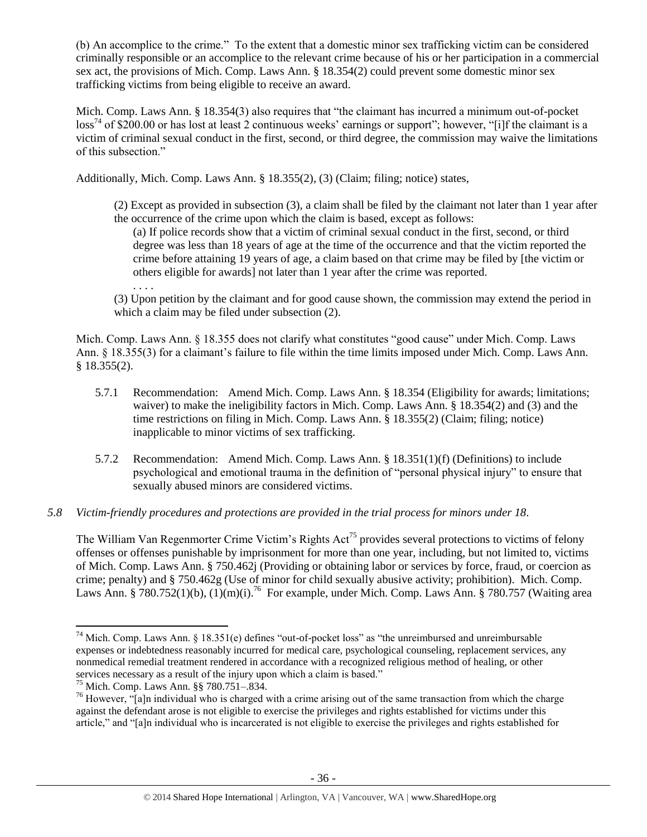(b) An accomplice to the crime." To the extent that a domestic minor sex trafficking victim can be considered criminally responsible or an accomplice to the relevant crime because of his or her participation in a commercial sex act, the provisions of Mich. Comp. Laws Ann. § 18.354(2) could prevent some domestic minor sex trafficking victims from being eligible to receive an award.

Mich. Comp. Laws Ann. § 18.354(3) also requires that "the claimant has incurred a minimum out-of-pocket  $\cos^{74}$  of \$200.00 or has lost at least 2 continuous weeks' earnings or support"; however, "[i]f the claimant is a victim of criminal sexual conduct in the first, second, or third degree, the commission may waive the limitations of this subsection."

Additionally, Mich. Comp. Laws Ann. § 18.355(2), (3) (Claim; filing; notice) states,

(2) Except as provided in subsection (3), a claim shall be filed by the claimant not later than 1 year after the occurrence of the crime upon which the claim is based, except as follows:

(a) If police records show that a victim of criminal sexual conduct in the first, second, or third degree was less than 18 years of age at the time of the occurrence and that the victim reported the crime before attaining 19 years of age, a claim based on that crime may be filed by [the victim or others eligible for awards] not later than 1 year after the crime was reported.

(3) Upon petition by the claimant and for good cause shown, the commission may extend the period in which a claim may be filed under subsection (2).

Mich. Comp. Laws Ann. § 18.355 does not clarify what constitutes "good cause" under Mich. Comp. Laws Ann. § 18.355(3) for a claimant's failure to file within the time limits imposed under Mich. Comp. Laws Ann. § 18.355(2).

- 5.7.1 Recommendation: Amend Mich. Comp. Laws Ann. § 18.354 (Eligibility for awards; limitations; waiver) to make the ineligibility factors in Mich. Comp. Laws Ann. § 18.354(2) and (3) and the time restrictions on filing in Mich. Comp. Laws Ann. § 18.355(2) (Claim; filing; notice) inapplicable to minor victims of sex trafficking.
- 5.7.2 Recommendation: Amend Mich. Comp. Laws Ann. § 18.351(1)(f) (Definitions) to include psychological and emotional trauma in the definition of "personal physical injury" to ensure that sexually abused minors are considered victims.

# *5.8 Victim-friendly procedures and protections are provided in the trial process for minors under 18.*

The William Van Regenmorter Crime Victim's Rights Act<sup>75</sup> provides several protections to victims of felony offenses or offenses punishable by imprisonment for more than one year, including, but not limited to, victims of Mich. Comp. Laws Ann. § 750.462j (Providing or obtaining labor or services by force, fraud, or coercion as crime; penalty) and § 750.462g (Use of minor for child sexually abusive activity; prohibition). Mich. Comp. Laws Ann. § 780.752(1)(b),  $(1)(m)(i)$ .<sup>76</sup> For example, under Mich. Comp. Laws Ann. § 780.757 (Waiting area

 $\overline{\phantom{a}}$ 

. . . .

<sup>&</sup>lt;sup>74</sup> Mich. Comp. Laws Ann. § 18.351(e) defines "out-of-pocket loss" as "the unreimbursed and unreimbursable expenses or indebtedness reasonably incurred for medical care, psychological counseling, replacement services, any nonmedical remedial treatment rendered in accordance with a recognized religious method of healing, or other services necessary as a result of the injury upon which a claim is based."

<sup>75</sup> Mich. Comp. Laws Ann. §§ 780.751–.834.

 $^{76}$  However, "[a]n individual who is charged with a crime arising out of the same transaction from which the charge against the defendant arose is not eligible to exercise the privileges and rights established for victims under this article," and "[a]n individual who is incarcerated is not eligible to exercise the privileges and rights established for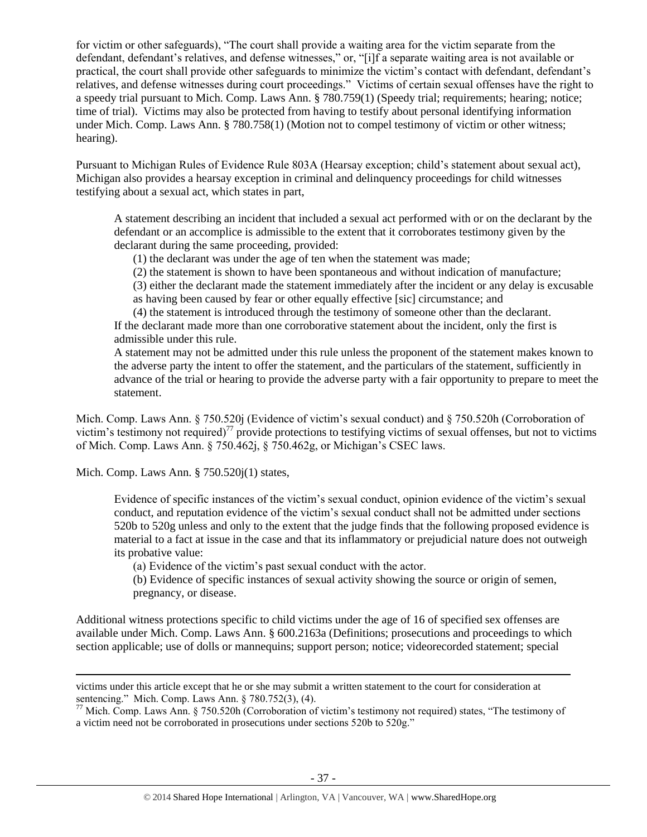for victim or other safeguards), "The court shall provide a waiting area for the victim separate from the defendant, defendant's relatives, and defense witnesses," or, "[i]f a separate waiting area is not available or practical, the court shall provide other safeguards to minimize the victim's contact with defendant, defendant's relatives, and defense witnesses during court proceedings." Victims of certain sexual offenses have the right to a speedy trial pursuant to Mich. Comp. Laws Ann. § 780.759(1) (Speedy trial; requirements; hearing; notice; time of trial). Victims may also be protected from having to testify about personal identifying information under Mich. Comp. Laws Ann. § 780.758(1) (Motion not to compel testimony of victim or other witness; hearing).

Pursuant to Michigan Rules of Evidence Rule 803A (Hearsay exception; child's statement about sexual act), Michigan also provides a hearsay exception in criminal and delinquency proceedings for child witnesses testifying about a sexual act, which states in part,

A statement describing an incident that included a sexual act performed with or on the declarant by the defendant or an accomplice is admissible to the extent that it corroborates testimony given by the declarant during the same proceeding, provided:

(1) the declarant was under the age of ten when the statement was made;

(2) the statement is shown to have been spontaneous and without indication of manufacture;

(3) either the declarant made the statement immediately after the incident or any delay is excusable

as having been caused by fear or other equally effective [sic] circumstance; and

(4) the statement is introduced through the testimony of someone other than the declarant. If the declarant made more than one corroborative statement about the incident, only the first is admissible under this rule.

A statement may not be admitted under this rule unless the proponent of the statement makes known to the adverse party the intent to offer the statement, and the particulars of the statement, sufficiently in advance of the trial or hearing to provide the adverse party with a fair opportunity to prepare to meet the statement.

Mich. Comp. Laws Ann. § 750.520j (Evidence of victim's sexual conduct) and § 750.520h (Corroboration of victim's testimony not required)<sup>77</sup> provide protections to testifying victims of sexual offenses, but not to victims of Mich. Comp. Laws Ann. § 750.462j, § 750.462g, or Michigan's CSEC laws.

Mich. Comp. Laws Ann. § 750.520j(1) states,

 $\overline{a}$ 

Evidence of specific instances of the victim's sexual conduct, opinion evidence of the victim's sexual conduct, and reputation evidence of the victim's sexual conduct shall not be admitted under sections 520b to 520g unless and only to the extent that the judge finds that the following proposed evidence is material to a fact at issue in the case and that its inflammatory or prejudicial nature does not outweigh its probative value:

(a) Evidence of the victim's past sexual conduct with the actor.

(b) Evidence of specific instances of sexual activity showing the source or origin of semen, pregnancy, or disease.

Additional witness protections specific to child victims under the age of 16 of specified sex offenses are available under Mich. Comp. Laws Ann. § 600.2163a (Definitions; prosecutions and proceedings to which section applicable; use of dolls or mannequins; support person; notice; videorecorded statement; special

victims under this article except that he or she may submit a written statement to the court for consideration at sentencing." Mich. Comp. Laws Ann. § 780.752(3), (4).

 $77$  Mich. Comp. Laws Ann. § 750.520h (Corroboration of victim's testimony not required) states, "The testimony of a victim need not be corroborated in prosecutions under sections 520b to 520g."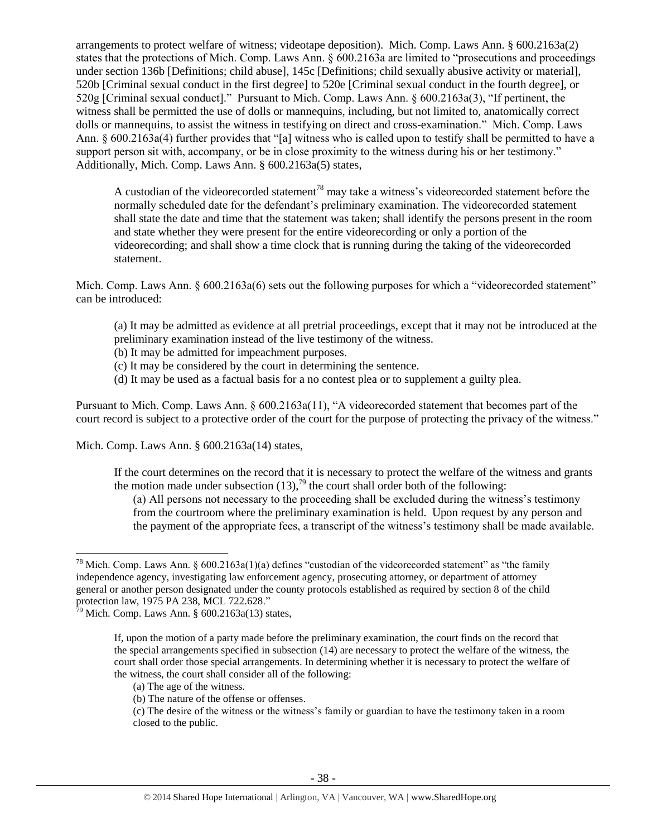arrangements to protect welfare of witness; videotape deposition). Mich. Comp. Laws Ann. § 600.2163a(2) states that the protections of Mich. Comp. Laws Ann. § 600.2163a are limited to "prosecutions and proceedings under section 136b [Definitions; child abuse], 145c [Definitions; child sexually abusive activity or material], 520b [Criminal sexual conduct in the first degree] to 520e [Criminal sexual conduct in the fourth degree], or 520g [Criminal sexual conduct]." Pursuant to Mich. Comp. Laws Ann. § 600.2163a(3), "If pertinent, the witness shall be permitted the use of dolls or mannequins, including, but not limited to, anatomically correct dolls or mannequins, to assist the witness in testifying on direct and cross-examination." Mich. Comp. Laws Ann. § 600.2163a(4) further provides that "[a] witness who is called upon to testify shall be permitted to have a support person sit with, accompany, or be in close proximity to the witness during his or her testimony." Additionally, Mich. Comp. Laws Ann. § 600.2163a(5) states,

A custodian of the videorecorded statement<sup>78</sup> may take a witness's videorecorded statement before the normally scheduled date for the defendant's preliminary examination. The videorecorded statement shall state the date and time that the statement was taken; shall identify the persons present in the room and state whether they were present for the entire videorecording or only a portion of the videorecording; and shall show a time clock that is running during the taking of the videorecorded statement.

Mich. Comp. Laws Ann. § 600.2163a(6) sets out the following purposes for which a "videorecorded statement" can be introduced:

- (a) It may be admitted as evidence at all pretrial proceedings, except that it may not be introduced at the preliminary examination instead of the live testimony of the witness.
- (b) It may be admitted for impeachment purposes.
- (c) It may be considered by the court in determining the sentence.
- (d) It may be used as a factual basis for a no contest plea or to supplement a guilty plea.

Pursuant to Mich. Comp. Laws Ann. § 600.2163a(11), "A videorecorded statement that becomes part of the court record is subject to a protective order of the court for the purpose of protecting the privacy of the witness."

Mich. Comp. Laws Ann. § 600.2163a(14) states,

If the court determines on the record that it is necessary to protect the welfare of the witness and grants the motion made under subsection  $(13)$ ,<sup>79</sup> the court shall order both of the following:

(a) All persons not necessary to the proceeding shall be excluded during the witness's testimony from the courtroom where the preliminary examination is held. Upon request by any person and the payment of the appropriate fees, a transcript of the witness's testimony shall be made available.

 $\overline{\phantom{a}}$ 

<sup>&</sup>lt;sup>78</sup> Mich. Comp. Laws Ann. §  $600.2163a(1)(a)$  defines "custodian of the videorecorded statement" as "the family independence agency, investigating law enforcement agency, prosecuting attorney, or department of attorney general or another person designated under the county protocols established as required by section 8 of the child protection law, 1975 PA 238, [MCL 722.628.](https://www.lexis.com/research/buttonTFLink?_m=667b361992caab280f00d1e1265c8d77&_xfercite=%3ccite%20cc%3d%22USA%22%3e%3c%21%5bCDATA%5bMCLS%20%a7%20600.2163a%5d%5d%3e%3c%2fcite%3e&_butType=4&_butStat=0&_butNum=3&_butInline=1&_butinfo=MICODE%20722.628&_fmtstr=FULL&docnum=1&_startdoc=1&wchp=dGLbVzt-zSkAA&_md5=60270760332353995386710bada62b4a)"

 $\frac{1}{29}$  Mich. Comp. Laws Ann. § 600.2163a(13) states,

If, upon the motion of a party made before the preliminary examination, the court finds on the record that the special arrangements specified in subsection (14) are necessary to protect the welfare of the witness, the court shall order those special arrangements. In determining whether it is necessary to protect the welfare of the witness, the court shall consider all of the following:

<sup>(</sup>a) The age of the witness.

<sup>(</sup>b) The nature of the offense or offenses.

<sup>(</sup>c) The desire of the witness or the witness's family or guardian to have the testimony taken in a room closed to the public.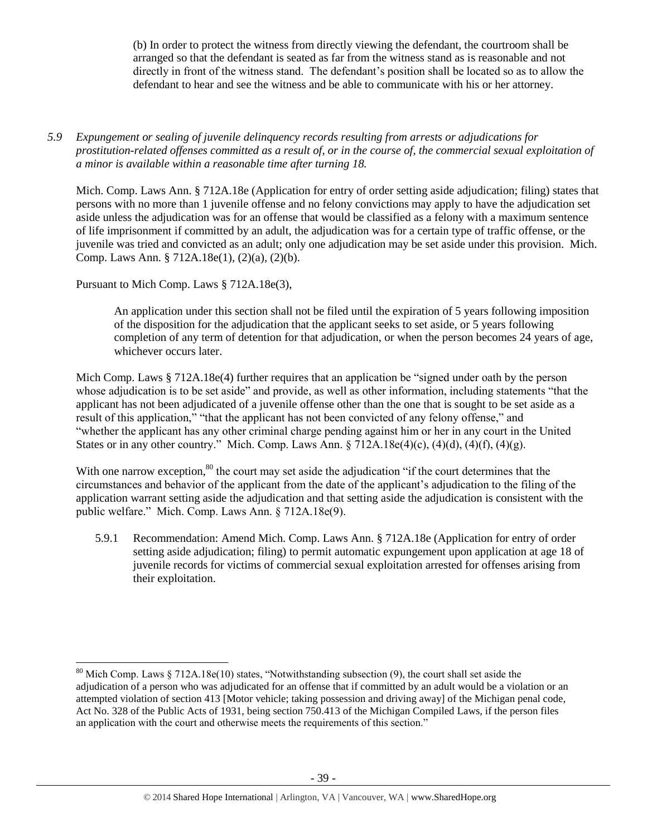(b) In order to protect the witness from directly viewing the defendant, the courtroom shall be arranged so that the defendant is seated as far from the witness stand as is reasonable and not directly in front of the witness stand. The defendant's position shall be located so as to allow the defendant to hear and see the witness and be able to communicate with his or her attorney.

*5.9 Expungement or sealing of juvenile delinquency records resulting from arrests or adjudications for prostitution-related offenses committed as a result of, or in the course of, the commercial sexual exploitation of a minor is available within a reasonable time after turning 18.*

Mich. Comp. Laws Ann. § 712A.18e (Application for entry of order setting aside adjudication; filing) states that persons with no more than 1 juvenile offense and no felony convictions may apply to have the adjudication set aside unless the adjudication was for an offense that would be classified as a felony with a maximum sentence of life imprisonment if committed by an adult, the adjudication was for a certain type of traffic offense, or the juvenile was tried and convicted as an adult; only one adjudication may be set aside under this provision. Mich. Comp. Laws Ann. § 712A.18e(1), (2)(a), (2)(b).

Pursuant to Mich Comp. Laws § 712A.18e(3),

l

An application under this section shall not be filed until the expiration of 5 years following imposition of the disposition for the adjudication that the applicant seeks to set aside, or 5 years following completion of any term of detention for that adjudication, or when the person becomes 24 years of age, whichever occurs later.

Mich Comp. Laws § 712A.18e(4) further requires that an application be "signed under oath by the person whose adjudication is to be set aside" and provide, as well as other information, including statements "that the applicant has not been adjudicated of a juvenile offense other than the one that is sought to be set aside as a result of this application," "that the applicant has not been convicted of any felony offense," and "whether the applicant has any other criminal charge pending against him or her in any court in the United States or in any other country." Mich. Comp. Laws Ann.  $\S 712A.18e(4)(c)$ ,  $(4)(d)$ ,  $(4)(f)$ ,  $(4)(g)$ .

With one narrow exception,<sup>80</sup> the court may set aside the adjudication "if the court determines that the circumstances and behavior of the applicant from the date of the applicant's adjudication to the filing of the application warrant setting aside the adjudication and that setting aside the adjudication is consistent with the public welfare." Mich. Comp. Laws Ann. § 712A.18e(9).

5.9.1 Recommendation: Amend Mich. Comp. Laws Ann. § 712A.18e (Application for entry of order setting aside adjudication; filing) to permit automatic expungement upon application at age 18 of juvenile records for victims of commercial sexual exploitation arrested for offenses arising from their exploitation.

 $80$  Mich Comp. Laws § 712A.18e(10) states, "Notwithstanding subsection (9), the court shall set aside the adjudication of a person who was adjudicated for an offense that if committed by an adult would be a violation or an attempted violation of section 413 [Motor vehicle; taking possession and driving away] of the Michigan penal code, Act No. 328 of the Public Acts of 1931, being section 750.413 of the Michigan Compiled Laws, if the person files an application with the court and otherwise meets the requirements of this section."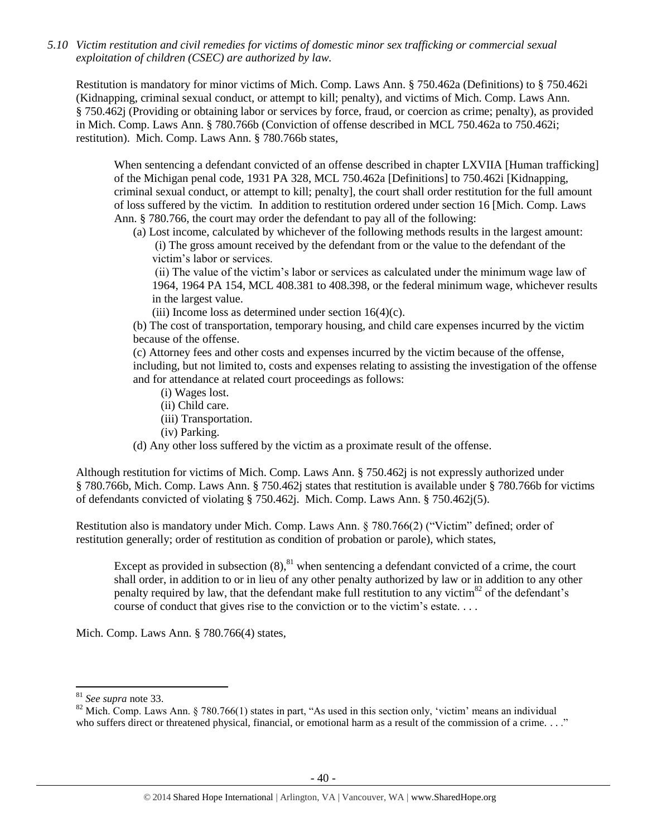*5.10 Victim restitution and civil remedies for victims of domestic minor sex trafficking or commercial sexual exploitation of children (CSEC) are authorized by law.* 

Restitution is mandatory for minor victims of Mich. Comp. Laws Ann. § 750.462a (Definitions) to § 750.462i (Kidnapping, criminal sexual conduct, or attempt to kill; penalty), and victims of Mich. Comp. Laws Ann. § 750.462j (Providing or obtaining labor or services by force, fraud, or coercion as crime; penalty), as provided in Mich. Comp. Laws Ann. § 780.766b (Conviction of offense described in MCL 750.462a to 750.462i; restitution). Mich. Comp. Laws Ann. § 780.766b states,

When sentencing a defendant convicted of an offense described in chapter LXVIIA [Human trafficking] of the Michigan penal code, 1931 PA 328, MCL 750.462a [Definitions] to 750.462i [Kidnapping, criminal sexual conduct, or attempt to kill; penalty], the court shall order restitution for the full amount of loss suffered by the victim. In addition to restitution ordered under section 16 [Mich. Comp. Laws Ann. § 780.766, the court may order the defendant to pay all of the following:

(a) Lost income, calculated by whichever of the following methods results in the largest amount:

(i) The gross amount received by the defendant from or the value to the defendant of the victim's labor or services.

(ii) The value of the victim's labor or services as calculated under the minimum wage law of 1964, 1964 PA 154, MCL 408.381 to 408.398, or the federal minimum wage, whichever results in the largest value.

(iii) Income loss as determined under section  $16(4)(c)$ .

(b) The cost of transportation, temporary housing, and child care expenses incurred by the victim because of the offense.

(c) Attorney fees and other costs and expenses incurred by the victim because of the offense, including, but not limited to, costs and expenses relating to assisting the investigation of the offense and for attendance at related court proceedings as follows:

- (i) Wages lost.
- (ii) Child care.
- (iii) Transportation.
- (iv) Parking.

(d) Any other loss suffered by the victim as a proximate result of the offense.

Although restitution for victims of Mich. Comp. Laws Ann. § 750.462j is not expressly authorized under § 780.766b, Mich. Comp. Laws Ann. § 750.462j states that restitution is available under § 780.766b for victims of defendants convicted of violating § 750.462j. Mich. Comp. Laws Ann. § 750.462j(5).

Restitution also is mandatory under Mich. Comp. Laws Ann. § 780.766(2) ("Victim" defined; order of restitution generally; order of restitution as condition of probation or parole), which states,

Except as provided in subsection  $(8)$ , <sup>81</sup> when sentencing a defendant convicted of a crime, the court shall order, in addition to or in lieu of any other penalty authorized by law or in addition to any other penalty required by law, that the defendant make full restitution to any victim $^{82}$  of the defendant's course of conduct that gives rise to the conviction or to the victim's estate. . . .

Mich. Comp. Laws Ann. § 780.766(4) states,

 $\overline{\phantom{a}}$ 

<sup>81</sup> *See supra* note [33.](#page-12-0)

<sup>&</sup>lt;sup>82</sup> Mich. Comp. Laws Ann. § 780.766(1) states in part, "As used in this section only, 'victim' means an individual who suffers direct or threatened physical, financial, or emotional harm as a result of the commission of a crime. . . ."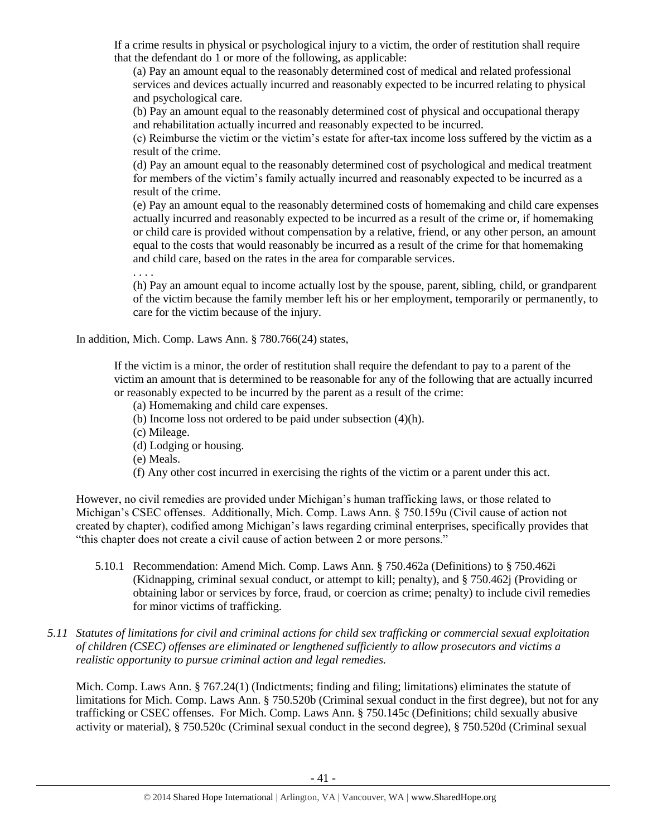If a crime results in physical or psychological injury to a victim, the order of restitution shall require that the defendant do 1 or more of the following, as applicable:

(a) Pay an amount equal to the reasonably determined cost of medical and related professional services and devices actually incurred and reasonably expected to be incurred relating to physical and psychological care.

(b) Pay an amount equal to the reasonably determined cost of physical and occupational therapy and rehabilitation actually incurred and reasonably expected to be incurred.

(c) Reimburse the victim or the victim's estate for after-tax income loss suffered by the victim as a result of the crime.

(d) Pay an amount equal to the reasonably determined cost of psychological and medical treatment for members of the victim's family actually incurred and reasonably expected to be incurred as a result of the crime.

(e) Pay an amount equal to the reasonably determined costs of homemaking and child care expenses actually incurred and reasonably expected to be incurred as a result of the crime or, if homemaking or child care is provided without compensation by a relative, friend, or any other person, an amount equal to the costs that would reasonably be incurred as a result of the crime for that homemaking and child care, based on the rates in the area for comparable services.

. . . .

(h) Pay an amount equal to income actually lost by the spouse, parent, sibling, child, or grandparent of the victim because the family member left his or her employment, temporarily or permanently, to care for the victim because of the injury.

In addition, Mich. Comp. Laws Ann. § 780.766(24) states,

If the victim is a minor, the order of restitution shall require the defendant to pay to a parent of the victim an amount that is determined to be reasonable for any of the following that are actually incurred or reasonably expected to be incurred by the parent as a result of the crime:

- (a) Homemaking and child care expenses.
- (b) Income loss not ordered to be paid under subsection (4)(h).
- (c) Mileage.
- (d) Lodging or housing.
- (e) Meals.
- (f) Any other cost incurred in exercising the rights of the victim or a parent under this act.

However, no civil remedies are provided under Michigan's human trafficking laws, or those related to Michigan's CSEC offenses. Additionally, Mich. Comp. Laws Ann. § 750.159u (Civil cause of action not created by chapter), codified among Michigan's laws regarding criminal enterprises, specifically provides that "this chapter does not create a civil cause of action between 2 or more persons."

- 5.10.1 Recommendation: Amend Mich. Comp. Laws Ann. § 750.462a (Definitions) to § 750.462i (Kidnapping, criminal sexual conduct, or attempt to kill; penalty), and § 750.462j (Providing or obtaining labor or services by force, fraud, or coercion as crime; penalty) to include civil remedies for minor victims of trafficking.
- *5.11 Statutes of limitations for civil and criminal actions for child sex trafficking or commercial sexual exploitation of children (CSEC) offenses are eliminated or lengthened sufficiently to allow prosecutors and victims a realistic opportunity to pursue criminal action and legal remedies.*

Mich. Comp. Laws Ann. § 767.24(1) (Indictments; finding and filing; limitations) eliminates the statute of limitations for Mich. Comp. Laws Ann. § 750.520b (Criminal sexual conduct in the first degree), but not for any trafficking or CSEC offenses. For Mich. Comp. Laws Ann. § 750.145c (Definitions; child sexually abusive activity or material), § 750.520c (Criminal sexual conduct in the second degree), § 750.520d (Criminal sexual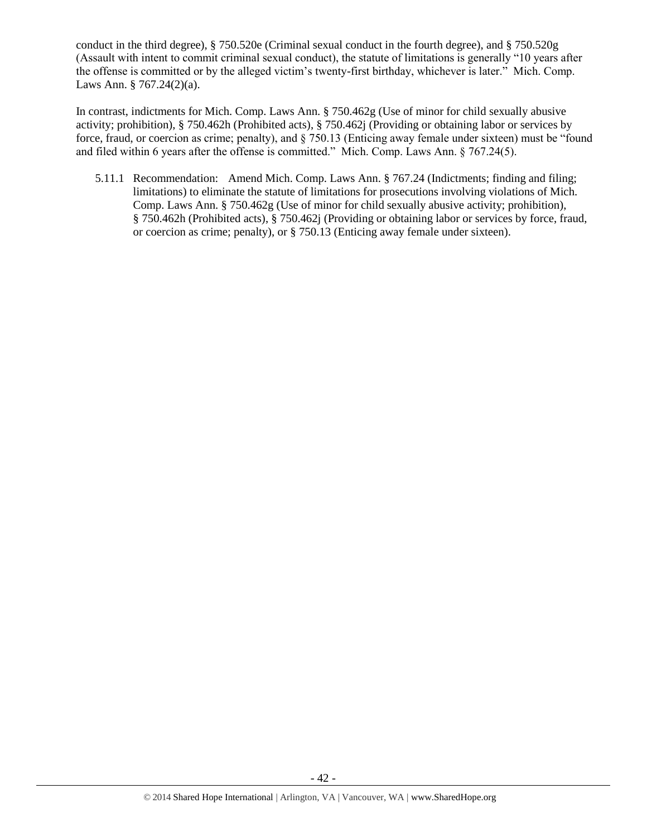conduct in the third degree), § 750.520e (Criminal sexual conduct in the fourth degree), and § 750.520g (Assault with intent to commit criminal sexual conduct), the statute of limitations is generally "10 years after the offense is committed or by the alleged victim's twenty-first birthday, whichever is later." Mich. Comp. Laws Ann. § 767.24(2)(a).

In contrast, indictments for Mich. Comp. Laws Ann. § 750.462g (Use of minor for child sexually abusive activity; prohibition), § 750.462h (Prohibited acts), § 750.462j (Providing or obtaining labor or services by force, fraud, or coercion as crime; penalty), and § 750.13 (Enticing away female under sixteen) must be "found and filed within 6 years after the offense is committed." Mich. Comp. Laws Ann. § 767.24(5).

5.11.1 Recommendation: Amend Mich. Comp. Laws Ann. § 767.24 (Indictments; finding and filing; limitations) to eliminate the statute of limitations for prosecutions involving violations of Mich. Comp. Laws Ann. § 750.462g (Use of minor for child sexually abusive activity; prohibition), § 750.462h (Prohibited acts), § 750.462j (Providing or obtaining labor or services by force, fraud, or coercion as crime; penalty), or § 750.13 (Enticing away female under sixteen).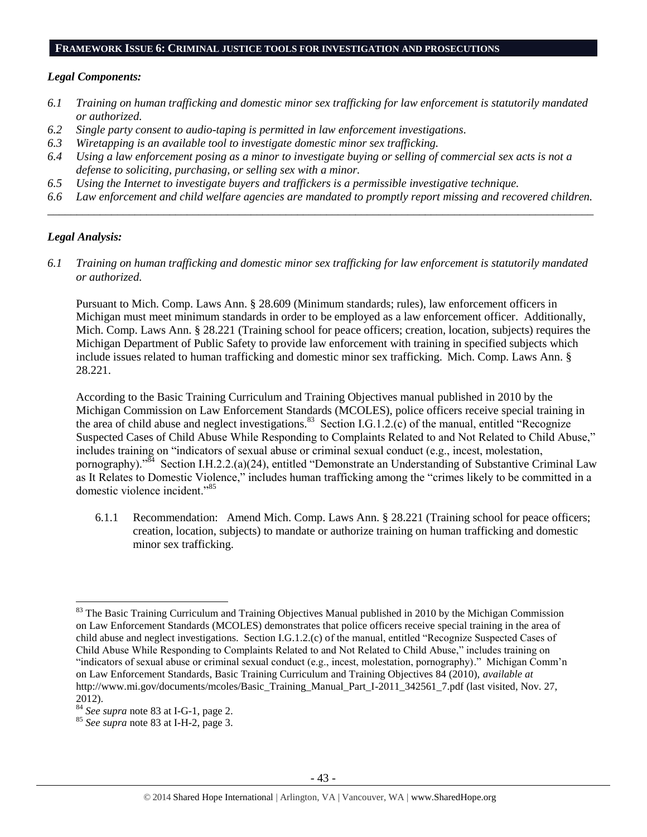#### **FRAMEWORK ISSUE 6: CRIMINAL JUSTICE TOOLS FOR INVESTIGATION AND PROSECUTIONS**

#### *Legal Components:*

- *6.1 Training on human trafficking and domestic minor sex trafficking for law enforcement is statutorily mandated or authorized.*
- *6.2 Single party consent to audio-taping is permitted in law enforcement investigations.*
- *6.3 Wiretapping is an available tool to investigate domestic minor sex trafficking.*
- *6.4 Using a law enforcement posing as a minor to investigate buying or selling of commercial sex acts is not a defense to soliciting, purchasing, or selling sex with a minor.*
- *6.5 Using the Internet to investigate buyers and traffickers is a permissible investigative technique.*
- *6.6 Law enforcement and child welfare agencies are mandated to promptly report missing and recovered children. \_\_\_\_\_\_\_\_\_\_\_\_\_\_\_\_\_\_\_\_\_\_\_\_\_\_\_\_\_\_\_\_\_\_\_\_\_\_\_\_\_\_\_\_\_\_\_\_\_\_\_\_\_\_\_\_\_\_\_\_\_\_\_\_\_\_\_\_\_\_\_\_\_\_\_\_\_\_\_\_\_\_\_\_\_\_\_\_\_\_\_\_\_\_*

#### *Legal Analysis:*

 $\overline{a}$ 

*6.1 Training on human trafficking and domestic minor sex trafficking for law enforcement is statutorily mandated or authorized.*

Pursuant to Mich. Comp. Laws Ann. § 28.609 (Minimum standards; rules), law enforcement officers in Michigan must meet minimum standards in order to be employed as a law enforcement officer. Additionally, Mich. Comp. Laws Ann. § 28.221 (Training school for peace officers; creation, location, subjects) requires the Michigan Department of Public Safety to provide law enforcement with training in specified subjects which include issues related to human trafficking and domestic minor sex trafficking. Mich. Comp. Laws Ann. § 28.221.

According to the Basic Training Curriculum and Training Objectives manual published in 2010 by the Michigan Commission on Law Enforcement Standards (MCOLES), police officers receive special training in the area of child abuse and neglect investigations.<sup>83</sup> Section I.G.1.2. $(c)$  of the manual, entitled "Recognize" Suspected Cases of Child Abuse While Responding to Complaints Related to and Not Related to Child Abuse," includes training on "indicators of sexual abuse or criminal sexual conduct (e.g., incest, molestation, pornography)."<sup>84</sup> Section I.H.2.2.(a)(24), entitled "Demonstrate an Understanding of Substantive Criminal Law as It Relates to Domestic Violence," includes human trafficking among the "crimes likely to be committed in a domestic violence incident."<sup>85</sup>

<span id="page-42-0"></span>6.1.1 Recommendation: Amend Mich. Comp. Laws Ann. § 28.221 (Training school for peace officers; creation, location, subjects) to mandate or authorize training on human trafficking and domestic minor sex trafficking.

<sup>&</sup>lt;sup>83</sup> The Basic Training Curriculum and Training Objectives Manual published in 2010 by the Michigan Commission on Law Enforcement Standards (MCOLES) demonstrates that police officers receive special training in the area of child abuse and neglect investigations. Section I.G.1.2.(c) of the manual, entitled "Recognize Suspected Cases of Child Abuse While Responding to Complaints Related to and Not Related to Child Abuse," includes training on "indicators of sexual abuse or criminal sexual conduct (e.g., incest, molestation, pornography)." Michigan Comm'n on Law Enforcement Standards, Basic Training Curriculum and Training Objectives 84 (2010), *available at* [http://www.mi.gov/documents/mcoles/Basic\\_Training\\_Manual\\_Part\\_I-2011\\_342561\\_7.pdf](http://www.mi.gov/documents/mcoles/Basic_Training_Manual_Part_I-2011_342561_7.pdf) (last visited, Nov. 27, 2012).

<sup>84</sup> *See supra* note [83](#page-42-0) at I-G-1, page 2.

<sup>85</sup> *See supra* note [83](#page-42-0) at I-H-2, page 3.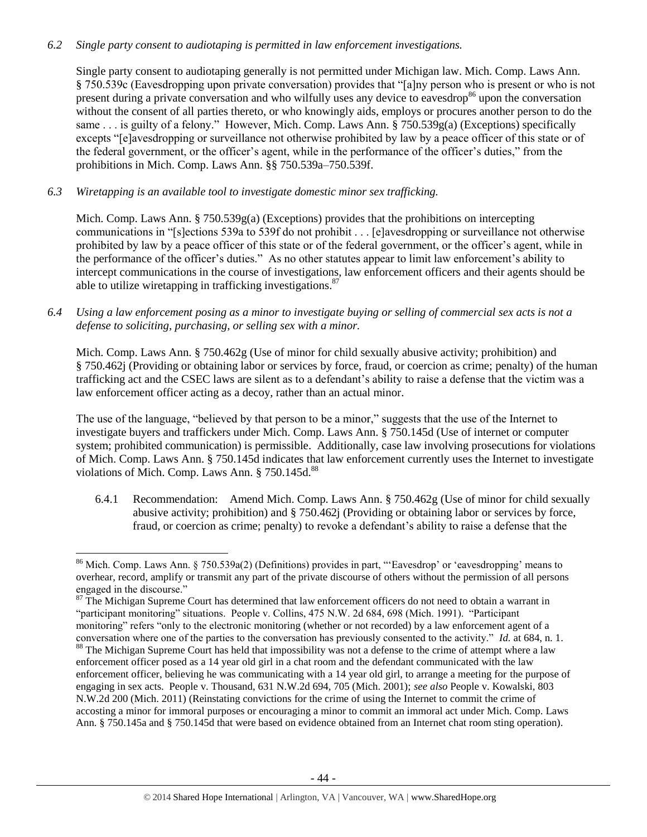#### *6.2 Single party consent to audiotaping is permitted in law enforcement investigations.*

Single party consent to audiotaping generally is not permitted under Michigan law. Mich. Comp. Laws Ann. § 750.539c (Eavesdropping upon private conversation) provides that "[a]ny person who is present or who is not present during a private conversation and who wilfully uses any device to eavesdrop<sup>86</sup> upon the conversation without the consent of all parties thereto, or who knowingly aids, employs or procures another person to do the same . . . is guilty of a felony." However, Mich. Comp. Laws Ann. § 750.539g(a) (Exceptions) specifically excepts "[e]avesdropping or surveillance not otherwise prohibited by law by a peace officer of this state or of the federal government, or the officer's agent, while in the performance of the officer's duties," from the prohibitions in Mich. Comp. Laws Ann. §§ 750.539a–750.539f.

*6.3 Wiretapping is an available tool to investigate domestic minor sex trafficking.* 

 $\overline{\phantom{a}}$ 

Mich. Comp. Laws Ann. § 750.539g(a) (Exceptions) provides that the prohibitions on intercepting communications in "[s]ections 539a to 539f do not prohibit . . . [e]avesdropping or surveillance not otherwise prohibited by law by a peace officer of this state or of the federal government, or the officer's agent, while in the performance of the officer's duties." As no other statutes appear to limit law enforcement's ability to intercept communications in the course of investigations, law enforcement officers and their agents should be able to utilize wiretapping in trafficking investigations. $87$ 

*6.4 Using a law enforcement posing as a minor to investigate buying or selling of commercial sex acts is not a defense to soliciting, purchasing, or selling sex with a minor.*

Mich. Comp. Laws Ann. § 750.462g (Use of minor for child sexually abusive activity; prohibition) and § 750.462j (Providing or obtaining labor or services by force, fraud, or coercion as crime; penalty) of the human trafficking act and the CSEC laws are silent as to a defendant's ability to raise a defense that the victim was a law enforcement officer acting as a decoy, rather than an actual minor.

The use of the language, "believed by that person to be a minor," suggests that the use of the Internet to investigate buyers and traffickers under Mich. Comp. Laws Ann. § 750.145d (Use of internet or computer system; prohibited communication) is permissible. Additionally, case law involving prosecutions for violations of Mich. Comp. Laws Ann. § 750.145d indicates that law enforcement currently uses the Internet to investigate violations of Mich. Comp. Laws Ann. § 750.145d.<sup>88</sup>

<span id="page-43-0"></span>6.4.1 Recommendation: Amend Mich. Comp. Laws Ann. § 750.462g (Use of minor for child sexually abusive activity; prohibition) and § 750.462j (Providing or obtaining labor or services by force, fraud, or coercion as crime; penalty) to revoke a defendant's ability to raise a defense that the

<sup>&</sup>lt;sup>86</sup> Mich. Comp. Laws Ann. § 750.539a(2) (Definitions) provides in part, "'Eavesdrop' or 'eavesdropping' means to overhear, record, amplify or transmit any part of the private discourse of others without the permission of all persons engaged in the discourse."

<sup>&</sup>lt;sup>87</sup> The Michigan Supreme Court has determined that law enforcement officers do not need to obtain a warrant in "participant monitoring" situations. People v. Collins, 475 N.W. 2d 684, 698 (Mich. 1991). "Participant monitoring" refers "only to the electronic monitoring (whether or not recorded) by a law enforcement agent of a conversation where one of the parties to the conversation has previously consented to the activity." *Id.* at 684, n. 1. <sup>88</sup> The Michigan Supreme Court has held that impossibility was not a defense to the crime of attempt where a law enforcement officer posed as a 14 year old girl in a chat room and the defendant communicated with the law enforcement officer, believing he was communicating with a 14 year old girl, to arrange a meeting for the purpose of engaging in sex acts. People v. Thousand, 631 N.W.2d 694, 705 (Mich. 2001); *see also* People v. Kowalski, 803 N.W.2d 200 (Mich. 2011) (Reinstating convictions for the crime of using the Internet to commit the crime of accosting a minor for immoral purposes or encouraging a minor to commit an immoral act under Mich. Comp. Laws Ann. § 750.145a and § 750.145d that were based on evidence obtained from an Internet chat room sting operation).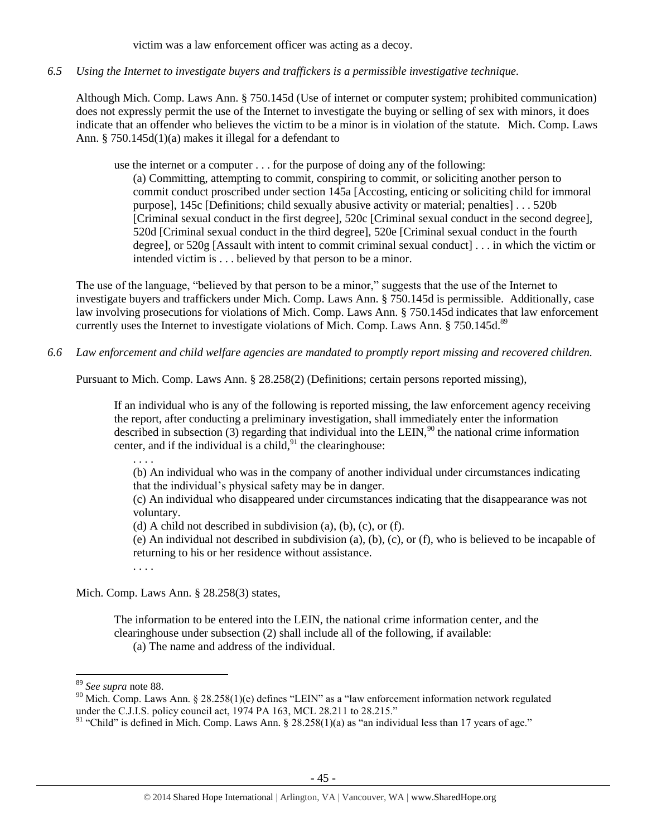victim was a law enforcement officer was acting as a decoy.

*6.5 Using the Internet to investigate buyers and traffickers is a permissible investigative technique.*

Although Mich. Comp. Laws Ann. § 750.145d (Use of internet or computer system; prohibited communication) does not expressly permit the use of the Internet to investigate the buying or selling of sex with minors, it does indicate that an offender who believes the victim to be a minor is in violation of the statute. Mich. Comp. Laws Ann. § 750.145d(1)(a) makes it illegal for a defendant to

use the internet or a computer . . . for the purpose of doing any of the following:

(a) Committing, attempting to commit, conspiring to commit, or soliciting another person to commit conduct proscribed under section 145a [Accosting, enticing or soliciting child for immoral purpose], 145c [Definitions; child sexually abusive activity or material; penalties] . . . 520b [Criminal sexual conduct in the first degree], 520c [Criminal sexual conduct in the second degree], 520d [Criminal sexual conduct in the third degree], 520e [Criminal sexual conduct in the fourth degree], or 520g [Assault with intent to commit criminal sexual conduct] . . . in which the victim or intended victim is . . . believed by that person to be a minor.

The use of the language, "believed by that person to be a minor," suggests that the use of the Internet to investigate buyers and traffickers under Mich. Comp. Laws Ann. § 750.145d is permissible. Additionally, case law involving prosecutions for violations of Mich. Comp. Laws Ann. § 750.145d indicates that law enforcement currently uses the Internet to investigate violations of Mich. Comp. Laws Ann. § 750.145d.<sup>89</sup>

*6.6 Law enforcement and child welfare agencies are mandated to promptly report missing and recovered children.* 

Pursuant to Mich. Comp. Laws Ann. § 28.258(2) (Definitions; certain persons reported missing),

If an individual who is any of the following is reported missing, the law enforcement agency receiving the report, after conducting a preliminary investigation, shall immediately enter the information described in subsection (3) regarding that individual into the LEIN,  $^{90}$  the national crime information center, and if the individual is a child,  $91$  the clearinghouse:

. . . .

(b) An individual who was in the company of another individual under circumstances indicating that the individual's physical safety may be in danger.

(c) An individual who disappeared under circumstances indicating that the disappearance was not voluntary.

(d) A child not described in subdivision (a), (b), (c), or (f).

(e) An individual not described in subdivision (a), (b),  $(c)$ , or  $(f)$ , who is believed to be incapable of returning to his or her residence without assistance.

. . . .

Mich. Comp. Laws Ann. § 28.258(3) states,

The information to be entered into the LEIN, the national crime information center, and the clearinghouse under subsection (2) shall include all of the following, if available:

(a) The name and address of the individual.

 $\overline{a}$ 

<sup>89</sup> *See supra* note [88.](#page-43-0)

<sup>&</sup>lt;sup>90</sup> Mich. Comp. Laws Ann. § 28.258(1)(e) defines "LEIN" as a "law enforcement information network regulated under the C.J.I.S. policy council act,  $1974$  PA 163, MCL 28.211 to 28.215."

<sup>&</sup>lt;sup>91</sup> "Child" is defined in Mich. Comp. Laws Ann.  $\frac{28.258(1)(a)}{28.258(1)}$  as "an individual less than 17 years of age."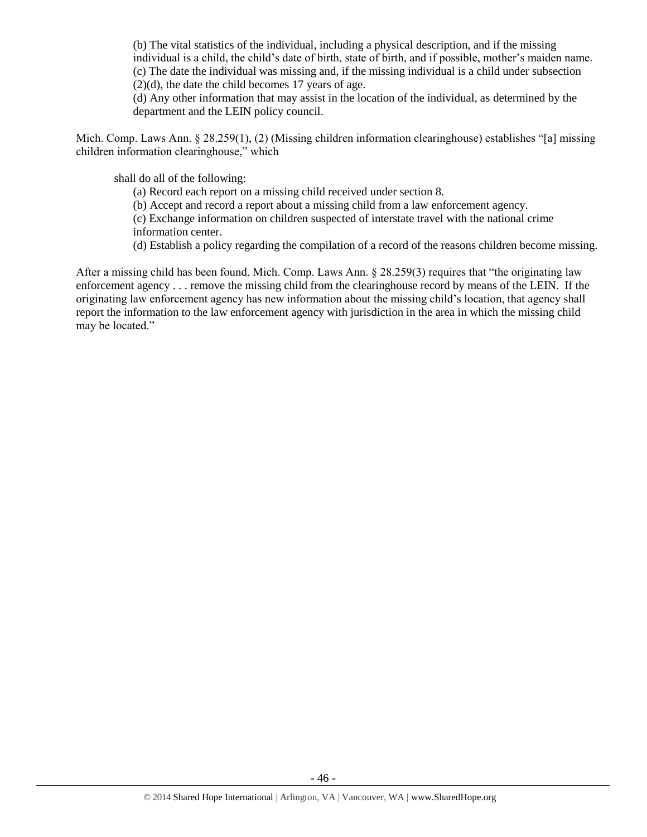(b) The vital statistics of the individual, including a physical description, and if the missing individual is a child, the child's date of birth, state of birth, and if possible, mother's maiden name. (c) The date the individual was missing and, if the missing individual is a child under subsection  $(2)(d)$ , the date the child becomes 17 years of age.

(d) Any other information that may assist in the location of the individual, as determined by the department and the LEIN policy council.

Mich. Comp. Laws Ann. § 28.259(1), (2) (Missing children information clearinghouse) establishes "[a] missing children information clearinghouse," which

shall do all of the following:

(a) Record each report on a missing child received under section 8.

(b) Accept and record a report about a missing child from a law enforcement agency.

(c) Exchange information on children suspected of interstate travel with the national crime information center.

(d) Establish a policy regarding the compilation of a record of the reasons children become missing.

After a missing child has been found, Mich. Comp. Laws Ann. § 28.259(3) requires that "the originating law enforcement agency . . . remove the missing child from the clearinghouse record by means of the LEIN. If the originating law enforcement agency has new information about the missing child's location, that agency shall report the information to the law enforcement agency with jurisdiction in the area in which the missing child may be located."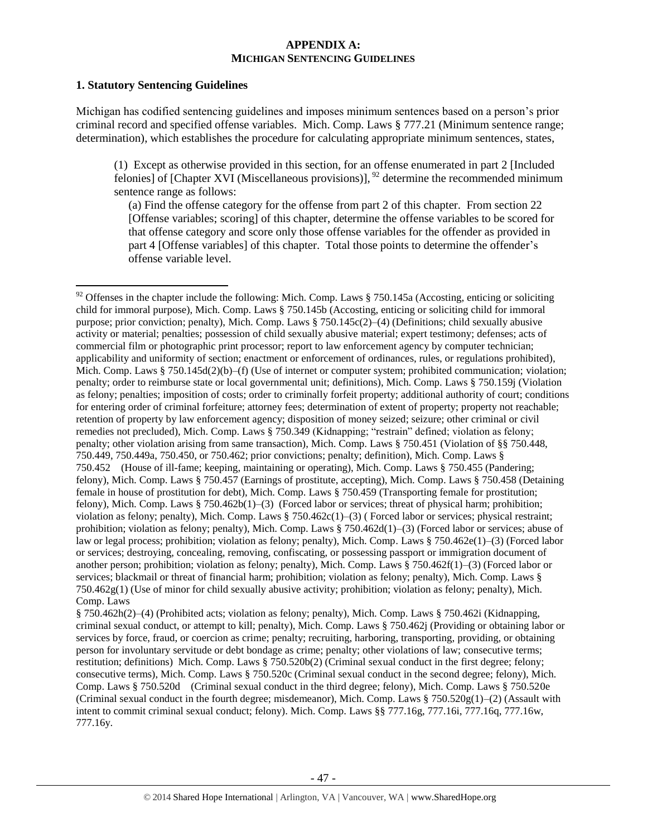#### **APPENDIX A: MICHIGAN SENTENCING GUIDELINES**

#### **1. Statutory Sentencing Guidelines**

 $\overline{\phantom{a}}$ 

Michigan has codified sentencing guidelines and imposes minimum sentences based on a person's prior criminal record and specified offense variables. Mich. Comp. Laws § 777.21 (Minimum sentence range; determination), which establishes the procedure for calculating appropriate minimum sentences, states,

(1) Except as otherwise provided in this section, for an offense enumerated in part 2 [Included felonies] of [Chapter XVI (Miscellaneous provisions)],  $^{92}$  determine the recommended minimum sentence range as follows:

(a) Find the offense category for the offense from part 2 of this chapter. From section 22 [Offense variables; scoring] of this chapter, determine the offense variables to be scored for that offense category and score only those offense variables for the offender as provided in part 4 [Offense variables] of this chapter. Total those points to determine the offender's offense variable level.

 $92$  Offenses in the chapter include the following: Mich. Comp. Laws § 750.145a (Accosting, enticing or soliciting child for immoral purpose), Mich. Comp. Laws § 750.145b (Accosting, enticing or soliciting child for immoral purpose; prior conviction; penalty), Mich. Comp. Laws § 750.145c(2)–(4) (Definitions; child sexually abusive activity or material; penalties; possession of child sexually abusive material; expert testimony; defenses; acts of commercial film or photographic print processor; report to law enforcement agency by computer technician; applicability and uniformity of section; enactment or enforcement of ordinances, rules, or regulations prohibited), Mich. Comp. Laws § 750.145d(2)(b)–(f) (Use of internet or computer system; prohibited communication; violation; penalty; order to reimburse state or local governmental unit; definitions), Mich. Comp. Laws § 750.159j (Violation as felony; penalties; imposition of costs; order to criminally forfeit property; additional authority of court; conditions for entering order of criminal forfeiture; attorney fees; determination of extent of property; property not reachable; retention of property by law enforcement agency; disposition of money seized; seizure; other criminal or civil remedies not precluded), Mich. Comp. Laws § 750.349 (Kidnapping; "restrain" defined; violation as felony; penalty; other violation arising from same transaction), Mich. Comp. Laws § 750.451 (Violation of §§ 750.448, 750.449, 750.449a, 750.450, or 750.462; prior convictions; penalty; definition), Mich. Comp. Laws § 750.452 (House of ill-fame; keeping, maintaining or operating), Mich. Comp. Laws § 750.455 (Pandering; felony), Mich. Comp. Laws § 750.457 (Earnings of prostitute, accepting), Mich. Comp. Laws § 750.458 (Detaining female in house of prostitution for debt), Mich. Comp. Laws § 750.459 (Transporting female for prostitution; felony), Mich. Comp. Laws § 750.462b(1)–(3) (Forced labor or services; threat of physical harm; prohibition; violation as felony; penalty), Mich. Comp. Laws § 750.462c(1)–(3) ( Forced labor or services; physical restraint; prohibition; violation as felony; penalty), Mich. Comp. Laws § 750.462d(1)–(3) (Forced labor or services; abuse of law or legal process; prohibition; violation as felony; penalty), Mich. Comp. Laws § 750.462e(1)–(3) (Forced labor or services; destroying, concealing, removing, confiscating, or possessing passport or immigration document of another person; prohibition; violation as felony; penalty), Mich. Comp. Laws § 750.462f(1)–(3) (Forced labor or services; blackmail or threat of financial harm; prohibition; violation as felony; penalty), Mich. Comp. Laws § 750.462g(1) (Use of minor for child sexually abusive activity; prohibition; violation as felony; penalty), Mich. Comp. Laws

<sup>§ 750.462</sup>h(2)–(4) (Prohibited acts; violation as felony; penalty), Mich. Comp. Laws § 750.462i (Kidnapping, criminal sexual conduct, or attempt to kill; penalty), Mich. Comp. Laws § 750.462j (Providing or obtaining labor or services by force, fraud, or coercion as crime; penalty; recruiting, harboring, transporting, providing, or obtaining person for involuntary servitude or debt bondage as crime; penalty; other violations of law; consecutive terms; restitution; definitions) Mich. Comp. Laws § 750.520b(2) (Criminal sexual conduct in the first degree; felony; consecutive terms), Mich. Comp. Laws § 750.520c (Criminal sexual conduct in the second degree; felony), Mich. Comp. Laws § 750.520d (Criminal sexual conduct in the third degree; felony), Mich. Comp. Laws § 750.520e (Criminal sexual conduct in the fourth degree; misdemeanor), Mich. Comp. Laws  $\S 750.520g(1)$ –(2) (Assault with intent to commit criminal sexual conduct; felony). Mich. Comp. Laws §§ 777.16g, 777.16i, 777.16q, 777.16w, 777.16y.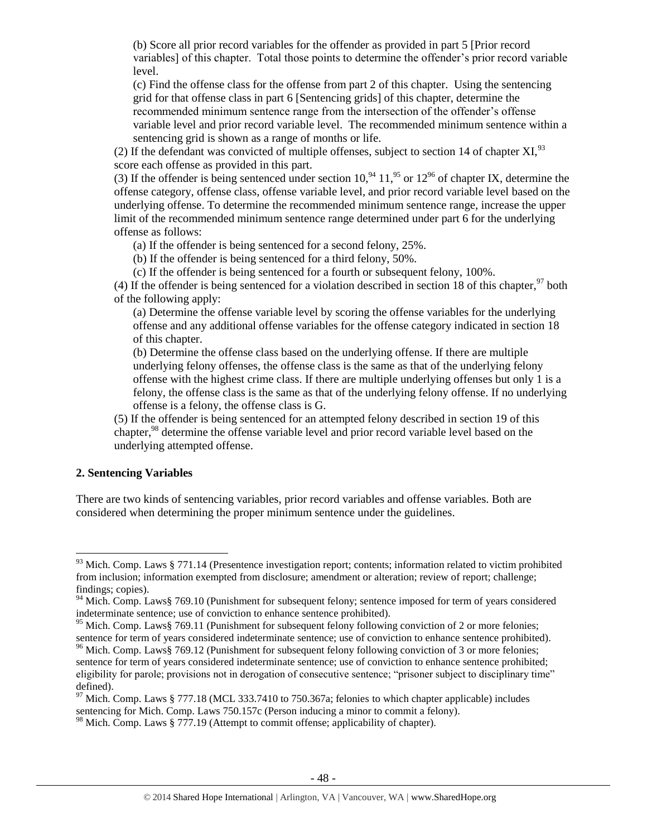(b) Score all prior record variables for the offender as provided in part 5 [Prior record variables] of this chapter. Total those points to determine the offender's prior record variable level.

(c) Find the offense class for the offense from part 2 of this chapter. Using the sentencing grid for that offense class in part 6 [Sentencing grids] of this chapter, determine the recommended minimum sentence range from the intersection of the offender's offense variable level and prior record variable level. The recommended minimum sentence within a sentencing grid is shown as a range of months or life.

(2) If the defendant was convicted of multiple offenses, subject to section 14 of chapter XI,  $93$ score each offense as provided in this part.

(3) If the offender is being sentenced under section  $10<sup>94</sup> 11<sup>95</sup>$  or  $12<sup>96</sup>$  of chapter IX, determine the offense category, offense class, offense variable level, and prior record variable level based on the underlying offense. To determine the recommended minimum sentence range, increase the upper limit of the recommended minimum sentence range determined under part 6 for the underlying offense as follows:

(a) If the offender is being sentenced for a second felony, 25%.

(b) If the offender is being sentenced for a third felony, 50%.

(c) If the offender is being sentenced for a fourth or subsequent felony, 100%.

(4) If the offender is being sentenced for a violation described in section 18 of this chapter,  $97$  both of the following apply:

(a) Determine the offense variable level by scoring the offense variables for the underlying offense and any additional offense variables for the offense category indicated in section 18 of this chapter.

(b) Determine the offense class based on the underlying offense. If there are multiple underlying felony offenses, the offense class is the same as that of the underlying felony offense with the highest crime class. If there are multiple underlying offenses but only 1 is a felony, the offense class is the same as that of the underlying felony offense. If no underlying offense is a felony, the offense class is G.

(5) If the offender is being sentenced for an attempted felony described in section 19 of this chapter,<sup>98</sup> determine the offense variable level and prior record variable level based on the underlying attempted offense.

#### **2. Sentencing Variables**

 $\overline{\phantom{a}}$ 

There are two kinds of sentencing variables, prior record variables and offense variables. Both are considered when determining the proper minimum sentence under the guidelines.

 $93$  Mich. Comp. Laws § 771.14 (Presentence investigation report; contents; information related to victim prohibited from inclusion; information exempted from disclosure; amendment or alteration; review of report; challenge; findings; copies).

<sup>&</sup>lt;sup>94</sup> Mich. Comp. Laws§ 769.10 (Punishment for subsequent felony; sentence imposed for term of years considered indeterminate sentence; use of conviction to enhance sentence prohibited).

<sup>&</sup>lt;sup>95</sup> Mich. Comp. Laws§ 769.11 (Punishment for subsequent felony following conviction of 2 or more felonies; sentence for term of years considered indeterminate sentence; use of conviction to enhance sentence prohibited).

<sup>&</sup>lt;sup>96</sup> Mich. Comp. Laws§ 769.12 (Punishment for subsequent felony following conviction of 3 or more felonies; sentence for term of years considered indeterminate sentence; use of conviction to enhance sentence prohibited; eligibility for parole; provisions not in derogation of consecutive sentence; "prisoner subject to disciplinary time" defined).

<sup>&</sup>lt;sup>97</sup> Mich. Comp. Laws § 777.18 (MCL 333.7410 to 750.367a; felonies to which chapter applicable) includes sentencing for Mich. Comp. Laws 750.157c (Person inducing a minor to commit a felony).

 $98$  Mich. Comp. Laws § 777.19 (Attempt to commit offense; applicability of chapter).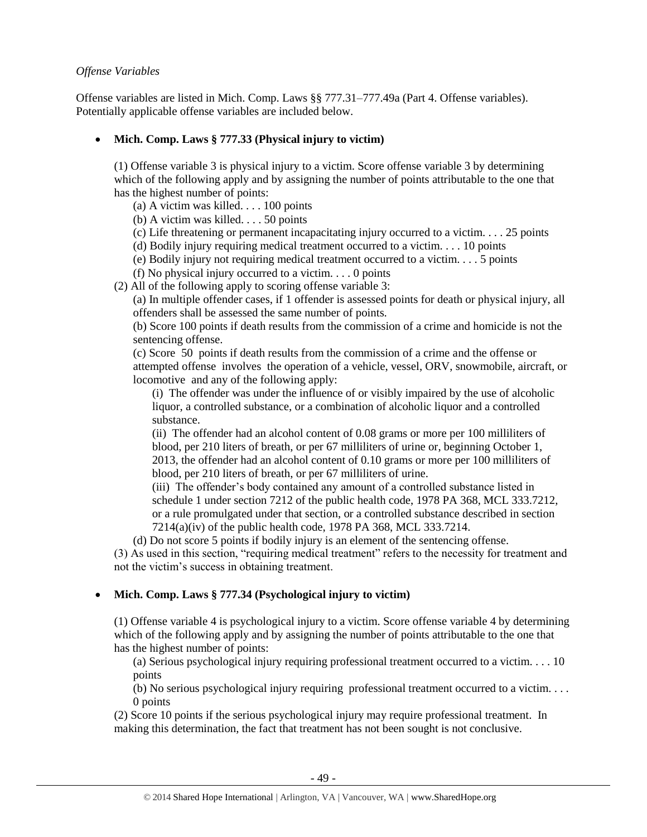#### *Offense Variables*

Offense variables are listed in Mich. Comp. Laws §§ 777.31–777.49a (Part 4. Offense variables). Potentially applicable offense variables are included below.

# **Mich. Comp. Laws § 777.33 (Physical injury to victim)**

(1) Offense variable 3 is physical injury to a victim. Score offense variable 3 by determining which of the following apply and by assigning the number of points attributable to the one that has the highest number of points:

- (a) A victim was killed. . . . 100 points
- (b) A victim was killed. . . . 50 points
- (c) Life threatening or permanent incapacitating injury occurred to a victim. . . . 25 points
- (d) Bodily injury requiring medical treatment occurred to a victim. . . . 10 points
- (e) Bodily injury not requiring medical treatment occurred to a victim. . . . 5 points
- (f) No physical injury occurred to a victim.  $\ldots$  0 points
- (2) All of the following apply to scoring offense variable 3:

(a) In multiple offender cases, if 1 offender is assessed points for death or physical injury, all offenders shall be assessed the same number of points.

(b) Score 100 points if death results from the commission of a crime and homicide is not the sentencing offense.

(c) Score 50 points if death results from the commission of a crime and the offense or attempted offense involves the operation of a vehicle, vessel, ORV, snowmobile, aircraft, or locomotive and any of the following apply:

(i) The offender was under the influence of or visibly impaired by the use of alcoholic liquor, a controlled substance, or a combination of alcoholic liquor and a controlled substance.

(ii) The offender had an alcohol content of 0.08 grams or more per 100 milliliters of blood, per 210 liters of breath, or per 67 milliliters of urine or, beginning October 1, 2013, the offender had an alcohol content of 0.10 grams or more per 100 milliliters of blood, per 210 liters of breath, or per 67 milliliters of urine.

(iii) The offender's body contained any amount of a controlled substance listed in schedule 1 under section 7212 of the public health code, 1978 PA 368, MCL 333.7212, or a rule promulgated under that section, or a controlled substance described in section 7214(a)(iv) of the public health code, 1978 PA 368, MCL 333.7214.

(d) Do not score 5 points if bodily injury is an element of the sentencing offense. (3) As used in this section, "requiring medical treatment" refers to the necessity for treatment and not the victim's success in obtaining treatment.

# **Mich. Comp. Laws § 777.34 (Psychological injury to victim)**

(1) Offense variable 4 is psychological injury to a victim. Score offense variable 4 by determining which of the following apply and by assigning the number of points attributable to the one that has the highest number of points:

(a) Serious psychological injury requiring professional treatment occurred to a victim. . . . 10 points

(b) No serious psychological injury requiring professional treatment occurred to a victim. . . . 0 points

(2) Score 10 points if the serious psychological injury may require professional treatment. In making this determination, the fact that treatment has not been sought is not conclusive.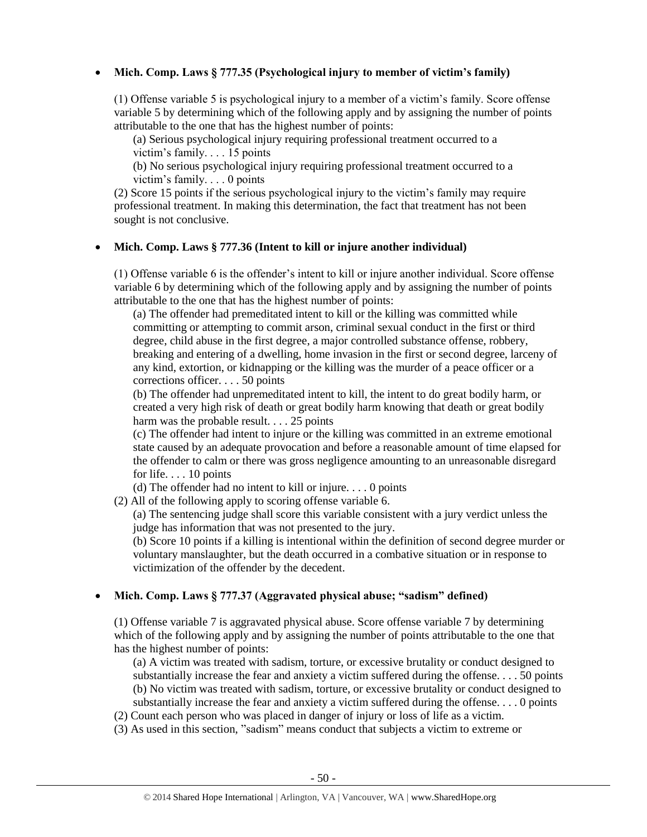## **Mich. Comp. Laws § 777.35 (Psychological injury to member of victim's family)**

(1) Offense variable 5 is psychological injury to a member of a victim's family. Score offense variable 5 by determining which of the following apply and by assigning the number of points attributable to the one that has the highest number of points:

(a) Serious psychological injury requiring professional treatment occurred to a victim's family. . . . 15 points

(b) No serious psychological injury requiring professional treatment occurred to a victim's family. . . . 0 points

(2) Score 15 points if the serious psychological injury to the victim's family may require professional treatment. In making this determination, the fact that treatment has not been sought is not conclusive.

#### **Mich. Comp. Laws § 777.36 (Intent to kill or injure another individual)**

(1) Offense variable 6 is the offender's intent to kill or injure another individual. Score offense variable 6 by determining which of the following apply and by assigning the number of points attributable to the one that has the highest number of points:

(a) The offender had premeditated intent to kill or the killing was committed while committing or attempting to commit arson, criminal sexual conduct in the first or third degree, child abuse in the first degree, a major controlled substance offense, robbery, breaking and entering of a dwelling, home invasion in the first or second degree, larceny of any kind, extortion, or kidnapping or the killing was the murder of a peace officer or a corrections officer. . . . 50 points

(b) The offender had unpremeditated intent to kill, the intent to do great bodily harm, or created a very high risk of death or great bodily harm knowing that death or great bodily harm was the probable result. . . . 25 points

(c) The offender had intent to injure or the killing was committed in an extreme emotional state caused by an adequate provocation and before a reasonable amount of time elapsed for the offender to calm or there was gross negligence amounting to an unreasonable disregard for life. . . . 10 points

(d) The offender had no intent to kill or injure. . . . 0 points

(2) All of the following apply to scoring offense variable 6.

(a) The sentencing judge shall score this variable consistent with a jury verdict unless the judge has information that was not presented to the jury.

(b) Score 10 points if a killing is intentional within the definition of second degree murder or voluntary manslaughter, but the death occurred in a combative situation or in response to victimization of the offender by the decedent.

# **Mich. Comp. Laws § 777.37 (Aggravated physical abuse; "sadism" defined)**

(1) Offense variable 7 is aggravated physical abuse. Score offense variable 7 by determining which of the following apply and by assigning the number of points attributable to the one that has the highest number of points:

(a) A victim was treated with sadism, torture, or excessive brutality or conduct designed to substantially increase the fear and anxiety a victim suffered during the offense.  $\ldots$  50 points (b) No victim was treated with sadism, torture, or excessive brutality or conduct designed to substantially increase the fear and anxiety a victim suffered during the offense. . . . 0 points

- (2) Count each person who was placed in danger of injury or loss of life as a victim.
- (3) As used in this section, "sadism" means conduct that subjects a victim to extreme or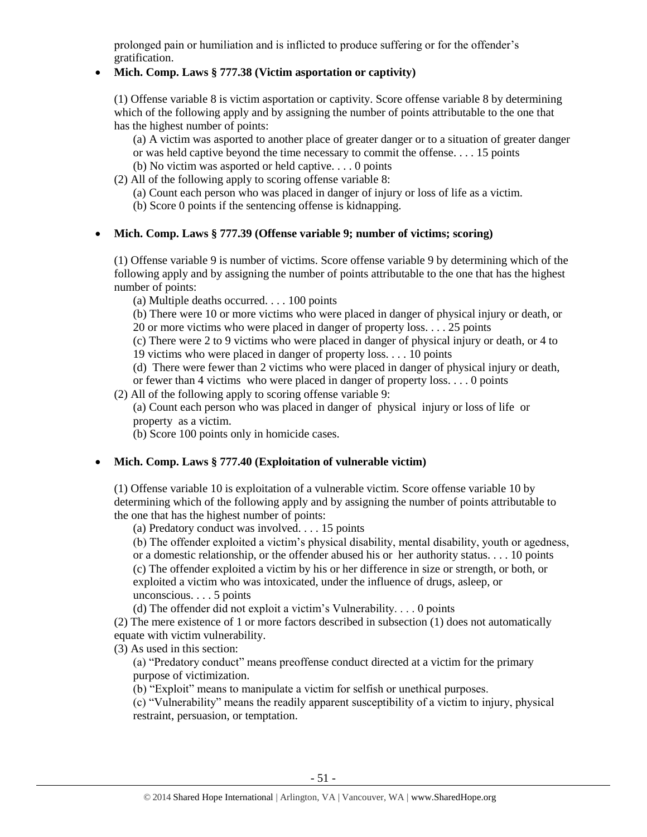prolonged pain or humiliation and is inflicted to produce suffering or for the offender's gratification.

## **Mich. Comp. Laws § 777.38 (Victim asportation or captivity)**

(1) Offense variable 8 is victim asportation or captivity. Score offense variable 8 by determining which of the following apply and by assigning the number of points attributable to the one that has the highest number of points:

(a) A victim was asported to another place of greater danger or to a situation of greater danger or was held captive beyond the time necessary to commit the offense. . . . 15 points

- (b) No victim was asported or held captive. . . . 0 points
- (2) All of the following apply to scoring offense variable 8:
	- (a) Count each person who was placed in danger of injury or loss of life as a victim.
	- (b) Score 0 points if the sentencing offense is kidnapping.

## **Mich. Comp. Laws § 777.39 (Offense variable 9; number of victims; scoring)**

(1) Offense variable 9 is number of victims. Score offense variable 9 by determining which of the following apply and by assigning the number of points attributable to the one that has the highest number of points:

(a) Multiple deaths occurred. . . . 100 points

(b) There were 10 or more victims who were placed in danger of physical injury or death, or 20 or more victims who were placed in danger of property loss. . . . 25 points

(c) There were 2 to 9 victims who were placed in danger of physical injury or death, or 4 to 19 victims who were placed in danger of property loss. . . . 10 points

(d) There were fewer than 2 victims who were placed in danger of physical injury or death,

or fewer than 4 victims who were placed in danger of property loss. . . . 0 points

(2) All of the following apply to scoring offense variable 9:

(a) Count each person who was placed in danger of physical injury or loss of life or property as a victim.

(b) Score 100 points only in homicide cases.

# **Mich. Comp. Laws § 777.40 (Exploitation of vulnerable victim)**

(1) Offense variable 10 is exploitation of a vulnerable victim. Score offense variable 10 by determining which of the following apply and by assigning the number of points attributable to the one that has the highest number of points:

(a) Predatory conduct was involved. . . . 15 points

(b) The offender exploited a victim's physical disability, mental disability, youth or agedness, or a domestic relationship, or the offender abused his or her authority status. . . . 10 points (c) The offender exploited a victim by his or her difference in size or strength, or both, or

exploited a victim who was intoxicated, under the influence of drugs, asleep, or unconscious. . . . 5 points

(d) The offender did not exploit a victim's Vulnerability. . . . 0 points

(2) The mere existence of 1 or more factors described in subsection (1) does not automatically equate with victim vulnerability.

(3) As used in this section:

(a) "Predatory conduct" means preoffense conduct directed at a victim for the primary purpose of victimization.

(b) "Exploit" means to manipulate a victim for selfish or unethical purposes.

(c) "Vulnerability" means the readily apparent susceptibility of a victim to injury, physical restraint, persuasion, or temptation.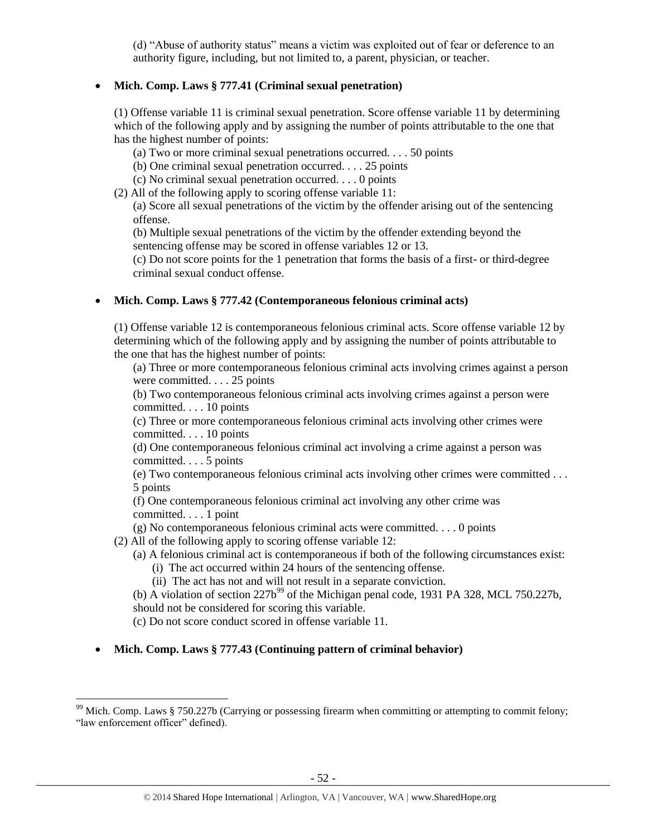(d) "Abuse of authority status" means a victim was exploited out of fear or deference to an authority figure, including, but not limited to, a parent, physician, or teacher.

## **Mich. Comp. Laws § 777.41 (Criminal sexual penetration)**

(1) Offense variable 11 is criminal sexual penetration. Score offense variable 11 by determining which of the following apply and by assigning the number of points attributable to the one that has the highest number of points:

- (a) Two or more criminal sexual penetrations occurred. . . . 50 points
- (b) One criminal sexual penetration occurred. . . . 25 points
- (c) No criminal sexual penetration occurred. . . . 0 points
- (2) All of the following apply to scoring offense variable 11:

(a) Score all sexual penetrations of the victim by the offender arising out of the sentencing offense.

(b) Multiple sexual penetrations of the victim by the offender extending beyond the sentencing offense may be scored in offense variables 12 or 13.

(c) Do not score points for the 1 penetration that forms the basis of a first- or third-degree criminal sexual conduct offense.

## **Mich. Comp. Laws § 777.42 (Contemporaneous felonious criminal acts)**

(1) Offense variable 12 is contemporaneous felonious criminal acts. Score offense variable 12 by determining which of the following apply and by assigning the number of points attributable to the one that has the highest number of points:

(a) Three or more contemporaneous felonious criminal acts involving crimes against a person were committed. . . . 25 points

(b) Two contemporaneous felonious criminal acts involving crimes against a person were committed. . . . 10 points

(c) Three or more contemporaneous felonious criminal acts involving other crimes were committed. . . . 10 points

(d) One contemporaneous felonious criminal act involving a crime against a person was committed. . . . 5 points

(e) Two contemporaneous felonious criminal acts involving other crimes were committed . . . 5 points

(f) One contemporaneous felonious criminal act involving any other crime was committed. . . . 1 point

(g) No contemporaneous felonious criminal acts were committed. . . . 0 points

(2) All of the following apply to scoring offense variable 12:

- (a) A felonious criminal act is contemporaneous if both of the following circumstances exist:
	- (i) The act occurred within 24 hours of the sentencing offense.
	- (ii) The act has not and will not result in a separate conviction.

(b) A violation of section  $227b^{99}$  of the Michigan penal code, 1931 PA 328, MCL 750.227b, should not be considered for scoring this variable.

(c) Do not score conduct scored in offense variable 11.

 $\overline{\phantom{a}}$ 

**Mich. Comp. Laws § 777.43 (Continuing pattern of criminal behavior)** 

<sup>&</sup>lt;sup>99</sup> Mich. Comp. Laws § 750.227b (Carrying or possessing firearm when committing or attempting to commit felony; "law enforcement officer" defined).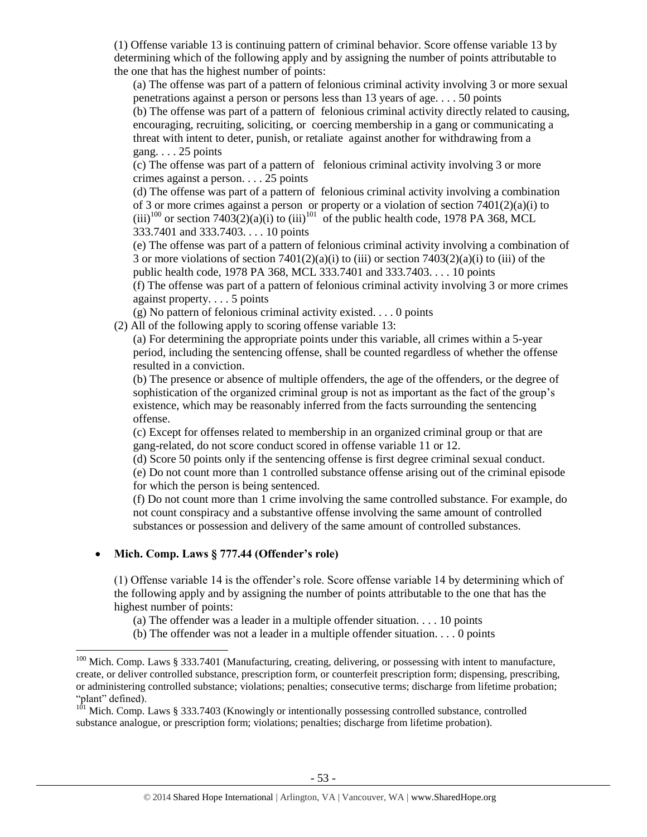(1) Offense variable 13 is continuing pattern of criminal behavior. Score offense variable 13 by determining which of the following apply and by assigning the number of points attributable to the one that has the highest number of points:

(a) The offense was part of a pattern of felonious criminal activity involving 3 or more sexual penetrations against a person or persons less than 13 years of age. . . . 50 points

(b) The offense was part of a pattern of felonious criminal activity directly related to causing, encouraging, recruiting, soliciting, or coercing membership in a gang or communicating a threat with intent to deter, punish, or retaliate against another for withdrawing from a gang.  $\ldots$  25 points

(c) The offense was part of a pattern of felonious criminal activity involving 3 or more crimes against a person. . . . 25 points

(d) The offense was part of a pattern of felonious criminal activity involving a combination of 3 or more crimes against a person or property or a violation of section 7401(2)(a)(i) to  $(iii)^{100}$  or section 7403(2)(a)(i) to  $(iii)^{101}$  of the public health code, 1978 PA 368, MCL 333.7401 and 333.7403. . . . 10 points

(e) The offense was part of a pattern of felonious criminal activity involving a combination of 3 or more violations of section  $7401(2)(a)(i)$  to (iii) or section  $7403(2)(a)(i)$  to (iii) of the public health code, 1978 PA 368, MCL 333.7401 and 333.7403. . . . 10 points

(f) The offense was part of a pattern of felonious criminal activity involving 3 or more crimes against property. . . . 5 points

(g) No pattern of felonious criminal activity existed. . . . 0 points

(2) All of the following apply to scoring offense variable 13:

(a) For determining the appropriate points under this variable, all crimes within a 5-year period, including the sentencing offense, shall be counted regardless of whether the offense resulted in a conviction.

(b) The presence or absence of multiple offenders, the age of the offenders, or the degree of sophistication of the organized criminal group is not as important as the fact of the group's existence, which may be reasonably inferred from the facts surrounding the sentencing offense.

(c) Except for offenses related to membership in an organized criminal group or that are gang-related, do not score conduct scored in offense variable 11 or 12.

(d) Score 50 points only if the sentencing offense is first degree criminal sexual conduct.

(e) Do not count more than 1 controlled substance offense arising out of the criminal episode for which the person is being sentenced.

(f) Do not count more than 1 crime involving the same controlled substance. For example, do not count conspiracy and a substantive offense involving the same amount of controlled substances or possession and delivery of the same amount of controlled substances.

# **Mich. Comp. Laws § 777.44 (Offender's role)**

 $\overline{\phantom{a}}$ 

(1) Offense variable 14 is the offender's role. Score offense variable 14 by determining which of the following apply and by assigning the number of points attributable to the one that has the highest number of points:

(a) The offender was a leader in a multiple offender situation. . . . 10 points

(b) The offender was not a leader in a multiple offender situation. . . . 0 points

<sup>&</sup>lt;sup>100</sup> Mich. Comp. Laws § 333.7401 (Manufacturing, creating, delivering, or possessing with intent to manufacture, create, or deliver controlled substance, prescription form, or counterfeit prescription form; dispensing, prescribing, or administering controlled substance; violations; penalties; consecutive terms; discharge from lifetime probation; "plant" defined).

 $1^{101}$  Mich. Comp. Laws § 333.7403 (Knowingly or intentionally possessing controlled substance, controlled substance analogue, or prescription form; violations; penalties; discharge from lifetime probation).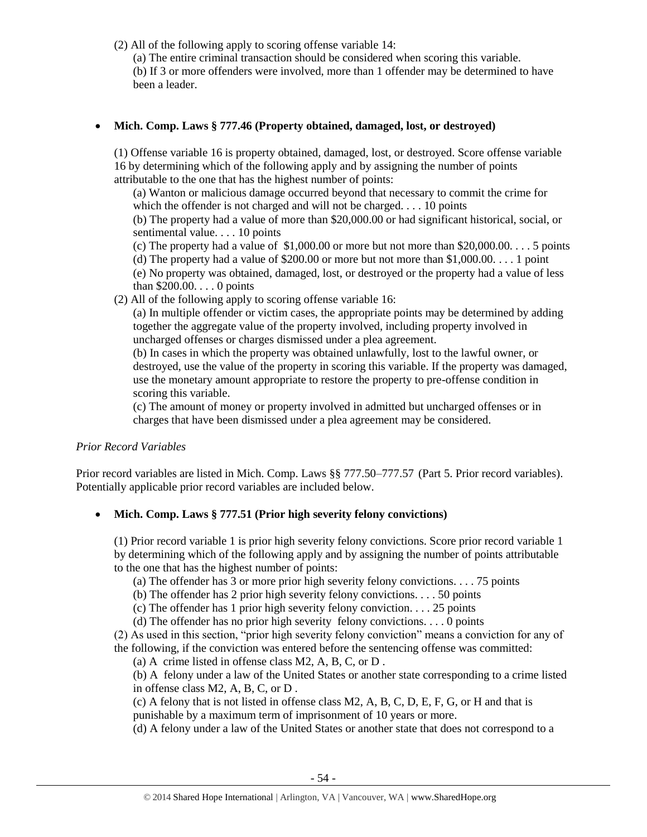(2) All of the following apply to scoring offense variable 14:

(a) The entire criminal transaction should be considered when scoring this variable.

(b) If 3 or more offenders were involved, more than 1 offender may be determined to have been a leader.

# **Mich. Comp. Laws § 777.46 (Property obtained, damaged, lost, or destroyed)**

(1) Offense variable 16 is property obtained, damaged, lost, or destroyed. Score offense variable 16 by determining which of the following apply and by assigning the number of points attributable to the one that has the highest number of points:

(a) Wanton or malicious damage occurred beyond that necessary to commit the crime for which the offender is not charged and will not be charged. . . . 10 points

(b) The property had a value of more than \$20,000.00 or had significant historical, social, or sentimental value. . . . 10 points

(c) The property had a value of \$1,000.00 or more but not more than  $$20,000.00$ .... 5 points

(d) The property had a value of \$200.00 or more but not more than \$1,000.00. . . . 1 point (e) No property was obtained, damaged, lost, or destroyed or the property had a value of less than \$200.00. . . . 0 points

(2) All of the following apply to scoring offense variable 16:

(a) In multiple offender or victim cases, the appropriate points may be determined by adding together the aggregate value of the property involved, including property involved in uncharged offenses or charges dismissed under a plea agreement.

(b) In cases in which the property was obtained unlawfully, lost to the lawful owner, or destroyed, use the value of the property in scoring this variable. If the property was damaged, use the monetary amount appropriate to restore the property to pre-offense condition in scoring this variable.

(c) The amount of money or property involved in admitted but uncharged offenses or in charges that have been dismissed under a plea agreement may be considered.

# *Prior Record Variables*

Prior record variables are listed in Mich. Comp. Laws §§ 777.50–777.57 (Part 5. Prior record variables). Potentially applicable prior record variables are included below.

# **Mich. Comp. Laws § 777.51 (Prior high severity felony convictions)**

(1) Prior record variable 1 is prior high severity felony convictions. Score prior record variable 1 by determining which of the following apply and by assigning the number of points attributable to the one that has the highest number of points:

(a) The offender has 3 or more prior high severity felony convictions. . . . 75 points

(b) The offender has 2 prior high severity felony convictions. . . . 50 points

(c) The offender has 1 prior high severity felony conviction. . . . 25 points

(d) The offender has no prior high severity felony convictions. . . . 0 points

(2) As used in this section, "prior high severity felony conviction" means a conviction for any of the following, if the conviction was entered before the sentencing offense was committed:

(a) A crime listed in offense class M2, A, B, C, or D .

(b) A felony under a law of the United States or another state corresponding to a crime listed in offense class M2, A, B, C, or D .

(c) A felony that is not listed in offense class M2, A, B, C, D, E, F, G, or H and that is punishable by a maximum term of imprisonment of 10 years or more.

(d) A felony under a law of the United States or another state that does not correspond to a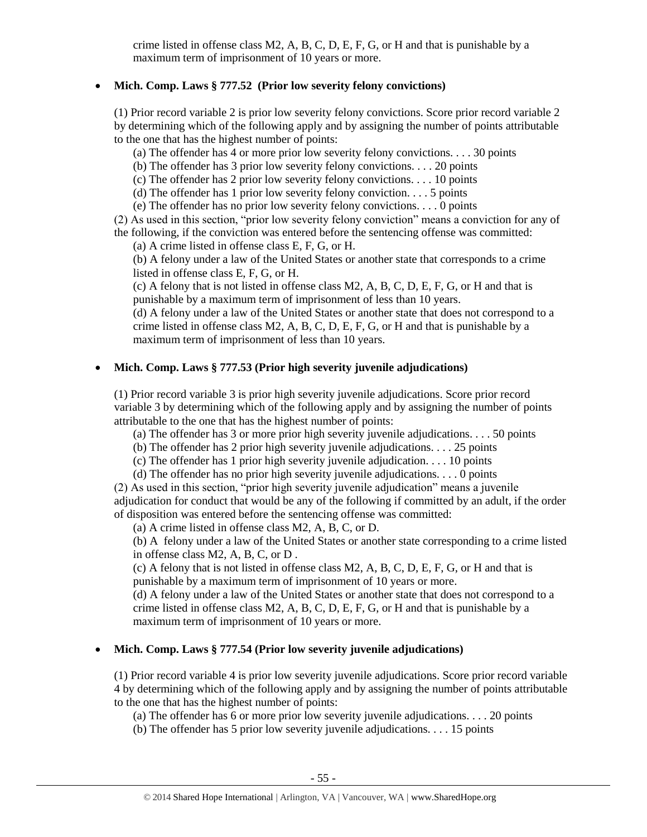crime listed in offense class M2, A, B, C, D, E, F, G, or H and that is punishable by a maximum term of imprisonment of 10 years or more.

## **Mich. Comp. Laws § 777.52 (Prior low severity felony convictions)**

(1) Prior record variable 2 is prior low severity felony convictions. Score prior record variable 2 by determining which of the following apply and by assigning the number of points attributable to the one that has the highest number of points:

(a) The offender has 4 or more prior low severity felony convictions. . . . 30 points

(b) The offender has 3 prior low severity felony convictions. . . . 20 points

(c) The offender has 2 prior low severity felony convictions. . . . 10 points

(d) The offender has 1 prior low severity felony conviction.  $\dots$  5 points

(e) The offender has no prior low severity felony convictions. . . . 0 points

(2) As used in this section, "prior low severity felony conviction" means a conviction for any of the following, if the conviction was entered before the sentencing offense was committed:

(a) A crime listed in offense class E, F, G, or H.

(b) A felony under a law of the United States or another state that corresponds to a crime listed in offense class E, F, G, or H.

(c) A felony that is not listed in offense class M2, A, B, C, D, E, F, G, or H and that is punishable by a maximum term of imprisonment of less than 10 years.

(d) A felony under a law of the United States or another state that does not correspond to a crime listed in offense class  $M2$ , A, B, C, D, E, F, G, or H and that is punishable by a maximum term of imprisonment of less than 10 years.

# **Mich. Comp. Laws § 777.53 (Prior high severity juvenile adjudications)**

(1) Prior record variable 3 is prior high severity juvenile adjudications. Score prior record variable 3 by determining which of the following apply and by assigning the number of points attributable to the one that has the highest number of points:

(a) The offender has 3 or more prior high severity juvenile adjudications. . . . 50 points

(b) The offender has 2 prior high severity juvenile adjudications. . . . 25 points

(c) The offender has 1 prior high severity juvenile adjudication. . . . 10 points

(d) The offender has no prior high severity juvenile adjudications. . . . 0 points

(2) As used in this section, "prior high severity juvenile adjudication" means a juvenile adjudication for conduct that would be any of the following if committed by an adult, if the order of disposition was entered before the sentencing offense was committed:

(a) A crime listed in offense class M2, A, B, C, or D.

(b) A felony under a law of the United States or another state corresponding to a crime listed in offense class M2, A, B, C, or D .

(c) A felony that is not listed in offense class M2, A, B, C, D, E, F, G, or H and that is punishable by a maximum term of imprisonment of 10 years or more.

(d) A felony under a law of the United States or another state that does not correspond to a crime listed in offense class  $M2$ , A, B, C, D, E, F, G, or H and that is punishable by a maximum term of imprisonment of 10 years or more.

# **Mich. Comp. Laws § 777.54 (Prior low severity juvenile adjudications)**

(1) Prior record variable 4 is prior low severity juvenile adjudications. Score prior record variable 4 by determining which of the following apply and by assigning the number of points attributable to the one that has the highest number of points:

(a) The offender has 6 or more prior low severity juvenile adjudications. . . . 20 points

(b) The offender has 5 prior low severity juvenile adjudications. . . . 15 points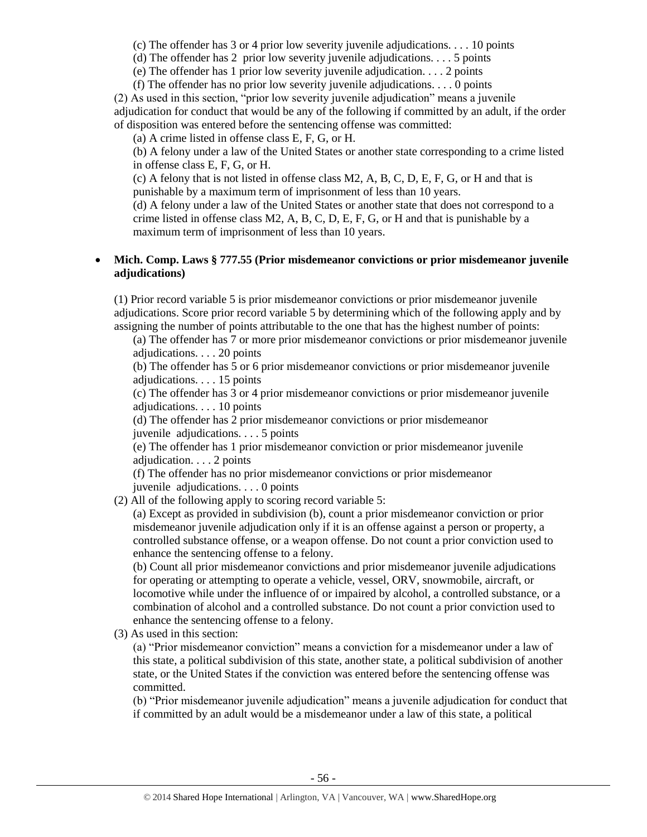(c) The offender has 3 or 4 prior low severity juvenile adjudications. . . . 10 points

(d) The offender has 2 prior low severity juvenile adjudications. . . . 5 points

(e) The offender has 1 prior low severity juvenile adjudication. . . . 2 points

(f) The offender has no prior low severity juvenile adjudications. . . . 0 points

(2) As used in this section, "prior low severity juvenile adjudication" means a juvenile adjudication for conduct that would be any of the following if committed by an adult, if the order of disposition was entered before the sentencing offense was committed:

(a) A crime listed in offense class E, F, G, or H.

(b) A felony under a law of the United States or another state corresponding to a crime listed in offense class E, F, G, or H.

(c) A felony that is not listed in offense class M2, A, B, C, D, E, F, G, or H and that is punishable by a maximum term of imprisonment of less than 10 years.

(d) A felony under a law of the United States or another state that does not correspond to a crime listed in offense class  $M2$ , A, B, C, D, E, F, G, or H and that is punishable by a maximum term of imprisonment of less than 10 years.

## **Mich. Comp. Laws § 777.55 (Prior misdemeanor convictions or prior misdemeanor juvenile adjudications)**

(1) Prior record variable 5 is prior misdemeanor convictions or prior misdemeanor juvenile adjudications. Score prior record variable 5 by determining which of the following apply and by assigning the number of points attributable to the one that has the highest number of points:

(a) The offender has 7 or more prior misdemeanor convictions or prior misdemeanor juvenile adjudications. . . . 20 points

(b) The offender has 5 or 6 prior misdemeanor convictions or prior misdemeanor juvenile adjudications. . . . 15 points

(c) The offender has 3 or 4 prior misdemeanor convictions or prior misdemeanor juvenile adjudications. . . . 10 points

(d) The offender has 2 prior misdemeanor convictions or prior misdemeanor

juvenile adjudications. . . . 5 points

(e) The offender has 1 prior misdemeanor conviction or prior misdemeanor juvenile adjudication. . . . 2 points

(f) The offender has no prior misdemeanor convictions or prior misdemeanor juvenile adjudications. . . . 0 points

(2) All of the following apply to scoring record variable 5:

(a) Except as provided in subdivision (b), count a prior misdemeanor conviction or prior misdemeanor juvenile adjudication only if it is an offense against a person or property, a controlled substance offense, or a weapon offense. Do not count a prior conviction used to enhance the sentencing offense to a felony.

(b) Count all prior misdemeanor convictions and prior misdemeanor juvenile adjudications for operating or attempting to operate a vehicle, vessel, ORV, snowmobile, aircraft, or locomotive while under the influence of or impaired by alcohol, a controlled substance, or a combination of alcohol and a controlled substance. Do not count a prior conviction used to enhance the sentencing offense to a felony.

(3) As used in this section:

(a) "Prior misdemeanor conviction" means a conviction for a misdemeanor under a law of this state, a political subdivision of this state, another state, a political subdivision of another state, or the United States if the conviction was entered before the sentencing offense was committed.

(b) "Prior misdemeanor juvenile adjudication" means a juvenile adjudication for conduct that if committed by an adult would be a misdemeanor under a law of this state, a political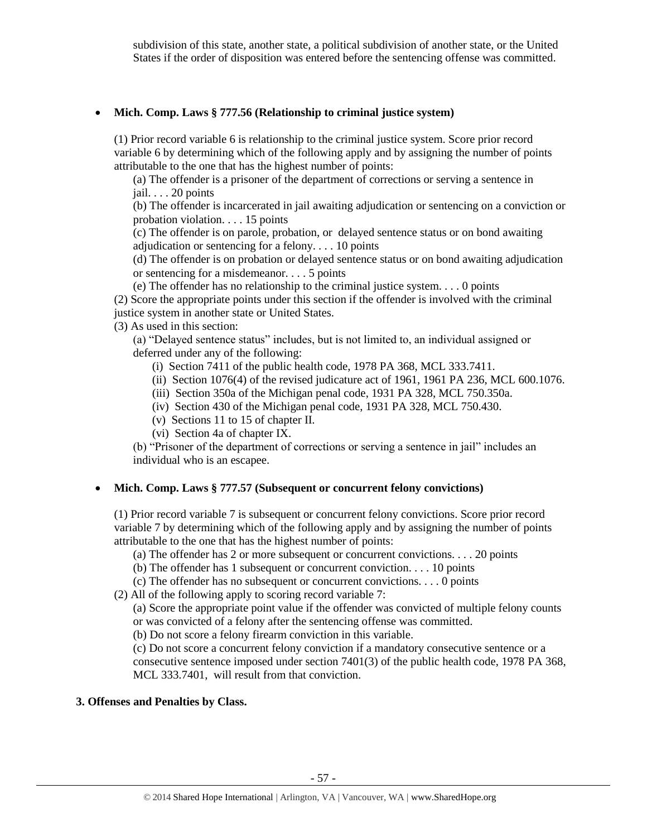subdivision of this state, another state, a political subdivision of another state, or the United States if the order of disposition was entered before the sentencing offense was committed.

#### **Mich. Comp. Laws § 777.56 (Relationship to criminal justice system)**

(1) Prior record variable 6 is relationship to the criminal justice system. Score prior record variable 6 by determining which of the following apply and by assigning the number of points attributable to the one that has the highest number of points:

(a) The offender is a prisoner of the department of corrections or serving a sentence in jail. . . . 20 points

(b) The offender is incarcerated in jail awaiting adjudication or sentencing on a conviction or probation violation. . . . 15 points

(c) The offender is on parole, probation, or delayed sentence status or on bond awaiting adjudication or sentencing for a felony. . . . 10 points

(d) The offender is on probation or delayed sentence status or on bond awaiting adjudication or sentencing for a misdemeanor. . . . 5 points

(e) The offender has no relationship to the criminal justice system. . . . 0 points

(2) Score the appropriate points under this section if the offender is involved with the criminal justice system in another state or United States.

(3) As used in this section:

(a) "Delayed sentence status" includes, but is not limited to, an individual assigned or deferred under any of the following:

(i) Section 7411 of the public health code, 1978 PA 368, MCL 333.7411.

(ii) Section 1076(4) of the revised judicature act of 1961, 1961 PA 236, MCL 600.1076.

(iii) Section 350a of the Michigan penal code, 1931 PA 328, MCL 750.350a.

(iv) Section 430 of the Michigan penal code, 1931 PA 328, MCL 750.430.

(v) Sections 11 to 15 of chapter II.

(vi) Section 4a of chapter IX.

(b) "Prisoner of the department of corrections or serving a sentence in jail" includes an individual who is an escapee.

#### **Mich. Comp. Laws § 777.57 (Subsequent or concurrent felony convictions)**

(1) Prior record variable 7 is subsequent or concurrent felony convictions. Score prior record variable 7 by determining which of the following apply and by assigning the number of points attributable to the one that has the highest number of points:

(a) The offender has 2 or more subsequent or concurrent convictions. . . . 20 points

(b) The offender has 1 subsequent or concurrent conviction. . . . 10 points

(c) The offender has no subsequent or concurrent convictions. . . . 0 points

(2) All of the following apply to scoring record variable 7:

(a) Score the appropriate point value if the offender was convicted of multiple felony counts or was convicted of a felony after the sentencing offense was committed.

(b) Do not score a felony firearm conviction in this variable.

(c) Do not score a concurrent felony conviction if a mandatory consecutive sentence or a consecutive sentence imposed under section 7401(3) of the public health code, 1978 PA 368, MCL 333.7401, will result from that conviction.

## **3. Offenses and Penalties by Class.**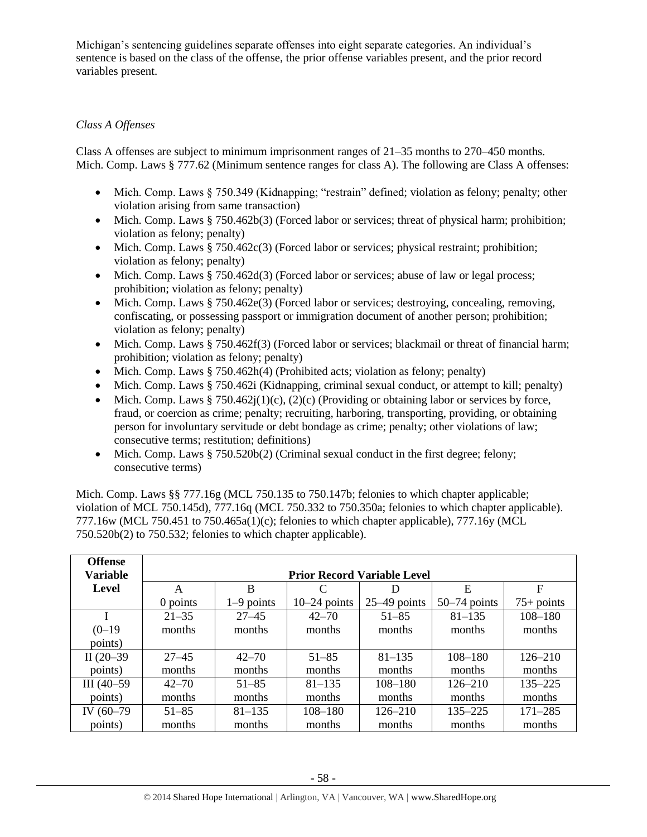Michigan's sentencing guidelines separate offenses into eight separate categories. An individual's sentence is based on the class of the offense, the prior offense variables present, and the prior record variables present.

# *Class A Offenses*

Class A offenses are subject to minimum imprisonment ranges of 21–35 months to 270–450 months. Mich. Comp. Laws § 777.62 (Minimum sentence ranges for class A). The following are Class A offenses:

- Mich. Comp. Laws § 750.349 (Kidnapping; "restrain" defined; violation as felony; penalty; other violation arising from same transaction)
- Mich. Comp. Laws § 750.462b(3) (Forced labor or services; threat of physical harm; prohibition; violation as felony; penalty)
- Mich. Comp. Laws  $§ 750.462c(3)$  (Forced labor or services; physical restraint; prohibition; violation as felony; penalty)
- Mich. Comp. Laws § 750.462d(3) (Forced labor or services; abuse of law or legal process; prohibition; violation as felony; penalty)
- Mich. Comp. Laws § 750.462e(3) (Forced labor or services; destroying, concealing, removing, confiscating, or possessing passport or immigration document of another person; prohibition; violation as felony; penalty)
- Mich. Comp. Laws  $§ 750.462f(3)$  (Forced labor or services; blackmail or threat of financial harm; prohibition; violation as felony; penalty)
- Mich. Comp. Laws  $\S 750.462h(4)$  (Prohibited acts; violation as felony; penalty)
- Mich. Comp. Laws § 750.462i (Kidnapping, criminal sexual conduct, or attempt to kill; penalty)
- Mich. Comp. Laws § 750.462 $j(1)(c)$ , (2)(c) (Providing or obtaining labor or services by force, fraud, or coercion as crime; penalty; recruiting, harboring, transporting, providing, or obtaining person for involuntary servitude or debt bondage as crime; penalty; other violations of law; consecutive terms; restitution; definitions)
- $\bullet$  Mich. Comp. Laws § 750.520b(2) (Criminal sexual conduct in the first degree; felony; consecutive terms)

Mich. Comp. Laws §§ 777.16g (MCL 750.135 to 750.147b; felonies to which chapter applicable; violation of MCL 750.145d), 777.16q (MCL 750.332 to 750.350a; felonies to which chapter applicable). 777.16w (MCL 750.451 to 750.465a(1)(c); felonies to which chapter applicable), 777.16y (MCL 750.520b(2) to 750.532; felonies to which chapter applicable).

| <b>Offense</b><br><b>Variable</b> |            |                                    |                |                |                |              |  |  |  |
|-----------------------------------|------------|------------------------------------|----------------|----------------|----------------|--------------|--|--|--|
|                                   |            | <b>Prior Record Variable Level</b> |                |                |                |              |  |  |  |
| Level                             | A          | B                                  |                | Ð              | E              | F            |  |  |  |
|                                   | $0$ points | $1-9$ points                       | $10-24$ points | $25-49$ points | $50-74$ points | $75+$ points |  |  |  |
|                                   | $21 - 35$  | $27 - 45$                          | $42 - 70$      | $51 - 85$      | $81 - 135$     | $108 - 180$  |  |  |  |
| $(0-19)$                          | months     | months                             | months         | months         | months         | months       |  |  |  |
| points)                           |            |                                    |                |                |                |              |  |  |  |
| II $(20-39)$                      | $27 - 45$  | $42 - 70$                          | $51 - 85$      | $81 - 135$     | $108 - 180$    | $126 - 210$  |  |  |  |
| points)                           | months     | months                             | months         | months         | months         | months       |  |  |  |
| $III(40-59)$                      | $42 - 70$  | $51 - 85$                          | $81 - 135$     | $108 - 180$    | $126 - 210$    | $135 - 225$  |  |  |  |
| points)                           | months     | months                             | months         | months         | months         | months       |  |  |  |
| IV (60-79)                        | $51 - 85$  | $81 - 135$                         | $108 - 180$    | $126 - 210$    | $135 - 225$    | $171 - 285$  |  |  |  |
| points)                           | months     | months                             | months         | months         | months         | months       |  |  |  |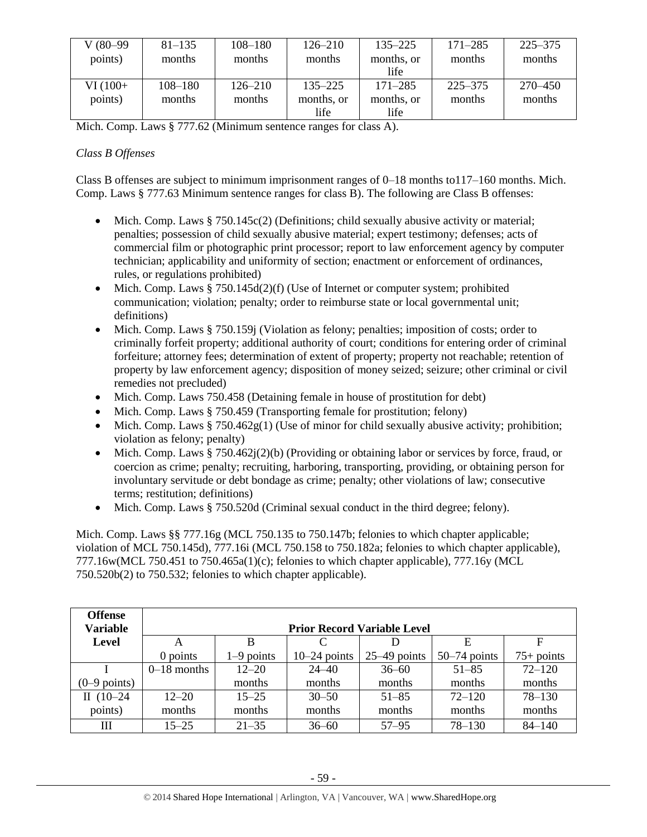| V (80–99) | $81 - 135$  | $108 - 180$ | $126 - 210$ | $135 - 225$ | $171 - 285$ | $225 - 375$ |
|-----------|-------------|-------------|-------------|-------------|-------------|-------------|
| points)   | months      | months      | months      | months, or  | months      | months      |
|           |             |             |             | life        |             |             |
| $VI(100+$ | $108 - 180$ | $126 - 210$ | $135 - 225$ | $171 - 285$ | $225 - 375$ | 270–450     |
| points)   | months      | months      | months, or  | months, or  | months      | months      |
|           |             |             | life        | life        |             |             |

Mich. Comp. Laws § 777.62 (Minimum sentence ranges for class A).

# *Class B Offenses*

Class B offenses are subject to minimum imprisonment ranges of 0–18 months to117–160 months. Mich. Comp. Laws § 777.63 Minimum sentence ranges for class B). The following are Class B offenses:

- Mich. Comp. Laws § 750.145c(2) (Definitions; child sexually abusive activity or material; penalties; possession of child sexually abusive material; expert testimony; defenses; acts of commercial film or photographic print processor; report to law enforcement agency by computer technician; applicability and uniformity of section; enactment or enforcement of ordinances, rules, or regulations prohibited)
- Mich. Comp. Laws  $§ 750.145d(2)(f)$  (Use of Internet or computer system; prohibited communication; violation; penalty; order to reimburse state or local governmental unit; definitions)
- Mich. Comp. Laws § 750.159j (Violation as felony; penalties; imposition of costs; order to criminally forfeit property; additional authority of court; conditions for entering order of criminal forfeiture; attorney fees; determination of extent of property; property not reachable; retention of property by law enforcement agency; disposition of money seized; seizure; other criminal or civil remedies not precluded)
- Mich. Comp. Laws 750.458 (Detaining female in house of prostitution for debt)
- Mich. Comp. Laws § 750.459 (Transporting female for prostitution; felony)
- Mich. Comp. Laws § 750.462 $g(1)$  (Use of minor for child sexually abusive activity; prohibition; violation as felony; penalty)
- Mich. Comp. Laws § 750.462j(2)(b) (Providing or obtaining labor or services by force, fraud, or coercion as crime; penalty; recruiting, harboring, transporting, providing, or obtaining person for involuntary servitude or debt bondage as crime; penalty; other violations of law; consecutive terms; restitution; definitions)
- Mich. Comp. Laws § 750.520d (Criminal sexual conduct in the third degree; felony).

Mich. Comp. Laws §§ 777.16g (MCL 750.135 to 750.147b; felonies to which chapter applicable; violation of MCL 750.145d), 777.16i (MCL 750.158 to 750.182a; felonies to which chapter applicable), 777.16w(MCL 750.451 to 750.465a(1)(c); felonies to which chapter applicable), 777.16y (MCL 750.520b(2) to 750.532; felonies to which chapter applicable).

| <b>Offense</b><br><b>Variable</b> |               |              |                    | <b>Prior Record Variable Level</b> |                |              |
|-----------------------------------|---------------|--------------|--------------------|------------------------------------|----------------|--------------|
| Level                             | A             | B            | $\curvearrowright$ |                                    | E              | F            |
|                                   | $0$ points    | $1-9$ points | $10-24$ points     | $25-49$ points                     | $50-74$ points | $75+$ points |
|                                   | $0-18$ months | $12 - 20$    | $24 - 40$          | $36 - 60$                          | $51 - 85$      | $72 - 120$   |
| $(0-9$ points)                    |               | months       | months             | months                             | months         | months       |
| II $(10-24)$                      | $12 - 20$     | $15 - 25$    | $30 - 50$          | $51 - 85$                          | $72 - 120$     | $78 - 130$   |
| points)                           | months        | months       | months             | months                             | months         | months       |
| Ш                                 | $15 - 25$     | $21 - 35$    | $36 - 60$          | $57 - 95$                          | $78 - 130$     | $84 - 140$   |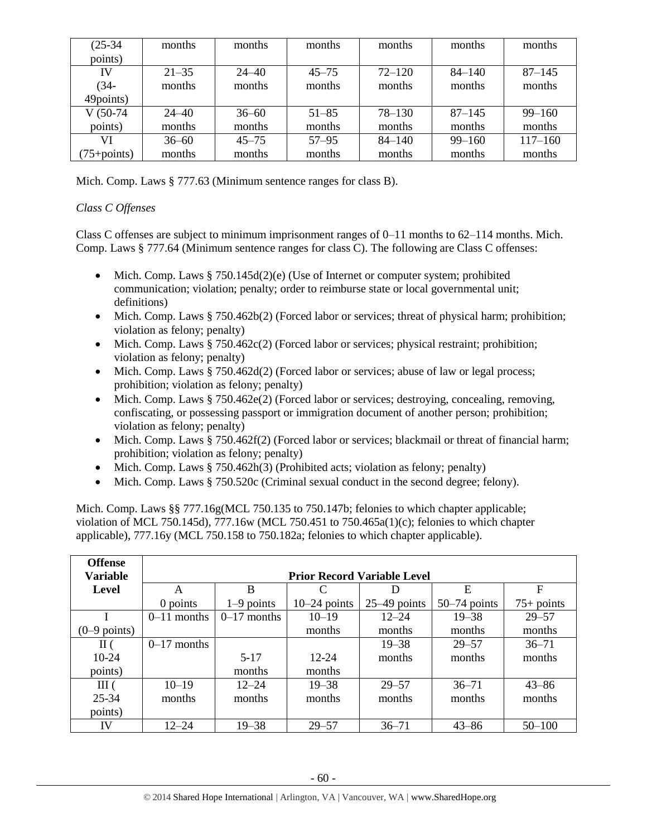| $(25-34)$       | months    | months    | months    | months     | months     | months      |
|-----------------|-----------|-----------|-----------|------------|------------|-------------|
| points)         |           |           |           |            |            |             |
| IV              | $21 - 35$ | $24 - 40$ | $45 - 75$ | $72 - 120$ | $84 - 140$ | $87 - 145$  |
| $(34 -$         | months    | months    | months    | months     | months     | months      |
| 49points)       |           |           |           |            |            |             |
| $V(50-74)$      | $24 - 40$ | $36 - 60$ | $51 - 85$ | $78 - 130$ | $87 - 145$ | $99 - 160$  |
| points)         | months    | months    | months    | months     | months     | months      |
| VI              | $36 - 60$ | $45 - 75$ | $57 - 95$ | $84 - 140$ | $99 - 160$ | $117 - 160$ |
| $(75 + points)$ | months    | months    | months    | months     | months     | months      |

Mich. Comp. Laws § 777.63 (Minimum sentence ranges for class B).

# *Class C Offenses*

Class C offenses are subject to minimum imprisonment ranges of  $0-11$  months to  $62-114$  months. Mich. Comp. Laws § 777.64 (Minimum sentence ranges for class C). The following are Class C offenses:

- Mich. Comp. Laws  $§ 750.145d(2)(e)$  (Use of Internet or computer system; prohibited communication; violation; penalty; order to reimburse state or local governmental unit; definitions)
- Mich. Comp. Laws § 750.462b(2) (Forced labor or services; threat of physical harm; prohibition; violation as felony; penalty)
- $\bullet$  Mich. Comp. Laws § 750.462c(2) (Forced labor or services; physical restraint; prohibition; violation as felony; penalty)
- Mich. Comp. Laws § 750.462d(2) (Forced labor or services; abuse of law or legal process; prohibition; violation as felony; penalty)
- $\bullet$  Mich. Comp. Laws § 750.462e(2) (Forced labor or services; destroying, concealing, removing, confiscating, or possessing passport or immigration document of another person; prohibition; violation as felony; penalty)
- Mich. Comp. Laws § 750.462f(2) (Forced labor or services; blackmail or threat of financial harm; prohibition; violation as felony; penalty)
- Mich. Comp. Laws  $\S 750.462h(3)$  (Prohibited acts; violation as felony; penalty)
- Mich. Comp. Laws § 750.520c (Criminal sexual conduct in the second degree; felony).

Mich. Comp. Laws §§ 777.16g(MCL 750.135 to 750.147b; felonies to which chapter applicable; violation of MCL 750.145d), 777.16w (MCL 750.451 to 750.465a(1)(c); felonies to which chapter applicable), 777.16y (MCL 750.158 to 750.182a; felonies to which chapter applicable).

| <b>Offense</b>         |               |               |                                    |                |                |              |
|------------------------|---------------|---------------|------------------------------------|----------------|----------------|--------------|
| <b>Variable</b>        |               |               | <b>Prior Record Variable Level</b> |                |                |              |
| <b>Level</b>           | A             | B             |                                    |                | E              | $\mathbf F$  |
|                        | 0 points      | $1-9$ points  | $10-24$ points                     | $25-49$ points | $50-74$ points | $75+$ points |
|                        | $0-11$ months | $0-17$ months | $10 - 19$                          | $12 - 24$      | $19 - 38$      | $29 - 57$    |
| $(0-9 \text{ points})$ |               |               | months                             | months         | months         | months       |
| $\rm{II}$ (            | $0-17$ months |               |                                    | $19 - 38$      | $29 - 57$      | $36 - 71$    |
| 10-24                  |               | $5-17$        | $12 - 24$                          | months         | months         | months       |
| points)                |               | months        | months                             |                |                |              |
| III(                   | $10 - 19$     | $12 - 24$     | $19 - 38$                          | $29 - 57$      | $36 - 71$      | $43 - 86$    |
| 25-34                  | months        | months        | months                             | months         | months         | months       |
| points)                |               |               |                                    |                |                |              |
| IV                     | $12 - 24$     | $19 - 38$     | $29 - 57$                          | $36 - 71$      | $43 - 86$      | $50 - 100$   |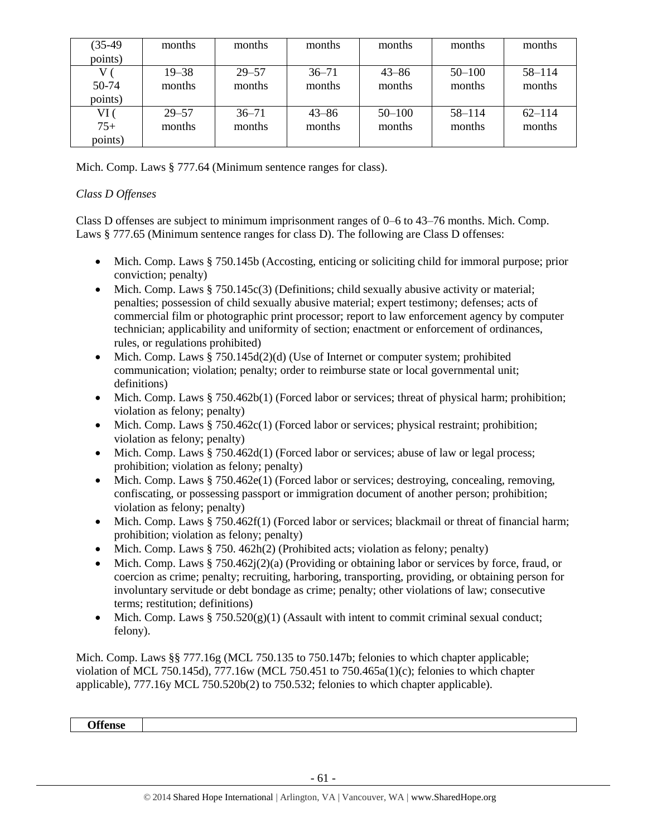| $(35-49)$ | months    | months    | months    | months     | months     | months     |
|-----------|-----------|-----------|-----------|------------|------------|------------|
| points)   |           |           |           |            |            |            |
|           | $19 - 38$ | $29 - 57$ | $36 - 71$ | $43 - 86$  | $50 - 100$ | $58 - 114$ |
| 50-74     | months    | months    | months    | months     | months     | months     |
| points)   |           |           |           |            |            |            |
| VI (      | $29 - 57$ | $36 - 71$ | $43 - 86$ | $50 - 100$ | $58 - 114$ | $62 - 114$ |
| $75+$     | months    | months    | months    | months     | months     | months     |
| points)   |           |           |           |            |            |            |

Mich. Comp. Laws § 777.64 (Minimum sentence ranges for class).

# *Class D Offenses*

Class D offenses are subject to minimum imprisonment ranges of 0–6 to 43–76 months. Mich. Comp. Laws § 777.65 (Minimum sentence ranges for class D). The following are Class D offenses:

- Mich. Comp. Laws § 750.145b (Accosting, enticing or soliciting child for immoral purpose; prior conviction; penalty)
- $\bullet$  Mich. Comp. Laws § 750.145c(3) (Definitions; child sexually abusive activity or material; penalties; possession of child sexually abusive material; expert testimony; defenses; acts of commercial film or photographic print processor; report to law enforcement agency by computer technician; applicability and uniformity of section; enactment or enforcement of ordinances, rules, or regulations prohibited)
- Mich. Comp. Laws  $§ 750.145d(2)(d)$  (Use of Internet or computer system; prohibited communication; violation; penalty; order to reimburse state or local governmental unit; definitions)
- $\bullet$  Mich. Comp. Laws § 750.462b(1) (Forced labor or services; threat of physical harm; prohibition; violation as felony; penalty)
- $\bullet$  Mich. Comp. Laws § 750.462c(1) (Forced labor or services; physical restraint; prohibition; violation as felony; penalty)
- Mich. Comp. Laws § 750.462d(1) (Forced labor or services; abuse of law or legal process; prohibition; violation as felony; penalty)
- $\bullet$  Mich. Comp. Laws § 750.462e(1) (Forced labor or services; destroying, concealing, removing, confiscating, or possessing passport or immigration document of another person; prohibition; violation as felony; penalty)
- Mich. Comp. Laws § 750.462f(1) (Forced labor or services; blackmail or threat of financial harm; prohibition; violation as felony; penalty)
- Mich. Comp. Laws  $§ 750.462h(2)$  (Prohibited acts; violation as felony; penalty)
- $\bullet$  Mich. Comp. Laws § 750.462j(2)(a) (Providing or obtaining labor or services by force, fraud, or coercion as crime; penalty; recruiting, harboring, transporting, providing, or obtaining person for involuntary servitude or debt bondage as crime; penalty; other violations of law; consecutive terms; restitution; definitions)
- Mich. Comp. Laws  $\S 750.520(g)(1)$  (Assault with intent to commit criminal sexual conduct; felony).

Mich. Comp. Laws §§ 777.16g (MCL 750.135 to 750.147b; felonies to which chapter applicable; violation of MCL 750.145d), 777.16w (MCL 750.451 to 750.465a(1)(c); felonies to which chapter applicable), 777.16y MCL 750.520b(2) to 750.532; felonies to which chapter applicable).

**Offense**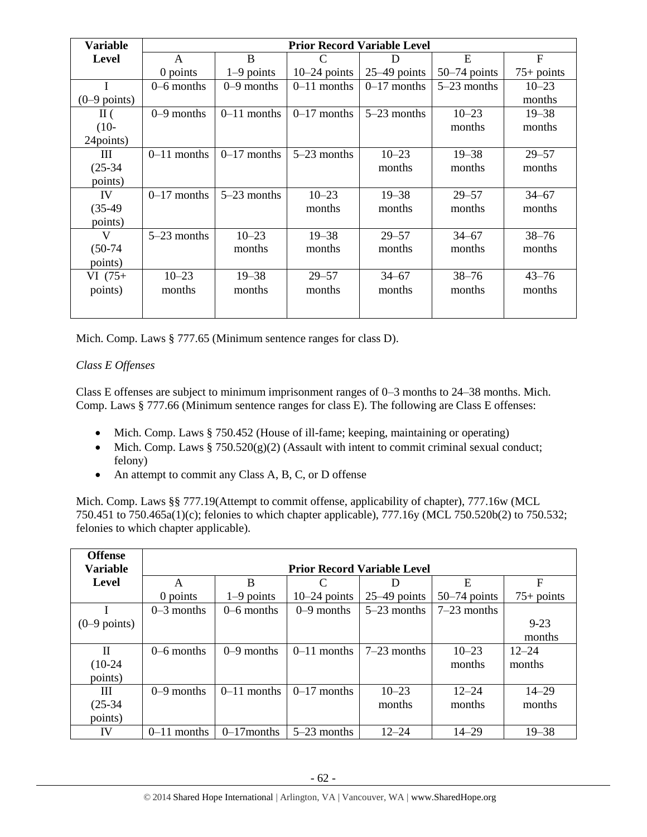| <b>Variable</b> |               |               |                | <b>Prior Record Variable Level</b> |                |                |
|-----------------|---------------|---------------|----------------|------------------------------------|----------------|----------------|
| <b>Level</b>    | A             | B             | C              | D                                  | E              | $\overline{F}$ |
|                 | 0 points      | $1-9$ points  | $10-24$ points | $25-49$ points                     | $50-74$ points | $75+$ points   |
|                 | $0-6$ months  | $0-9$ months  | $0-11$ months  | $0-17$ months                      | $5-23$ months  | $10 - 23$      |
| $(0-9$ points)  |               |               |                |                                    |                | months         |
| $\rm{II}$ (     | $0-9$ months  | $0-11$ months | $0-17$ months  | $5-23$ months                      | $10 - 23$      | $19 - 38$      |
| $(10-$          |               |               |                |                                    | months         | months         |
| 24points)       |               |               |                |                                    |                |                |
| Ш               | $0-11$ months | $0-17$ months | $5-23$ months  | $10 - 23$                          | $19 - 38$      | $29 - 57$      |
| $(25-34)$       |               |               |                | months                             | months         | months         |
| points)         |               |               |                |                                    |                |                |
| IV              | $0-17$ months | $5-23$ months | $10 - 23$      | $19 - 38$                          | $29 - 57$      | $34 - 67$      |
| $(35-49)$       |               |               | months         | months                             | months         | months         |
| points)         |               |               |                |                                    |                |                |
| V               | $5-23$ months | $10 - 23$     | $19 - 38$      | $29 - 57$                          | $34 - 67$      | $38 - 76$      |
| $(50-74)$       |               | months        | months         | months                             | months         | months         |
| points)         |               |               |                |                                    |                |                |
| $VI(75+)$       | $10 - 23$     | $19 - 38$     | $29 - 57$      | $34 - 67$                          | $38 - 76$      | $43 - 76$      |
| points)         | months        | months        | months         | months                             | months         | months         |
|                 |               |               |                |                                    |                |                |

Mich. Comp. Laws § 777.65 (Minimum sentence ranges for class D).

# *Class E Offenses*

Class E offenses are subject to minimum imprisonment ranges of 0–3 months to 24–38 months. Mich. Comp. Laws § 777.66 (Minimum sentence ranges for class E). The following are Class E offenses:

- Mich. Comp. Laws § 750.452 (House of ill-fame; keeping, maintaining or operating)
- Mich. Comp. Laws  $\S 750.520(g)(2)$  (Assault with intent to commit criminal sexual conduct; felony)
- An attempt to commit any Class A, B, C, or D offense

Mich. Comp. Laws §§ 777.19(Attempt to commit offense, applicability of chapter), 777.16w (MCL 750.451 to 750.465a(1)(c); felonies to which chapter applicable), 777.16y (MCL 750.520b(2) to 750.532; felonies to which chapter applicable).

| <b>Offense</b>  |               |                                    |                |                |                |              |  |  |
|-----------------|---------------|------------------------------------|----------------|----------------|----------------|--------------|--|--|
| <b>Variable</b> |               | <b>Prior Record Variable Level</b> |                |                |                |              |  |  |
| Level           | A             | B                                  | $\mathcal{C}$  | Ð              | E              | F            |  |  |
|                 | 0 points      | $1-9$ points                       | $10-24$ points | $25-49$ points | $50-74$ points | $75+$ points |  |  |
|                 | $0-3$ months  | $0-6$ months                       | $0-9$ months   | $5-23$ months  | $7-23$ months  |              |  |  |
| $(0-9$ points)  |               |                                    |                |                |                | $9 - 23$     |  |  |
|                 |               |                                    |                |                |                | months       |  |  |
| H               | $0-6$ months  | $0-9$ months                       | $0-11$ months  | $7-23$ months  | $10 - 23$      | $12 - 24$    |  |  |
| $(10-24)$       |               |                                    |                |                | months         | months       |  |  |
| points)         |               |                                    |                |                |                |              |  |  |
| Ш               | $0-9$ months  | $0-11$ months                      | $0-17$ months  | $10 - 23$      | $12 - 24$      | $14 - 29$    |  |  |
| $(25-34)$       |               |                                    |                | months         | months         | months       |  |  |
| points)         |               |                                    |                |                |                |              |  |  |
| IV              | $0-11$ months | $0-17$ months                      | $5-23$ months  | $12 - 24$      | $14 - 29$      | $19 - 38$    |  |  |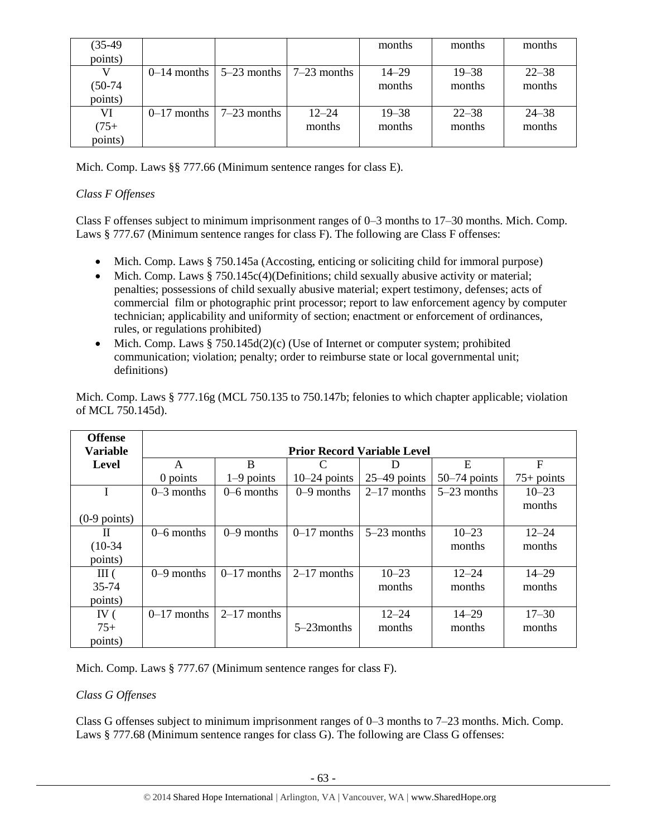| $(35-49)$ |                                                       |           | months    | months    | months    |
|-----------|-------------------------------------------------------|-----------|-----------|-----------|-----------|
| points)   |                                                       |           |           |           |           |
|           | $0-14$ months $\vert 5-23$ months $\vert 7-23$ months |           | $14 - 29$ | $19 - 38$ | $22 - 38$ |
| $(50-74)$ |                                                       |           | months    | months    | months    |
| points)   |                                                       |           |           |           |           |
| VI        | $0-17$ months $17-23$ months                          | $12 - 24$ | $19 - 38$ | $22 - 38$ | $24 - 38$ |
| $(75 +$   |                                                       | months    | months    | months    | months    |
| points)   |                                                       |           |           |           |           |

Mich. Comp. Laws §§ 777.66 (Minimum sentence ranges for class E).

# *Class F Offenses*

Class F offenses subject to minimum imprisonment ranges of 0–3 months to 17–30 months. Mich. Comp. Laws § 777.67 (Minimum sentence ranges for class F). The following are Class F offenses:

- Mich. Comp. Laws § 750.145a (Accosting, enticing or soliciting child for immoral purpose)
- Mich. Comp. Laws  $§ 750.145c(4)$  (Definitions; child sexually abusive activity or material; penalties; possessions of child sexually abusive material; expert testimony, defenses; acts of commercial film or photographic print processor; report to law enforcement agency by computer technician; applicability and uniformity of section; enactment or enforcement of ordinances, rules, or regulations prohibited)
- Mich. Comp. Laws  $§ 750.145d(2)(c)$  (Use of Internet or computer system; prohibited communication; violation; penalty; order to reimburse state or local governmental unit; definitions)

| <b>Offense</b>  |               |                                    |                |                |                |              |  |  |
|-----------------|---------------|------------------------------------|----------------|----------------|----------------|--------------|--|--|
| <b>Variable</b> |               | <b>Prior Record Variable Level</b> |                |                |                |              |  |  |
| <b>Level</b>    | A             | B                                  | C              | D              | E              | $\mathbf F$  |  |  |
|                 | 0 points      | $1-9$ points                       | $10-24$ points | $25-49$ points | $50-74$ points | $75+$ points |  |  |
|                 | $0-3$ months  | $0-6$ months                       | $0-9$ months   | $2-17$ months  | $5-23$ months  | $10 - 23$    |  |  |
|                 |               |                                    |                |                |                | months       |  |  |
| $(0-9$ points)  |               |                                    |                |                |                |              |  |  |
| Н               | $0-6$ months  | $0-9$ months                       | $0-17$ months  | $5-23$ months  | $10 - 23$      | $12 - 24$    |  |  |
| $(10-34)$       |               |                                    |                |                | months         | months       |  |  |
| points)         |               |                                    |                |                |                |              |  |  |
| III(            | $0-9$ months  | $0-17$ months                      | $2-17$ months  | $10 - 23$      | $12 - 24$      | $14 - 29$    |  |  |
| 35-74           |               |                                    |                | months         | months         | months       |  |  |
| points)         |               |                                    |                |                |                |              |  |  |
| IV $($          | $0-17$ months | $2-17$ months                      |                | $12 - 24$      | $14 - 29$      | $17 - 30$    |  |  |
| $75+$           |               |                                    | $5-23$ months  | months         | months         | months       |  |  |
| points)         |               |                                    |                |                |                |              |  |  |

Mich. Comp. Laws § 777.16g (MCL 750.135 to 750.147b; felonies to which chapter applicable; violation of MCL 750.145d).

Mich. Comp. Laws § 777.67 (Minimum sentence ranges for class F).

# *Class G Offenses*

Class G offenses subject to minimum imprisonment ranges of 0–3 months to 7–23 months. Mich. Comp. Laws § 777.68 (Minimum sentence ranges for class G). The following are Class G offenses: